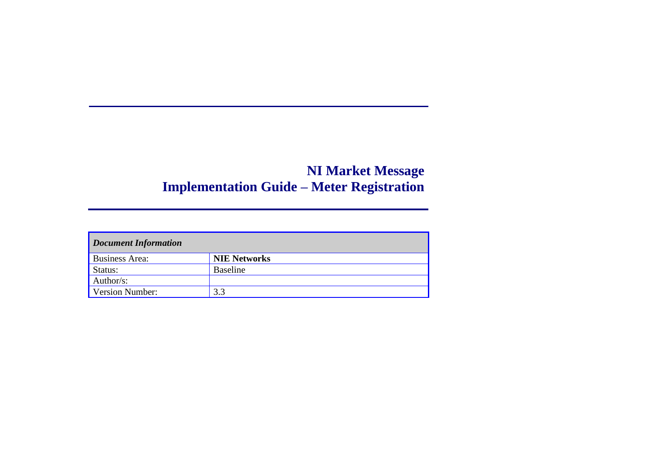| Document Information   |                     |  |  |  |  |
|------------------------|---------------------|--|--|--|--|
| <b>Business Area:</b>  | <b>NIE Networks</b> |  |  |  |  |
| Status:                | <b>Baseline</b>     |  |  |  |  |
| Author/s:              |                     |  |  |  |  |
| <b>Version Number:</b> | 3.3                 |  |  |  |  |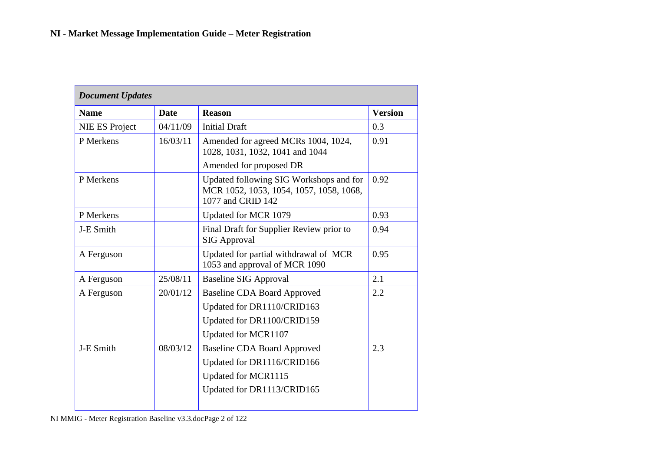| <b>Document Updates</b> |             |                                                                                                         |                |  |  |  |
|-------------------------|-------------|---------------------------------------------------------------------------------------------------------|----------------|--|--|--|
| <b>Name</b>             | <b>Date</b> | <b>Reason</b>                                                                                           | <b>Version</b> |  |  |  |
| <b>NIE ES Project</b>   | 04/11/09    | <b>Initial Draft</b>                                                                                    | 0.3            |  |  |  |
| P Merkens               | 16/03/11    | Amended for agreed MCRs 1004, 1024,<br>1028, 1031, 1032, 1041 and 1044                                  | 0.91           |  |  |  |
|                         |             | Amended for proposed DR                                                                                 |                |  |  |  |
| P Merkens               |             | Updated following SIG Workshops and for<br>MCR 1052, 1053, 1054, 1057, 1058, 1068,<br>1077 and CRID 142 | 0.92           |  |  |  |
| P Merkens               |             | Updated for MCR 1079                                                                                    | 0.93           |  |  |  |
| J-E Smith               |             | Final Draft for Supplier Review prior to<br><b>SIG Approval</b>                                         | 0.94           |  |  |  |
| A Ferguson              |             | Updated for partial withdrawal of MCR<br>1053 and approval of MCR 1090                                  | 0.95           |  |  |  |
| A Ferguson              | 25/08/11    | <b>Baseline SIG Approval</b>                                                                            | 2.1            |  |  |  |
| A Ferguson              | 20/01/12    | <b>Baseline CDA Board Approved</b>                                                                      | 2.2            |  |  |  |
|                         |             | Updated for DR1110/CRID163                                                                              |                |  |  |  |
|                         |             | Updated for DR1100/CRID159                                                                              |                |  |  |  |
|                         |             | Updated for MCR1107                                                                                     |                |  |  |  |
| J-E Smith               | 08/03/12    | <b>Baseline CDA Board Approved</b>                                                                      | 2.3            |  |  |  |
|                         |             | Updated for DR1116/CRID166                                                                              |                |  |  |  |
|                         |             | Updated for MCR1115                                                                                     |                |  |  |  |
|                         |             | Updated for DR1113/CRID165                                                                              |                |  |  |  |

NI MMIG - Meter Registration Baseline v3.3.docPage 2 of 122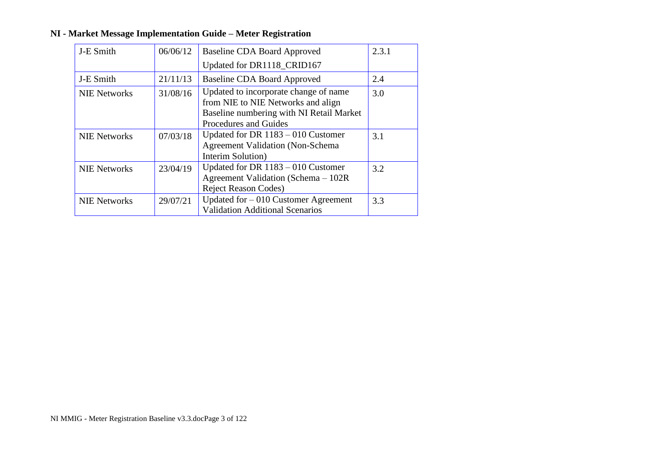| J-E Smith           | 06/06/12 | <b>Baseline CDA Board Approved</b>                                                                                                               | 2.3.1 |
|---------------------|----------|--------------------------------------------------------------------------------------------------------------------------------------------------|-------|
|                     |          | Updated for DR1118_CRID167                                                                                                                       |       |
| J-E Smith           | 21/11/13 | <b>Baseline CDA Board Approved</b>                                                                                                               | 2.4   |
| <b>NIE Networks</b> | 31/08/16 | Updated to incorporate change of name<br>from NIE to NIE Networks and align<br>Baseline numbering with NI Retail Market<br>Procedures and Guides | 3.0   |
| <b>NIE Networks</b> | 07/03/18 | Updated for DR $1183 - 010$ Customer<br><b>Agreement Validation (Non-Schema)</b><br>Interim Solution)                                            | 3.1   |
| <b>NIE Networks</b> | 23/04/19 | Updated for DR $1183 - 010$ Customer<br>Agreement Validation (Schema – 102R)<br><b>Reject Reason Codes)</b>                                      | 3.2   |
| <b>NIE Networks</b> | 29/07/21 | Updated for $-010$ Customer Agreement<br><b>Validation Additional Scenarios</b>                                                                  | 3.3   |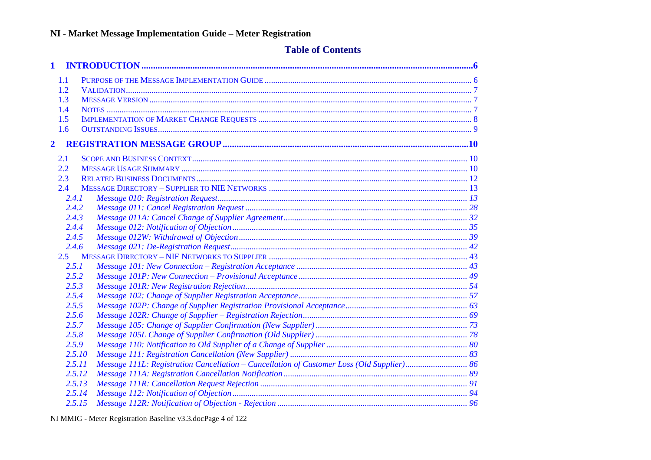# **Table of Contents**

| 1              |  |
|----------------|--|
| 1.1            |  |
| 1.2            |  |
| 1.3            |  |
| 1.4            |  |
| 1.5            |  |
| 1.6            |  |
| $\mathbf{2}$   |  |
| 2.1            |  |
| 2.2            |  |
| 2.3            |  |
| 2.4            |  |
| 2.4.1          |  |
| 2.4.2          |  |
| 2.4.3          |  |
| 2.4.4          |  |
| 2.4.5          |  |
| 2.4.6          |  |
|                |  |
| 2.5.1          |  |
| 2.5.2          |  |
| 2.5.3<br>2.5.4 |  |
| 2.5.5          |  |
| 2.5.6          |  |
| 2.5.7          |  |
| 2.5.8          |  |
| 2.5.9          |  |
| 2.5.10         |  |
| 2.5.11         |  |
| 2.5.12         |  |
| 2.5.13         |  |
| 2.5.14         |  |
| 2.5.15         |  |

NI MMIG - Meter Registration Baseline v3.3.docPage 4 of 122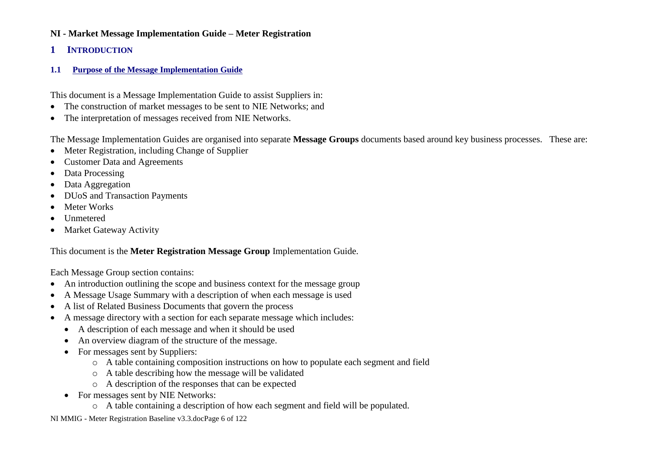# **1 INTRODUCTION**

### **1.1 Purpose of the Message Implementation Guide**

This document is a Message Implementation Guide to assist Suppliers in:

- The construction of market messages to be sent to NIE Networks; and
- The interpretation of messages received from NIE Networks.

The Message Implementation Guides are organised into separate **Message Groups** documents based around key business processes. These are:

- Meter Registration, including Change of Supplier
- Customer Data and Agreements
- Data Processing
- Data Aggregation
- DU<sub>o</sub>S and Transaction Payments
- Meter Works
- Unmetered
- Market Gateway Activity

This document is the **Meter Registration Message Group** Implementation Guide.

Each Message Group section contains:

- An introduction outlining the scope and business context for the message group
- A Message Usage Summary with a description of when each message is used
- A list of Related Business Documents that govern the process
- A message directory with a section for each separate message which includes:
	- A description of each message and when it should be used
	- An overview diagram of the structure of the message.
	- For messages sent by Suppliers:
		- o A table containing composition instructions on how to populate each segment and field
		- o A table describing how the message will be validated
		- o A description of the responses that can be expected
	- For messages sent by NIE Networks:
		- o A table containing a description of how each segment and field will be populated.

#### NI MMIG - Meter Registration Baseline v3.3.docPage 6 of 122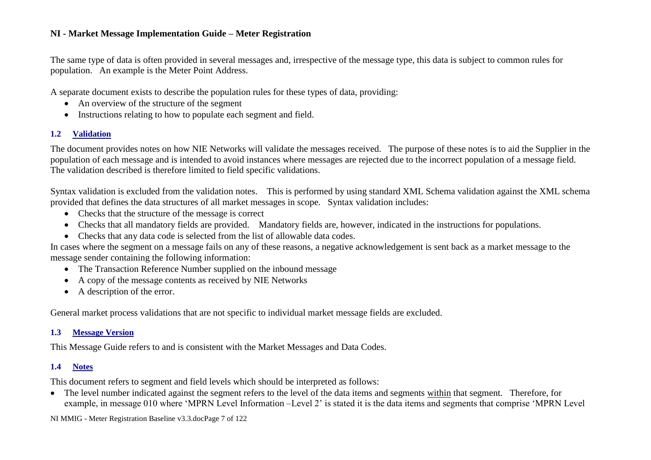The same type of data is often provided in several messages and, irrespective of the message type, this data is subject to common rules for population. An example is the Meter Point Address.

A separate document exists to describe the population rules for these types of data, providing:

- An overview of the structure of the segment
- Instructions relating to how to populate each segment and field.

### **1.2 Validation**

The document provides notes on how NIE Networks will validate the messages received. The purpose of these notes is to aid the Supplier in the population of each message and is intended to avoid instances where messages are rejected due to the incorrect population of a message field. The validation described is therefore limited to field specific validations.

Syntax validation is excluded from the validation notes. This is performed by using standard XML Schema validation against the XML schema provided that defines the data structures of all market messages in scope. Syntax validation includes:

- Checks that the structure of the message is correct
- Checks that all mandatory fields are provided. Mandatory fields are, however, indicated in the instructions for populations.
- Checks that any data code is selected from the list of allowable data codes.

In cases where the segment on a message fails on any of these reasons, a negative acknowledgement is sent back as a market message to the message sender containing the following information:

- The Transaction Reference Number supplied on the inbound message
- A copy of the message contents as received by NIE Networks
- A description of the error.

General market process validations that are not specific to individual market message fields are excluded.

### **1.3 Message Version**

This Message Guide refers to and is consistent with the Market Messages and Data Codes.

# **1.4 Notes**

This document refers to segment and field levels which should be interpreted as follows:

• The level number indicated against the segment refers to the level of the data items and segments within that segment. Therefore, for example, in message 010 where 'MPRN Level Information –Level 2' is stated it is the data items and segments that comprise 'MPRN Level

NI MMIG - Meter Registration Baseline v3.3.docPage 7 of 122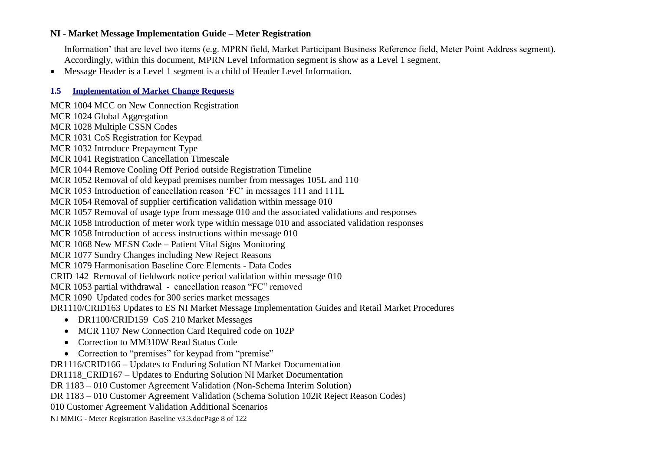Information' that are level two items (e.g. MPRN field, Market Participant Business Reference field, Meter Point Address segment). Accordingly, within this document, MPRN Level Information segment is show as a Level 1 segment.

• Message Header is a Level 1 segment is a child of Header Level Information.

#### **1.5 Implementation of Market Change Requests**

NI MMIG - Meter Registration Baseline v3.3.docPage 8 of 122 MCR 1004 MCC on New Connection Registration MCR 1024 Global Aggregation MCR 1028 Multiple CSSN Codes MCR 1031 CoS Registration for Keypad MCR 1032 Introduce Prepayment Type MCR 1041 Registration Cancellation Timescale MCR 1044 Remove Cooling Off Period outside Registration Timeline MCR 1052 Removal of old keypad premises number from messages 105L and 110 MCR 1053 Introduction of cancellation reason 'FC' in messages 111 and 111L MCR 1054 Removal of supplier certification validation within message 010 MCR 1057 Removal of usage type from message 010 and the associated validations and responses MCR 1058 Introduction of meter work type within message 010 and associated validation responses MCR 1058 Introduction of access instructions within message 010 MCR 1068 New MESN Code – Patient Vital Signs Monitoring MCR 1077 Sundry Changes including New Reject Reasons MCR 1079 Harmonisation Baseline Core Elements - Data Codes CRID 142 Removal of fieldwork notice period validation within message 010 MCR 1053 partial withdrawal - cancellation reason "FC" removed MCR 1090 Updated codes for 300 series market messages DR1110/CRID163 Updates to ES NI Market Message Implementation Guides and Retail Market Procedures • DR1100/CRID159 CoS 210 Market Messages • MCR 1107 New Connection Card Required code on 102P • Correction to MM310W Read Status Code • Correction to "premises" for keypad from "premise" DR1116/CRID166 – Updates to Enduring Solution NI Market Documentation DR1118 CRID167 – Updates to Enduring Solution NI Market Documentation DR 1183 – 010 Customer Agreement Validation (Non-Schema Interim Solution) DR 1183 – 010 Customer Agreement Validation (Schema Solution 102R Reject Reason Codes) 010 Customer Agreement Validation Additional Scenarios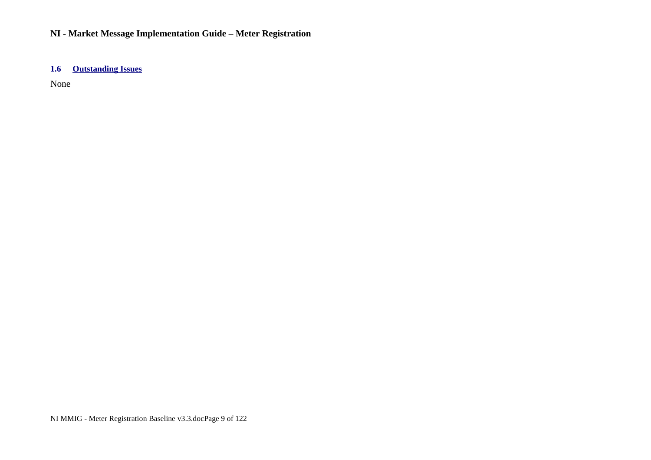# **1.6 Outstanding Issues**

None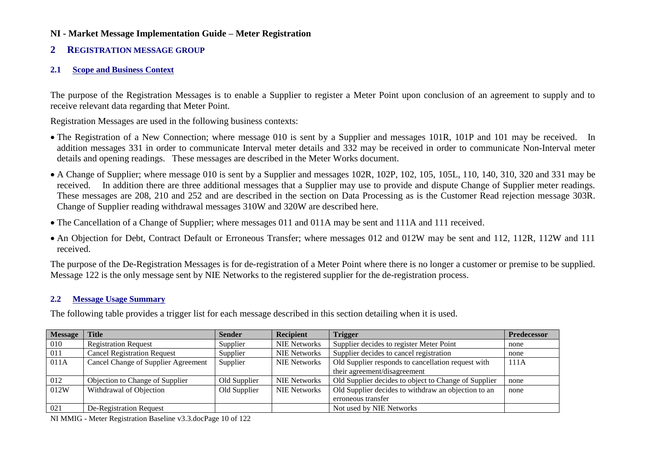# **2 REGISTRATION MESSAGE GROUP**

### **2.1 Scope and Business Context**

The purpose of the Registration Messages is to enable a Supplier to register a Meter Point upon conclusion of an agreement to supply and to receive relevant data regarding that Meter Point.

Registration Messages are used in the following business contexts:

- The Registration of a New Connection; where message 010 is sent by a Supplier and messages 101R, 101P and 101 may be received. In addition messages 331 in order to communicate Interval meter details and 332 may be received in order to communicate Non-Interval meter details and opening readings. These messages are described in the Meter Works document.
- A Change of Supplier; where message 010 is sent by a Supplier and messages 102R, 102P, 102, 105, 105L, 110, 140, 310, 320 and 331 may be received. In addition there are three additional messages that a Supplier may use to provide and dispute Change of Supplier meter readings. These messages are 208, 210 and 252 and are described in the section on Data Processing as is the Customer Read rejection message 303R. Change of Supplier reading withdrawal messages 310W and 320W are described here.
- The Cancellation of a Change of Supplier; where messages 011 and 011A may be sent and 111A and 111 received.
- An Objection for Debt, Contract Default or Erroneous Transfer; where messages 012 and 012W may be sent and 112, 112R, 112W and 111 received.

The purpose of the De-Registration Messages is for de-registration of a Meter Point where there is no longer a customer or premise to be supplied. Message 122 is the only message sent by NIE Networks to the registered supplier for the de-registration process.

# **2.2 Message Usage Summary**

The following table provides a trigger list for each message described in this section detailing when it is used.

| <b>Message</b> | <b>Title</b>                        | <b>Sender</b> | <b>Recipient</b>    | <b>Trigger</b>                                       | <b>Predecessor</b> |
|----------------|-------------------------------------|---------------|---------------------|------------------------------------------------------|--------------------|
| 010            | <b>Registration Request</b>         | Supplier      | <b>NIE Networks</b> | Supplier decides to register Meter Point             | none               |
| 011            | <b>Cancel Registration Request</b>  | Supplier      | <b>NIE Networks</b> | Supplier decides to cancel registration              | none               |
| 011A           | Cancel Change of Supplier Agreement | Supplier      | <b>NIE Networks</b> | Old Supplier responds to cancellation request with   | 111A               |
|                |                                     |               |                     | their agreement/disagreement                         |                    |
| 012            | Objection to Change of Supplier     | Old Supplier  | <b>NIE Networks</b> | Old Supplier decides to object to Change of Supplier | none               |
| 012W           | Withdrawal of Objection             | Old Supplier  | <b>NIE Networks</b> | Old Supplier decides to withdraw an objection to an  | none               |
|                |                                     |               |                     | erroneous transfer                                   |                    |
| 021            | De-Registration Request             |               |                     | Not used by NIE Networks                             |                    |

NI MMIG - Meter Registration Baseline v3.3.docPage 10 of 122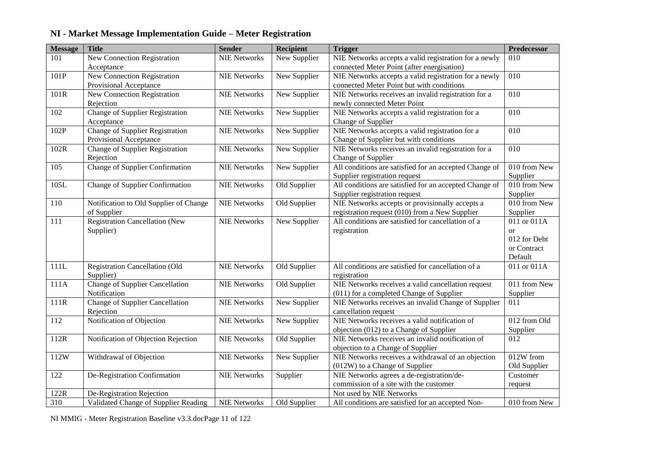| <b>Message</b>   | <b>Title</b>                           | <b>Sender</b>       | <b>Recipient</b> | <b>Trigger</b>                                         | <b>Predecessor</b>        |
|------------------|----------------------------------------|---------------------|------------------|--------------------------------------------------------|---------------------------|
| 101              | New Connection Registration            | <b>NIE Networks</b> | New Supplier     | NIE Networks accepts a valid registration for a newly  | 010                       |
|                  | Acceptance                             |                     |                  | connected Meter Point (after energisation)             |                           |
| 101P             | <b>New Connection Registration</b>     | <b>NIE Networks</b> | New Supplier     | NIE Networks accepts a valid registration for a newly  | $\overline{010}$          |
|                  | Provisional Acceptance                 |                     |                  | connected Meter Point but with conditions              |                           |
| 101R             | New Connection Registration            | <b>NIE Networks</b> | New Supplier     | NIE Networks receives an invalid registration for a    | 010                       |
|                  | Rejection                              |                     |                  | newly connected Meter Point                            |                           |
| 102              | Change of Supplier Registration        | <b>NIE Networks</b> | New Supplier     | NIE Networks accepts a valid registration for a        | 010                       |
|                  | Acceptance                             |                     |                  | Change of Supplier                                     |                           |
| 102P             | <b>Change of Supplier Registration</b> | <b>NIE Networks</b> | New Supplier     | NIE Networks accepts a valid registration for a        | 010                       |
|                  | Provisional Acceptance                 |                     |                  | Change of Supplier but with conditions                 |                           |
| 102R             | Change of Supplier Registration        | <b>NIE Networks</b> | New Supplier     | NIE Networks receives an invalid registration for a    | 010                       |
|                  | Rejection                              |                     |                  | Change of Supplier                                     |                           |
| 105              | <b>Change of Supplier Confirmation</b> | <b>NIE Networks</b> | New Supplier     | All conditions are satisfied for an accepted Change of | 010 from New              |
|                  |                                        |                     |                  | Supplier registration request                          | Supplier                  |
| 105L             | Change of Supplier Confirmation        | <b>NIE Networks</b> | Old Supplier     | All conditions are satisfied for an accepted Change of | 010 from New              |
|                  |                                        |                     |                  | Supplier registration request                          | Supplier                  |
| 110              | Notification to Old Supplier of Change | <b>NIE Networks</b> | Old Supplier     | NIE Networks accepts or provisionally accepts a        | 010 from New              |
|                  | of Supplier                            |                     |                  | registration request (010) from a New Supplier         | Supplier                  |
| 111              | <b>Registration Cancellation (New</b>  | <b>NIE Networks</b> | New Supplier     | All conditions are satisfied for cancellation of a     | 011 or 011A               |
|                  | Supplier)                              |                     |                  | registration                                           | or                        |
|                  |                                        |                     |                  |                                                        | 012 for Debt              |
|                  |                                        |                     |                  |                                                        | or Contract               |
|                  |                                        |                     |                  |                                                        | Default                   |
| 111L             | Registration Cancellation (Old         | <b>NIE Networks</b> | Old Supplier     | All conditions are satisfied for cancellation of a     | 011 or 011A               |
|                  | Supplier)                              |                     |                  | registration                                           |                           |
| 111A             | Change of Supplier Cancellation        | <b>NIE Networks</b> | Old Supplier     | NIE Networks receives a valid cancellation request     | $\overline{011}$ from New |
|                  | Notification                           |                     |                  | (011) for a completed Change of Supplier               | Supplier                  |
| 111R             | Change of Supplier Cancellation        | <b>NIE Networks</b> | New Supplier     | NIE Networks receives an invalid Change of Supplier    | 011                       |
|                  | Rejection                              |                     |                  | cancellation request                                   |                           |
| 112              | Notification of Objection              | <b>NIE Networks</b> | New Supplier     | NIE Networks receives a valid notification of          | 012 from Old              |
|                  |                                        |                     |                  | objection (012) to a Change of Supplier                | Supplier                  |
| 112R             | Notification of Objection Rejection    | <b>NIE Networks</b> | Old Supplier     | NIE Networks receives an invalid notification of       | 012                       |
|                  |                                        |                     |                  | objection to a Change of Supplier                      |                           |
| 112W             | Withdrawal of Objection                | <b>NIE Networks</b> | New Supplier     | NIE Networks receives a withdrawal of an objection     | 012W from                 |
|                  |                                        |                     |                  | (012W) to a Change of Supplier                         | Old Supplier              |
| 122              | De-Registration Confirmation           | <b>NIE Networks</b> | Supplier         | NIE Networks agrees a de-registration/de-              | Customer                  |
|                  |                                        |                     |                  | commission of a site with the customer                 | request                   |
| 122R             | De-Registration Rejection              |                     |                  | Not used by NIE Networks                               |                           |
| $\overline{310}$ | Validated Change of Supplier Reading   | <b>NIE Networks</b> | Old Supplier     | All conditions are satisfied for an accepted Non-      | 010 from New              |

NI MMIG - Meter Registration Baseline v3.3.docPage 11 of 122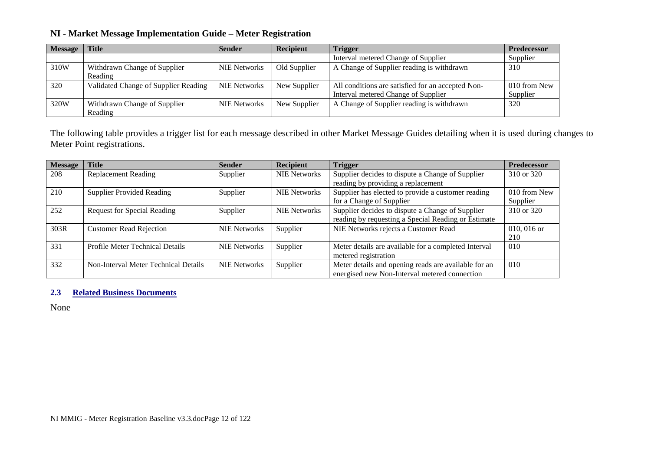| <b>Message</b> | <b>Title</b>                         | <b>Sender</b>       | <b>Recipient</b> | <b>Trigger</b>                                    | <b>Predecessor</b> |
|----------------|--------------------------------------|---------------------|------------------|---------------------------------------------------|--------------------|
|                |                                      |                     |                  | Interval metered Change of Supplier               | Supplier           |
| 310W           | Withdrawn Change of Supplier         | <b>NIE Networks</b> | Old Supplier     | A Change of Supplier reading is withdrawn         | 310                |
|                | Reading                              |                     |                  |                                                   |                    |
| 320            | Validated Change of Supplier Reading | <b>NIE Networks</b> | New Supplier     | All conditions are satisfied for an accepted Non- | 010 from New       |
|                |                                      |                     |                  | Interval metered Change of Supplier               | Supplier           |
| 320W           | Withdrawn Change of Supplier         | <b>NIE Networks</b> | New Supplier     | A Change of Supplier reading is withdrawn         | 320                |
|                | Reading                              |                     |                  |                                                   |                    |

The following table provides a trigger list for each message described in other Market Message Guides detailing when it is used during changes to Meter Point registrations.

| <b>Message</b> | <b>Title</b>                         | <b>Sender</b>       | <b>Recipient</b>    | <b>Trigger</b>                                       | <b>Predecessor</b> |
|----------------|--------------------------------------|---------------------|---------------------|------------------------------------------------------|--------------------|
| 208            | <b>Replacement Reading</b>           | Supplier            | <b>NIE Networks</b> | Supplier decides to dispute a Change of Supplier     | 310 or 320         |
|                |                                      |                     |                     | reading by providing a replacement                   |                    |
| 210            | <b>Supplier Provided Reading</b>     | Supplier            | <b>NIE Networks</b> | Supplier has elected to provide a customer reading   | 010 from New       |
|                |                                      |                     |                     | for a Change of Supplier                             | Supplier           |
| 252            | <b>Request for Special Reading</b>   | Supplier            | <b>NIE Networks</b> | Supplier decides to dispute a Change of Supplier     | 310 or 320         |
|                |                                      |                     |                     | reading by requesting a Special Reading or Estimate  |                    |
| 303R           | <b>Customer Read Rejection</b>       | <b>NIE Networks</b> | Supplier            | NIE Networks rejects a Customer Read                 | $010.016$ or       |
|                |                                      |                     |                     |                                                      | 210                |
| 331            | Profile Meter Technical Details      | <b>NIE Networks</b> | Supplier            | Meter details are available for a completed Interval | 010                |
|                |                                      |                     |                     | metered registration                                 |                    |
| 332            | Non-Interval Meter Technical Details | <b>NIE Networks</b> | Supplier            | Meter details and opening reads are available for an | 010                |
|                |                                      |                     |                     | energised new Non-Interval metered connection        |                    |

### **2.3 Related Business Documents**

None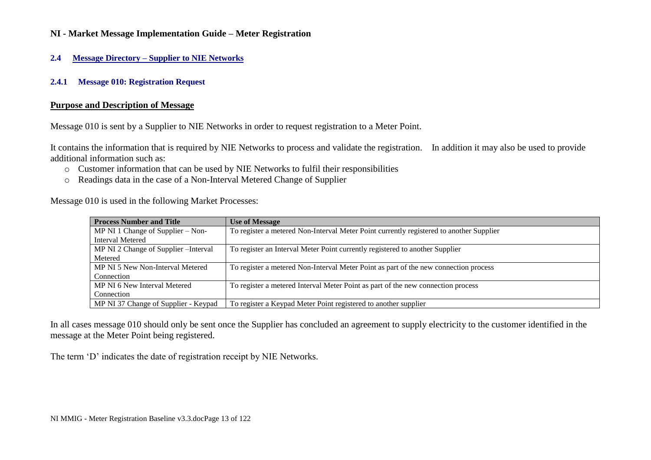### **2.4 Message Directory – Supplier to NIE Networks**

### **2.4.1 Message 010: Registration Request**

#### **Purpose and Description of Message**

Message 010 is sent by a Supplier to NIE Networks in order to request registration to a Meter Point.

It contains the information that is required by NIE Networks to process and validate the registration. In addition it may also be used to provide additional information such as:

- o Customer information that can be used by NIE Networks to fulfil their responsibilities
- o Readings data in the case of a Non-Interval Metered Change of Supplier

Message 010 is used in the following Market Processes:

| <b>Process Number and Title</b>       | <b>Use of Message</b>                                                                   |  |  |  |  |
|---------------------------------------|-----------------------------------------------------------------------------------------|--|--|--|--|
| $MP NI 1 Change of Supplier - Non-$   | To register a metered Non-Interval Meter Point currently registered to another Supplier |  |  |  |  |
| <b>Interval Metered</b>               |                                                                                         |  |  |  |  |
| MP NI 2 Change of Supplier – Interval | To register an Interval Meter Point currently registered to another Supplier            |  |  |  |  |
| Metered                               |                                                                                         |  |  |  |  |
| MP NI 5 New Non-Interval Metered      | To register a metered Non-Interval Meter Point as part of the new connection process    |  |  |  |  |
| Connection                            |                                                                                         |  |  |  |  |
| MP NI 6 New Interval Metered          | To register a metered Interval Meter Point as part of the new connection process        |  |  |  |  |
| Connection                            |                                                                                         |  |  |  |  |
| MP NI 37 Change of Supplier - Keypad  | To register a Keypad Meter Point registered to another supplier                         |  |  |  |  |

In all cases message 010 should only be sent once the Supplier has concluded an agreement to supply electricity to the customer identified in the message at the Meter Point being registered.

The term 'D' indicates the date of registration receipt by NIE Networks.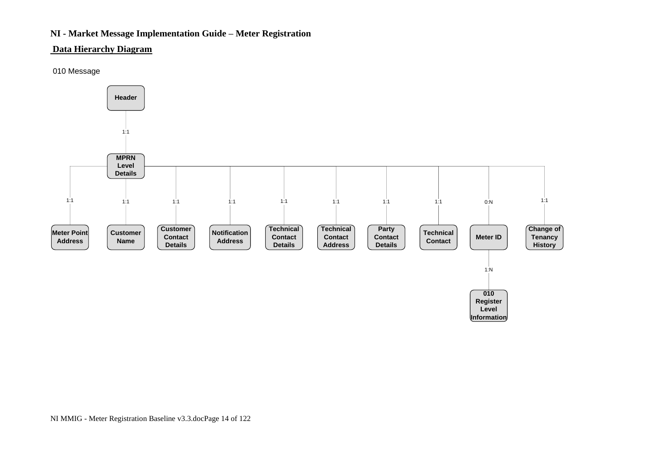### **Data Hierarchy Diagram**

010 Message

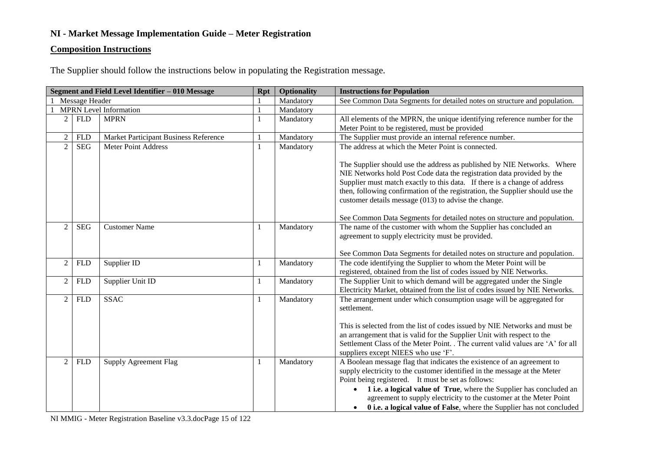### **Composition Instructions**

The Supplier should follow the instructions below in populating the Registration message.

|                |                | Segment and Field Level Identifier - 010 Message | <b>Rpt</b> | <b>Optionality</b> | <b>Instructions for Population</b>                                                                                                                        |
|----------------|----------------|--------------------------------------------------|------------|--------------------|-----------------------------------------------------------------------------------------------------------------------------------------------------------|
|                | Message Header |                                                  |            | Mandatory          | See Common Data Segments for detailed notes on structure and population.                                                                                  |
|                |                | <b>MPRN</b> Level Information                    |            | Mandatory          |                                                                                                                                                           |
| 2              | <b>FLD</b>     | <b>MPRN</b>                                      |            | Mandatory          | All elements of the MPRN, the unique identifying reference number for the                                                                                 |
|                |                |                                                  |            |                    | Meter Point to be registered, must be provided                                                                                                            |
| $\overline{2}$ | <b>FLD</b>     | Market Participant Business Reference            |            | Mandatory          | The Supplier must provide an internal reference number.                                                                                                   |
| $\overline{2}$ | <b>SEG</b>     | Meter Point Address                              |            | Mandatory          | The address at which the Meter Point is connected.                                                                                                        |
|                |                |                                                  |            |                    |                                                                                                                                                           |
|                |                |                                                  |            |                    | The Supplier should use the address as published by NIE Networks. Where                                                                                   |
|                |                |                                                  |            |                    | NIE Networks hold Post Code data the registration data provided by the                                                                                    |
|                |                |                                                  |            |                    | Supplier must match exactly to this data. If there is a change of address                                                                                 |
|                |                |                                                  |            |                    | then, following confirmation of the registration, the Supplier should use the                                                                             |
|                |                |                                                  |            |                    | customer details message (013) to advise the change.                                                                                                      |
|                |                |                                                  |            |                    |                                                                                                                                                           |
|                |                |                                                  |            |                    | See Common Data Segments for detailed notes on structure and population.                                                                                  |
| 2              | <b>SEG</b>     | <b>Customer Name</b>                             |            | Mandatory          | The name of the customer with whom the Supplier has concluded an                                                                                          |
|                |                |                                                  |            |                    | agreement to supply electricity must be provided.                                                                                                         |
|                |                |                                                  |            |                    |                                                                                                                                                           |
|                |                |                                                  |            |                    | See Common Data Segments for detailed notes on structure and population.                                                                                  |
| $\overline{c}$ | <b>FLD</b>     | Supplier ID                                      |            | Mandatory          | The code identifying the Supplier to whom the Meter Point will be                                                                                         |
|                |                |                                                  |            |                    | registered, obtained from the list of codes issued by NIE Networks.                                                                                       |
| $\overline{2}$ | <b>FLD</b>     | Supplier Unit ID                                 | 1          | Mandatory          | The Supplier Unit to which demand will be aggregated under the Single                                                                                     |
|                |                |                                                  |            |                    | Electricity Market, obtained from the list of codes issued by NIE Networks.                                                                               |
| $\overline{2}$ | <b>FLD</b>     | <b>SSAC</b>                                      |            | Mandatory          | The arrangement under which consumption usage will be aggregated for                                                                                      |
|                |                |                                                  |            |                    | settlement.                                                                                                                                               |
|                |                |                                                  |            |                    |                                                                                                                                                           |
|                |                |                                                  |            |                    | This is selected from the list of codes issued by NIE Networks and must be                                                                                |
|                |                |                                                  |            |                    | an arrangement that is valid for the Supplier Unit with respect to the<br>Settlement Class of the Meter Point. . The current valid values are 'A' for all |
|                |                |                                                  |            |                    | suppliers except NIEES who use 'F'.                                                                                                                       |
| $\overline{2}$ | <b>FLD</b>     | <b>Supply Agreement Flag</b>                     |            | Mandatory          | A Boolean message flag that indicates the existence of an agreement to                                                                                    |
|                |                |                                                  |            |                    | supply electricity to the customer identified in the message at the Meter                                                                                 |
|                |                |                                                  |            |                    | Point being registered. It must be set as follows:                                                                                                        |
|                |                |                                                  |            |                    | 1 i.e. a logical value of True, where the Supplier has concluded an                                                                                       |
|                |                |                                                  |            |                    | agreement to supply electricity to the customer at the Meter Point                                                                                        |
|                |                |                                                  |            |                    |                                                                                                                                                           |
|                |                |                                                  |            |                    | 0 i.e. a logical value of False, where the Supplier has not concluded<br>$\bullet$                                                                        |

NI MMIG - Meter Registration Baseline v3.3.docPage 15 of 122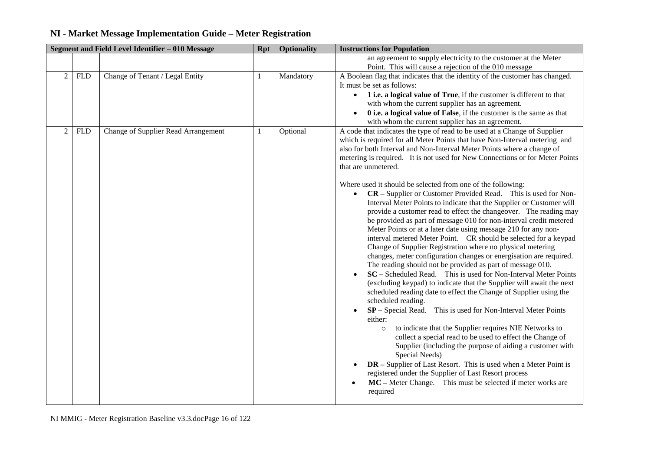|                |            | Segment and Field Level Identifier - 010 Message | <b>Instructions for Population</b> |           |                                                                                                                                                                                                                                                                                                                                                                                                                                                                                                                                                                                                                                                                                                                                                                                                                                                                                                                                                                                                                                                                                                                                                                                                                                                                                                                                                                                                                                                                                                                                                                                                                                                                                                                                                                                                                        |
|----------------|------------|--------------------------------------------------|------------------------------------|-----------|------------------------------------------------------------------------------------------------------------------------------------------------------------------------------------------------------------------------------------------------------------------------------------------------------------------------------------------------------------------------------------------------------------------------------------------------------------------------------------------------------------------------------------------------------------------------------------------------------------------------------------------------------------------------------------------------------------------------------------------------------------------------------------------------------------------------------------------------------------------------------------------------------------------------------------------------------------------------------------------------------------------------------------------------------------------------------------------------------------------------------------------------------------------------------------------------------------------------------------------------------------------------------------------------------------------------------------------------------------------------------------------------------------------------------------------------------------------------------------------------------------------------------------------------------------------------------------------------------------------------------------------------------------------------------------------------------------------------------------------------------------------------------------------------------------------------|
|                |            |                                                  |                                    |           | an agreement to supply electricity to the customer at the Meter                                                                                                                                                                                                                                                                                                                                                                                                                                                                                                                                                                                                                                                                                                                                                                                                                                                                                                                                                                                                                                                                                                                                                                                                                                                                                                                                                                                                                                                                                                                                                                                                                                                                                                                                                        |
|                |            |                                                  |                                    |           | Point. This will cause a rejection of the 010 message                                                                                                                                                                                                                                                                                                                                                                                                                                                                                                                                                                                                                                                                                                                                                                                                                                                                                                                                                                                                                                                                                                                                                                                                                                                                                                                                                                                                                                                                                                                                                                                                                                                                                                                                                                  |
| $\overline{2}$ | <b>FLD</b> | Change of Tenant / Legal Entity                  | 1                                  | Mandatory | A Boolean flag that indicates that the identity of the customer has changed.<br>It must be set as follows:<br>1 i.e. a logical value of True, if the customer is different to that<br>$\bullet$<br>with whom the current supplier has an agreement.<br>0 i.e. a logical value of False, if the customer is the same as that<br>with whom the current supplier has an agreement.                                                                                                                                                                                                                                                                                                                                                                                                                                                                                                                                                                                                                                                                                                                                                                                                                                                                                                                                                                                                                                                                                                                                                                                                                                                                                                                                                                                                                                        |
| 2              | <b>FLD</b> | Change of Supplier Read Arrangement              | -1                                 | Optional  | A code that indicates the type of read to be used at a Change of Supplier<br>which is required for all Meter Points that have Non-Interval metering and<br>also for both Interval and Non-Interval Meter Points where a change of<br>metering is required. It is not used for New Connections or for Meter Points<br>that are unmetered.<br>Where used it should be selected from one of the following:<br><b>CR</b> – Supplier or Customer Provided Read. This is used for Non-<br>$\bullet$<br>Interval Meter Points to indicate that the Supplier or Customer will<br>provide a customer read to effect the changeover. The reading may<br>be provided as part of message 010 for non-interval credit metered<br>Meter Points or at a later date using message 210 for any non-<br>interval metered Meter Point. CR should be selected for a keypad<br>Change of Supplier Registration where no physical metering<br>changes, meter configuration changes or energisation are required.<br>The reading should not be provided as part of message 010.<br>SC – Scheduled Read. This is used for Non-Interval Meter Points<br>(excluding keypad) to indicate that the Supplier will await the next<br>scheduled reading date to effect the Change of Supplier using the<br>scheduled reading.<br>SP - Special Read. This is used for Non-Interval Meter Points<br>$\bullet$<br>either:<br>to indicate that the Supplier requires NIE Networks to<br>$\circ$<br>collect a special read to be used to effect the Change of<br>Supplier (including the purpose of aiding a customer with<br>Special Needs)<br><b>DR</b> – Supplier of Last Resort. This is used when a Meter Point is<br>registered under the Supplier of Last Resort process<br>MC - Meter Change. This must be selected if meter works are<br>required |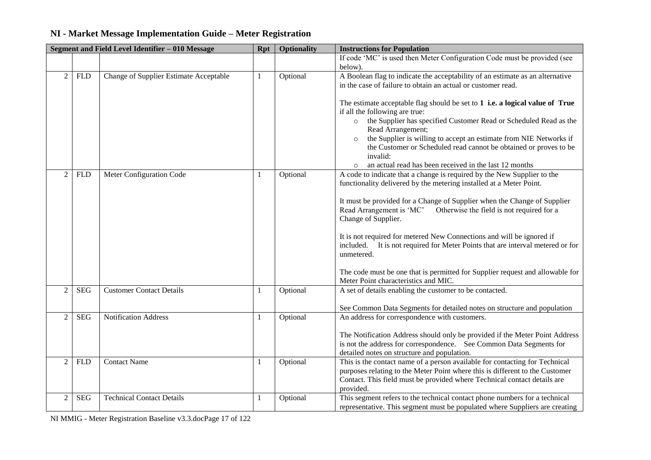| NI - Market Message Implementation Guide - Meter Registration |  |
|---------------------------------------------------------------|--|
|---------------------------------------------------------------|--|

|                |            | Segment and Field Level Identifier - 010 Message | <b>Rpt</b>   | <b>Optionality</b> | <b>Instructions for Population</b>                                                                                                                                                                                                                                                                                                                                                                                                                                                                                                                                                                                           |
|----------------|------------|--------------------------------------------------|--------------|--------------------|------------------------------------------------------------------------------------------------------------------------------------------------------------------------------------------------------------------------------------------------------------------------------------------------------------------------------------------------------------------------------------------------------------------------------------------------------------------------------------------------------------------------------------------------------------------------------------------------------------------------------|
|                |            |                                                  |              |                    | If code 'MC' is used then Meter Configuration Code must be provided (see                                                                                                                                                                                                                                                                                                                                                                                                                                                                                                                                                     |
|                |            |                                                  |              |                    | below).                                                                                                                                                                                                                                                                                                                                                                                                                                                                                                                                                                                                                      |
| $\overline{2}$ | <b>FLD</b> | Change of Supplier Estimate Acceptable           | 1            | Optional           | A Boolean flag to indicate the acceptability of an estimate as an alternative<br>in the case of failure to obtain an actual or customer read.                                                                                                                                                                                                                                                                                                                                                                                                                                                                                |
|                |            |                                                  |              |                    | The estimate acceptable flag should be set to $1$ i.e. a logical value of True<br>if all the following are true:<br>the Supplier has specified Customer Read or Scheduled Read as the<br>$\circ$<br>Read Arrangement;<br>the Supplier is willing to accept an estimate from NIE Networks if<br>$\circ$<br>the Customer or Scheduled read cannot be obtained or proves to be<br>invalid:<br>an actual read has been received in the last 12 months<br>$\circ$                                                                                                                                                                 |
| $\overline{2}$ | <b>FLD</b> | Meter Configuration Code                         | -1           | Optional           | A code to indicate that a change is required by the New Supplier to the<br>functionality delivered by the metering installed at a Meter Point.<br>It must be provided for a Change of Supplier when the Change of Supplier<br>Read Arrangement is 'MC'<br>Otherwise the field is not required for a<br>Change of Supplier.<br>It is not required for metered New Connections and will be ignored if<br>included. It is not required for Meter Points that are interval metered or for<br>unmetered.<br>The code must be one that is permitted for Supplier request and allowable for<br>Meter Point characteristics and MIC. |
| $\overline{2}$ | <b>SEG</b> | <b>Customer Contact Details</b>                  |              | Optional           | A set of details enabling the customer to be contacted.<br>See Common Data Segments for detailed notes on structure and population                                                                                                                                                                                                                                                                                                                                                                                                                                                                                           |
| $\overline{2}$ | <b>SEG</b> | <b>Notification Address</b>                      | -1           | Optional           | An address for correspondence with customers.<br>The Notification Address should only be provided if the Meter Point Address<br>is not the address for correspondence. See Common Data Segments for<br>detailed notes on structure and population.                                                                                                                                                                                                                                                                                                                                                                           |
| 2              | <b>FLD</b> | <b>Contact Name</b>                              |              | Optional           | This is the contact name of a person available for contacting for Technical<br>purposes relating to the Meter Point where this is different to the Customer<br>Contact. This field must be provided where Technical contact details are<br>provided.                                                                                                                                                                                                                                                                                                                                                                         |
| $\overline{2}$ | <b>SEG</b> | <b>Technical Contact Details</b>                 | $\mathbf{1}$ | Optional           | This segment refers to the technical contact phone numbers for a technical<br>representative. This segment must be populated where Suppliers are creating                                                                                                                                                                                                                                                                                                                                                                                                                                                                    |

NI MMIG - Meter Registration Baseline v3.3.docPage 17 of 122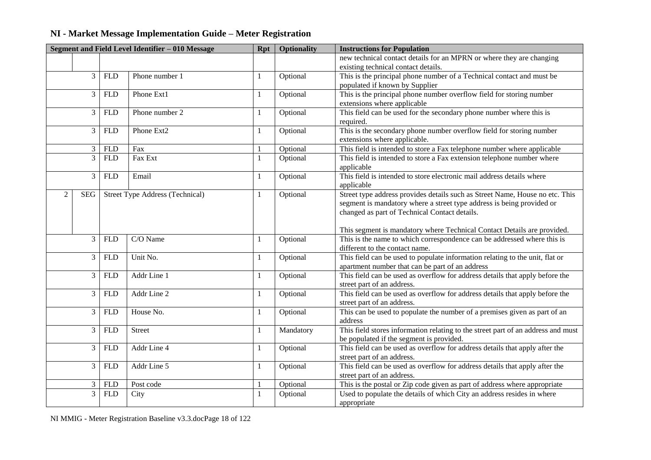|   | Segment and Field Level Identifier - 010 Message |                    |                                        | Rpt          | <b>Optionality</b> | <b>Instructions for Population</b>                                               |
|---|--------------------------------------------------|--------------------|----------------------------------------|--------------|--------------------|----------------------------------------------------------------------------------|
|   |                                                  |                    |                                        |              |                    | new technical contact details for an MPRN or where they are changing             |
|   |                                                  |                    |                                        |              |                    | existing technical contact details.                                              |
|   | 3                                                | <b>FLD</b>         | Phone number 1                         |              | Optional           | This is the principal phone number of a Technical contact and must be            |
|   |                                                  |                    |                                        |              |                    | populated if known by Supplier                                                   |
|   | 3                                                | <b>FLD</b>         | Phone Ext1                             | 1            | Optional           | This is the principal phone number overflow field for storing number             |
|   |                                                  |                    |                                        |              |                    | extensions where applicable                                                      |
|   | 3                                                | ${\hbox{\rm FLD}}$ | Phone number 2                         |              | Optional           | This field can be used for the secondary phone number where this is              |
|   |                                                  |                    |                                        |              |                    | required.                                                                        |
|   | 3                                                | <b>FLD</b>         | Phone Ext2                             | 1            | Optional           | This is the secondary phone number overflow field for storing number             |
|   |                                                  |                    |                                        |              |                    | extensions where applicable.                                                     |
|   | $\mathfrak{Z}$                                   | <b>FLD</b>         | Fax                                    |              | Optional           | This field is intended to store a Fax telephone number where applicable          |
|   | $\overline{3}$                                   | <b>FLD</b>         | Fax Ext                                | $\mathbf{1}$ | Optional           | This field is intended to store a Fax extension telephone number where           |
|   |                                                  |                    |                                        |              |                    | applicable                                                                       |
|   | 3                                                | <b>FLD</b>         | Email                                  | 1            | Optional           | This field is intended to store electronic mail address details where            |
|   |                                                  |                    |                                        |              |                    | applicable                                                                       |
| 2 | <b>SEG</b>                                       |                    | <b>Street Type Address (Technical)</b> |              | Optional           | Street type address provides details such as Street Name, House no etc. This     |
|   |                                                  |                    |                                        |              |                    | segment is mandatory where a street type address is being provided or            |
|   |                                                  |                    |                                        |              |                    | changed as part of Technical Contact details.                                    |
|   |                                                  |                    |                                        |              |                    |                                                                                  |
|   |                                                  |                    |                                        |              |                    | This segment is mandatory where Technical Contact Details are provided.          |
|   | 3                                                | <b>FLD</b>         | C/O Name                               | 1            | Optional           | This is the name to which correspondence can be addressed where this is          |
|   |                                                  |                    |                                        |              |                    | different to the contact name.                                                   |
|   | 3                                                | <b>FLD</b>         | Unit No.                               | 1            | Optional           | This field can be used to populate information relating to the unit, flat or     |
|   |                                                  |                    |                                        |              |                    | apartment number that can be part of an address                                  |
|   | 3                                                | <b>FLD</b>         | Addr Line 1                            | $\mathbf{1}$ | Optional           | This field can be used as overflow for address details that apply before the     |
|   |                                                  |                    |                                        |              |                    | street part of an address.                                                       |
|   | 3                                                | <b>FLD</b>         | Addr Line 2                            | 1            | Optional           | This field can be used as overflow for address details that apply before the     |
|   |                                                  |                    |                                        |              |                    | street part of an address.                                                       |
|   | 3                                                | <b>FLD</b>         | House No.                              | 1            | Optional           | This can be used to populate the number of a premises given as part of an        |
|   |                                                  |                    |                                        |              |                    | address                                                                          |
|   | 3                                                | <b>FLD</b>         | <b>Street</b>                          | 1            | Mandatory          | This field stores information relating to the street part of an address and must |
|   |                                                  |                    |                                        |              |                    | be populated if the segment is provided.                                         |
|   | 3                                                | <b>FLD</b>         | Addr Line 4                            | 1            | Optional           | This field can be used as overflow for address details that apply after the      |
|   |                                                  |                    |                                        |              |                    | street part of an address.                                                       |
|   | 3                                                | <b>FLD</b>         | Addr Line 5                            | 1            | Optional           | This field can be used as overflow for address details that apply after the      |
|   |                                                  |                    |                                        |              |                    | street part of an address.                                                       |
|   | 3                                                | <b>FLD</b>         | Post code                              |              | Optional           | This is the postal or Zip code given as part of address where appropriate        |
|   | $\overline{3}$                                   | <b>FLD</b>         | City                                   | $\mathbf{1}$ | Optional           | Used to populate the details of which City an address resides in where           |
|   |                                                  |                    |                                        |              |                    | appropriate                                                                      |

NI MMIG - Meter Registration Baseline v3.3.docPage 18 of 122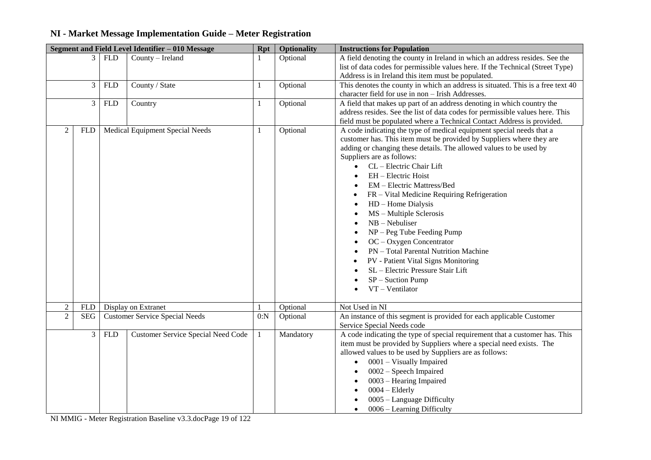#### **Segment and Field Level Identifier** – 010 Message<br> **Rpt Optionality Instructions for Population**<br> **A** field denoting the county in 3 FLD County – Ireland 1 Optional A field denoting the county in Ireland in which an address resides. See the list of data codes for permissible values here. If the Technical (Street Type) Address is in Ireland this item must be populated. 3 FLD County / State 1 Optional This denotes the county in which an address is situated. This is a free text 40 character field for use in non – Irish Addresses. 3 FLD Country 2 1 Optional A field that makes up part of an address denoting in which country the address resides. See the list of data codes for permissible values here. This field must be populated where a Technical Contact Address is provided. 2 | FLD | Medical Equipment Special Needs | 1 | Optional | A code indicating the type of medical equipment special needs that a customer has. This item must be provided by Suppliers where they are adding or changing these details. The allowed values to be used by Suppliers are as follows: • CL – Electric Chair Lift • EH – Electric Hoist • EM – Electric Mattress/Bed • FR – Vital Medicine Requiring Refrigeration • HD – Home Dialysis MS – Multiple Sclerosis •  $NB - Nebuliser$ • NP – Peg Tube Feeding Pump • OC – Oxygen Concentrator • PN – Total Parental Nutrition Machine • PV - Patient Vital Signs Monitoring • SL – Electric Pressure Stair Lift • SP – Suction Pump • VT – Ventilator 2 FLD Display on Extranet 1 Optional Not Used in NI 2 SEG Customer Service Special Needs 0:N Optional An instance of this segment is provided for each applicable Customer Service Special Needs code 3 FLD Customer Service Special Need Code 1 Mandatory A code indicating the type of special requirement that a customer has. This item must be provided by Suppliers where a special need exists. The allowed values to be used by Suppliers are as follows:  $\bullet$  0001 – Visually Impaired  $\bullet$  0002 – Speech Impaired • 0003 – Hearing Impaired  $\bullet$  0004 – Elderly • 0005 – Language Difficulty • 0006 – Learning Difficulty

#### **NI - Market Message Implementation Guide – Meter Registration**

NI MMIG - Meter Registration Baseline v3.3.docPage 19 of 122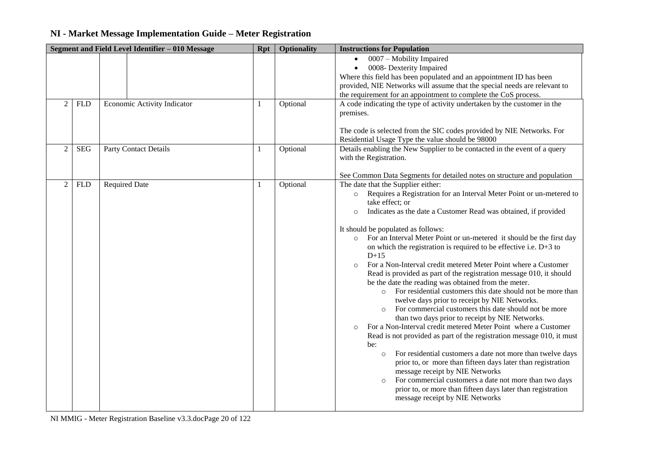| Segment and Field Level Identifier - 010 Message<br><b>Optionality</b><br><b>Instructions for Population</b><br><b>Rpt</b> |            |                             |   |          |                                                                                                                                                                                                                                                                                                                                                                                                                                                                                                                                                                                                                                                                                                                                                                                                                                                                                                                                                                                                                                                                                                                                                                                                                                                                                                                                                                                                               |
|----------------------------------------------------------------------------------------------------------------------------|------------|-----------------------------|---|----------|---------------------------------------------------------------------------------------------------------------------------------------------------------------------------------------------------------------------------------------------------------------------------------------------------------------------------------------------------------------------------------------------------------------------------------------------------------------------------------------------------------------------------------------------------------------------------------------------------------------------------------------------------------------------------------------------------------------------------------------------------------------------------------------------------------------------------------------------------------------------------------------------------------------------------------------------------------------------------------------------------------------------------------------------------------------------------------------------------------------------------------------------------------------------------------------------------------------------------------------------------------------------------------------------------------------------------------------------------------------------------------------------------------------|
|                                                                                                                            |            |                             |   |          | 0007 - Mobility Impaired<br>0008- Dexterity Impaired<br>$\bullet$<br>Where this field has been populated and an appointment ID has been<br>provided, NIE Networks will assume that the special needs are relevant to<br>the requirement for an appointment to complete the CoS process.                                                                                                                                                                                                                                                                                                                                                                                                                                                                                                                                                                                                                                                                                                                                                                                                                                                                                                                                                                                                                                                                                                                       |
| 2                                                                                                                          | <b>FLD</b> | Economic Activity Indicator | 1 | Optional | A code indicating the type of activity undertaken by the customer in the<br>premises.<br>The code is selected from the SIC codes provided by NIE Networks. For<br>Residential Usage Type the value should be 98000                                                                                                                                                                                                                                                                                                                                                                                                                                                                                                                                                                                                                                                                                                                                                                                                                                                                                                                                                                                                                                                                                                                                                                                            |
| $\mathfrak{2}$                                                                                                             | <b>SEG</b> | Party Contact Details       | 1 | Optional | Details enabling the New Supplier to be contacted in the event of a query<br>with the Registration.<br>See Common Data Segments for detailed notes on structure and population                                                                                                                                                                                                                                                                                                                                                                                                                                                                                                                                                                                                                                                                                                                                                                                                                                                                                                                                                                                                                                                                                                                                                                                                                                |
| 2                                                                                                                          | <b>FLD</b> | <b>Required Date</b>        | 1 | Optional | The date that the Supplier either:<br>Requires a Registration for an Interval Meter Point or un-metered to<br>$\circ$<br>take effect; or<br>Indicates as the date a Customer Read was obtained, if provided<br>$\circ$<br>It should be populated as follows:<br>For an Interval Meter Point or un-metered it should be the first day<br>$\circ$<br>on which the registration is required to be effective i.e. $D+3$ to<br>$D+15$<br>For a Non-Interval credit metered Meter Point where a Customer<br>$\circ$<br>Read is provided as part of the registration message 010, it should<br>be the date the reading was obtained from the meter.<br>For residential customers this date should not be more than<br>$\circ$<br>twelve days prior to receipt by NIE Networks.<br>For commercial customers this date should not be more<br>$\circ$<br>than two days prior to receipt by NIE Networks.<br>For a Non-Interval credit metered Meter Point where a Customer<br>$\circ$<br>Read is not provided as part of the registration message 010, it must<br>be:<br>For residential customers a date not more than twelve days<br>$\circ$<br>prior to, or more than fifteen days later than registration<br>message receipt by NIE Networks<br>For commercial customers a date not more than two days<br>$\circ$<br>prior to, or more than fifteen days later than registration<br>message receipt by NIE Networks |

NI MMIG - Meter Registration Baseline v3.3.docPage 20 of 122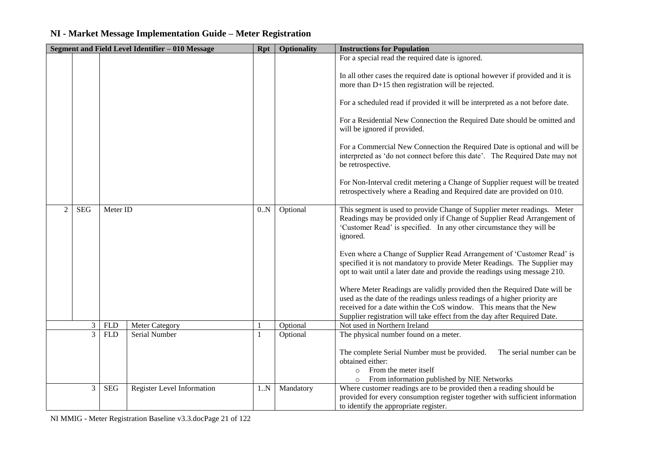| Segment and Field Level Identifier - 010 Message<br><b>Rpt</b> |            |                            |              | <b>Optionality</b> | <b>Instructions for Population</b>                                                                                                                                                                                                                                                                      |
|----------------------------------------------------------------|------------|----------------------------|--------------|--------------------|---------------------------------------------------------------------------------------------------------------------------------------------------------------------------------------------------------------------------------------------------------------------------------------------------------|
|                                                                |            |                            |              |                    | For a special read the required date is ignored.                                                                                                                                                                                                                                                        |
|                                                                |            |                            |              |                    | In all other cases the required date is optional however if provided and it is<br>more than D+15 then registration will be rejected.                                                                                                                                                                    |
|                                                                |            |                            |              |                    | For a scheduled read if provided it will be interpreted as a not before date.                                                                                                                                                                                                                           |
|                                                                |            |                            |              |                    | For a Residential New Connection the Required Date should be omitted and<br>will be ignored if provided.                                                                                                                                                                                                |
|                                                                |            |                            |              |                    | For a Commercial New Connection the Required Date is optional and will be<br>interpreted as 'do not connect before this date'. The Required Date may not<br>be retrospective.                                                                                                                           |
|                                                                |            |                            |              |                    | For Non-Interval credit metering a Change of Supplier request will be treated<br>retrospectively where a Reading and Required date are provided on 010.                                                                                                                                                 |
| 2<br><b>SEG</b>                                                | Meter ID   |                            | 0.N          | Optional           | This segment is used to provide Change of Supplier meter readings. Meter<br>Readings may be provided only if Change of Supplier Read Arrangement of<br>'Customer Read' is specified. In any other circumstance they will be<br>ignored.                                                                 |
|                                                                |            |                            |              |                    | Even where a Change of Supplier Read Arrangement of 'Customer Read' is<br>specified it is not mandatory to provide Meter Readings. The Supplier may<br>opt to wait until a later date and provide the readings using message 210.                                                                       |
|                                                                |            |                            |              |                    | Where Meter Readings are validly provided then the Required Date will be<br>used as the date of the readings unless readings of a higher priority are<br>received for a date within the CoS window. This means that the New<br>Supplier registration will take effect from the day after Required Date. |
| 3                                                              | <b>FLD</b> | <b>Meter Category</b>      |              | Optional           | Not used in Northern Ireland                                                                                                                                                                                                                                                                            |
| 3                                                              | <b>FLD</b> | Serial Number              | $\mathbf{1}$ | Optional           | The physical number found on a meter.                                                                                                                                                                                                                                                                   |
|                                                                |            |                            |              |                    | The complete Serial Number must be provided.<br>The serial number can be<br>obtained either:<br>From the meter itself<br>$\circ$<br>From information published by NIE Networks<br>$\circ$                                                                                                               |
| 3                                                              | <b>SEG</b> | Register Level Information | 1N           | Mandatory          | Where customer readings are to be provided then a reading should be<br>provided for every consumption register together with sufficient information<br>to identify the appropriate register.                                                                                                            |

NI MMIG - Meter Registration Baseline v3.3.docPage 21 of 122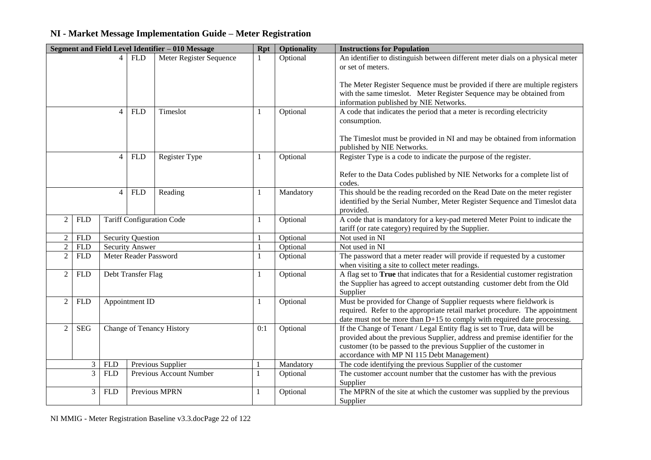| Meter Register Sequence<br>An identifier to distinguish between different meter dials on a physical meter<br><b>FLD</b><br>Optional<br>$\mathbf{1}$<br>or set of meters.                                                                     |  |
|----------------------------------------------------------------------------------------------------------------------------------------------------------------------------------------------------------------------------------------------|--|
|                                                                                                                                                                                                                                              |  |
|                                                                                                                                                                                                                                              |  |
| The Meter Register Sequence must be provided if there are multiple registers                                                                                                                                                                 |  |
| with the same timeslot. Meter Register Sequence may be obtained from                                                                                                                                                                         |  |
| information published by NIE Networks.                                                                                                                                                                                                       |  |
| Optional<br>A code that indicates the period that a meter is recording electricity<br><b>FLD</b><br>Timeslot<br>$\overline{4}$<br>1                                                                                                          |  |
| consumption.                                                                                                                                                                                                                                 |  |
|                                                                                                                                                                                                                                              |  |
| The Timeslot must be provided in NI and may be obtained from information                                                                                                                                                                     |  |
| published by NIE Networks.                                                                                                                                                                                                                   |  |
| Register Type is a code to indicate the purpose of the register.<br><b>FLD</b><br>Register Type<br>$\overline{4}$<br>Optional<br>$\mathbf{1}$                                                                                                |  |
| Refer to the Data Codes published by NIE Networks for a complete list of                                                                                                                                                                     |  |
| codes.                                                                                                                                                                                                                                       |  |
| <b>FLD</b><br>This should be the reading recorded on the Read Date on the meter register<br>$\overline{4}$<br>Reading<br>1<br>Mandatory                                                                                                      |  |
| identified by the Serial Number, Meter Register Sequence and Timeslot data                                                                                                                                                                   |  |
| provided.                                                                                                                                                                                                                                    |  |
| A code that is mandatory for a key-pad metered Meter Point to indicate the<br>2<br>${\hbox{\rm FLD}}$<br><b>Tariff Configuration Code</b><br>-1<br>Optional                                                                                  |  |
| tariff (or rate category) required by the Supplier.                                                                                                                                                                                          |  |
| Not used in NI<br>2<br><b>FLD</b><br><b>Security Question</b><br>Optional                                                                                                                                                                    |  |
| $\sqrt{2}$<br>${\hbox{\rm FLD}}$<br><b>Security Answer</b><br>Optional<br>Not used in NI                                                                                                                                                     |  |
| $\overline{2}$<br>The password that a meter reader will provide if requested by a customer<br>${\hbox{\rm FLD}}$<br>Meter Reader Password<br>Optional<br>1                                                                                   |  |
| when visiting a site to collect meter readings.                                                                                                                                                                                              |  |
| A flag set to True that indicates that for a Residential customer registration<br>$\overline{2}$<br><b>FLD</b><br>Debt Transfer Flag<br>Optional<br>$\mathbf{1}$<br>the Supplier has agreed to accept outstanding customer debt from the Old |  |
| Supplier                                                                                                                                                                                                                                     |  |
| Appointment ID<br>Must be provided for Change of Supplier requests where fieldwork is<br>2<br><b>FLD</b><br>Optional<br>-1                                                                                                                   |  |
| required. Refer to the appropriate retail market procedure. The appointment                                                                                                                                                                  |  |
| date must not be more than $D+15$ to comply with required date processing.                                                                                                                                                                   |  |
| 2<br><b>SEG</b><br><b>Change of Tenancy History</b><br>Optional<br>If the Change of Tenant / Legal Entity flag is set to True, data will be<br>0:1                                                                                           |  |
| provided about the previous Supplier, address and premise identifier for the                                                                                                                                                                 |  |
| customer (to be passed to the previous Supplier of the customer in                                                                                                                                                                           |  |
| accordance with MP NI 115 Debt Management)                                                                                                                                                                                                   |  |
| The code identifying the previous Supplier of the customer<br>3<br><b>FLD</b><br>Previous Supplier<br>Mandatory                                                                                                                              |  |
| 3<br>Previous Account Number<br>The customer account number that the customer has with the previous<br><b>FLD</b><br>1<br>Optional                                                                                                           |  |
| Supplier<br>Previous MPRN<br>3<br>The MPRN of the site at which the customer was supplied by the previous<br><b>FLD</b><br>Optional<br>1                                                                                                     |  |
| Supplier                                                                                                                                                                                                                                     |  |

NI MMIG - Meter Registration Baseline v3.3.docPage 22 of 122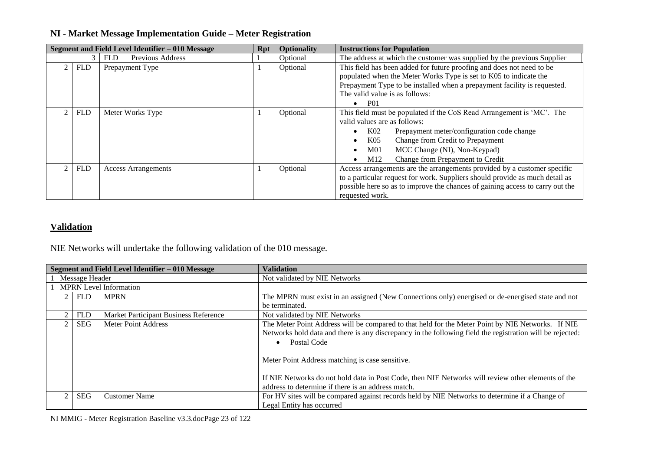| Segment and Field Level Identifier - 010 Message<br><b>Rpt</b> |                                                   |                            |  | <b>Optionality</b>                                                      | <b>Instructions for Population</b>                                                                                                                                                                                                                                                                                                       |
|----------------------------------------------------------------|---------------------------------------------------|----------------------------|--|-------------------------------------------------------------------------|------------------------------------------------------------------------------------------------------------------------------------------------------------------------------------------------------------------------------------------------------------------------------------------------------------------------------------------|
|                                                                | <b>FLD</b><br><b>Previous Address</b><br>Optional |                            |  | The address at which the customer was supplied by the previous Supplier |                                                                                                                                                                                                                                                                                                                                          |
|                                                                | <b>FLD</b>                                        | Prepayment Type            |  | Optional                                                                | This field has been added for future proofing and does not need to be<br>populated when the Meter Works Type is set to K05 to indicate the<br>Prepayment Type to be installed when a prepayment facility is requested.<br>The valid value is as follows:<br><b>P01</b>                                                                   |
|                                                                | <b>FLD</b>                                        | Meter Works Type           |  | Optional                                                                | This field must be populated if the CoS Read Arrangement is 'MC'. The<br>valid values are as follows:<br>K02<br>Prepayment meter/configuration code change<br>$\bullet$<br>K <sub>05</sub><br>Change from Credit to Prepayment<br>MCC Change (NI), Non-Keypad)<br>M <sub>01</sub><br>Change from Prepayment to Credit<br>M <sub>12</sub> |
| $\mathcal{D}_{\mathcal{L}}$                                    | <b>FLD</b>                                        | <b>Access Arrangements</b> |  | Optional                                                                | Access arrangements are the arrangements provided by a customer specific<br>to a particular request for work. Suppliers should provide as much detail as<br>possible here so as to improve the chances of gaining access to carry out the<br>requested work.                                                                             |

# **Validation**

NIE Networks will undertake the following validation of the 010 message.

|                | Segment and Field Level Identifier - 010 Message | <b>Validation</b>                                                                                         |
|----------------|--------------------------------------------------|-----------------------------------------------------------------------------------------------------------|
| Message Header |                                                  | Not validated by NIE Networks                                                                             |
|                | <b>MPRN</b> Level Information                    |                                                                                                           |
| <b>FLD</b>     | <b>MPRN</b>                                      | The MPRN must exist in an assigned (New Connections only) energised or de-energised state and not         |
|                |                                                  | be terminated.                                                                                            |
| <b>FLD</b>     | Market Participant Business Reference            | Not validated by NIE Networks                                                                             |
| <b>SEG</b>     | Meter Point Address                              | The Meter Point Address will be compared to that held for the Meter Point by NIE Networks. If NIE         |
|                |                                                  | Networks hold data and there is any discrepancy in the following field the registration will be rejected: |
|                |                                                  | Postal Code                                                                                               |
|                |                                                  |                                                                                                           |
|                |                                                  | Meter Point Address matching is case sensitive.                                                           |
|                |                                                  |                                                                                                           |
|                |                                                  | If NIE Networks do not hold data in Post Code, then NIE Networks will review other elements of the        |
|                |                                                  | address to determine if there is an address match.                                                        |
| <b>SEG</b>     | <b>Customer Name</b>                             | For HV sites will be compared against records held by NIE Networks to determine if a Change of            |
|                |                                                  | Legal Entity has occurred                                                                                 |

NI MMIG - Meter Registration Baseline v3.3.docPage 23 of 122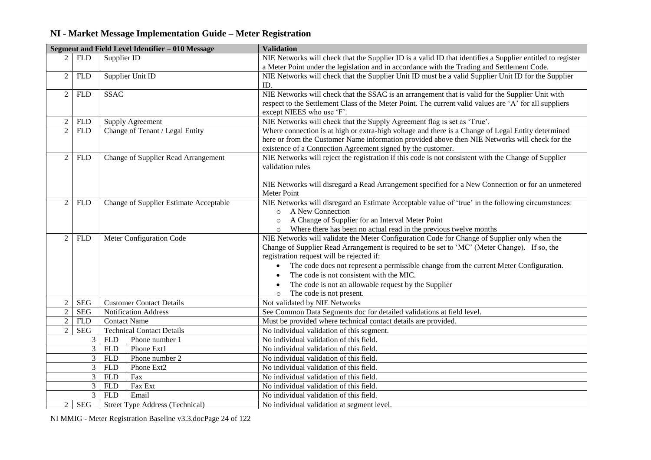| Segment and Field Level Identifier - 010 Message |                    |                                        | <b>Validation</b>                                                                                          |  |  |  |
|--------------------------------------------------|--------------------|----------------------------------------|------------------------------------------------------------------------------------------------------------|--|--|--|
| 2 <sup>1</sup>                                   | <b>FLD</b>         | Supplier ID                            | NIE Networks will check that the Supplier ID is a valid ID that identifies a Supplier entitled to register |  |  |  |
|                                                  |                    |                                        | a Meter Point under the legislation and in accordance with the Trading and Settlement Code.                |  |  |  |
| 2                                                | <b>FLD</b>         | Supplier Unit ID                       | NIE Networks will check that the Supplier Unit ID must be a valid Supplier Unit ID for the Supplier        |  |  |  |
|                                                  |                    |                                        | ID.                                                                                                        |  |  |  |
| 2                                                | <b>FLD</b>         | <b>SSAC</b>                            | NIE Networks will check that the SSAC is an arrangement that is valid for the Supplier Unit with           |  |  |  |
|                                                  |                    |                                        | respect to the Settlement Class of the Meter Point. The current valid values are 'A' for all suppliers     |  |  |  |
|                                                  |                    |                                        | except NIEES who use 'F'.                                                                                  |  |  |  |
| $\boldsymbol{2}$                                 | <b>FLD</b>         | Supply Agreement                       | NIE Networks will check that the Supply Agreement flag is set as 'True'.                                   |  |  |  |
| $\overline{2}$                                   | <b>FLD</b>         | Change of Tenant / Legal Entity        | Where connection is at high or extra-high voltage and there is a Change of Legal Entity determined         |  |  |  |
|                                                  |                    |                                        | here or from the Customer Name information provided above then NIE Networks will check for the             |  |  |  |
|                                                  |                    |                                        | existence of a Connection Agreement signed by the customer.                                                |  |  |  |
| $\overline{c}$                                   | <b>FLD</b>         | Change of Supplier Read Arrangement    | NIE Networks will reject the registration if this code is not consistent with the Change of Supplier       |  |  |  |
|                                                  |                    |                                        | validation rules                                                                                           |  |  |  |
|                                                  |                    |                                        |                                                                                                            |  |  |  |
|                                                  |                    |                                        | NIE Networks will disregard a Read Arrangement specified for a New Connection or for an unmetered          |  |  |  |
|                                                  |                    |                                        | Meter Point                                                                                                |  |  |  |
| 2                                                | <b>FLD</b>         | Change of Supplier Estimate Acceptable | NIE Networks will disregard an Estimate Acceptable value of 'true' in the following circumstances:         |  |  |  |
|                                                  |                    |                                        | A New Connection<br>$\circ$                                                                                |  |  |  |
|                                                  |                    |                                        | A Change of Supplier for an Interval Meter Point<br>$\circ$                                                |  |  |  |
|                                                  |                    |                                        | Where there has been no actual read in the previous twelve months                                          |  |  |  |
| $\overline{2}$                                   | <b>FLD</b>         | Meter Configuration Code               | NIE Networks will validate the Meter Configuration Code for Change of Supplier only when the               |  |  |  |
|                                                  |                    |                                        | Change of Supplier Read Arrangement is required to be set to 'MC' (Meter Change). If so, the               |  |  |  |
|                                                  |                    |                                        | registration request will be rejected if:                                                                  |  |  |  |
|                                                  |                    |                                        | The code does not represent a permissible change from the current Meter Configuration.                     |  |  |  |
|                                                  |                    |                                        | The code is not consistent with the MIC.                                                                   |  |  |  |
|                                                  |                    |                                        | The code is not an allowable request by the Supplier                                                       |  |  |  |
|                                                  |                    |                                        | The code is not present.<br>$\circ$                                                                        |  |  |  |
| 2 <sup>1</sup>                                   | <b>SEG</b>         | <b>Customer Contact Details</b>        | Not validated by NIE Networks                                                                              |  |  |  |
| $\overline{2}$                                   | <b>SEG</b>         | <b>Notification Address</b>            | See Common Data Segments doc for detailed validations at field level.                                      |  |  |  |
| $\overline{2}$                                   | ${\hbox{\rm FLD}}$ | <b>Contact Name</b>                    | Must be provided where technical contact details are provided.                                             |  |  |  |
| $\overline{2}$                                   | <b>SEG</b>         | <b>Technical Contact Details</b>       | No individual validation of this segment.                                                                  |  |  |  |
|                                                  | 3                  | Phone number 1<br><b>FLD</b>           | No individual validation of this field.                                                                    |  |  |  |
|                                                  | 3                  | Phone Ext1<br><b>FLD</b>               | No individual validation of this field.                                                                    |  |  |  |
|                                                  | 3                  | Phone number 2<br><b>FLD</b>           | No individual validation of this field.                                                                    |  |  |  |
|                                                  | $\mathfrak{Z}$     | Phone Ext2<br><b>FLD</b>               | No individual validation of this field.                                                                    |  |  |  |
|                                                  | 3                  | <b>FLD</b><br>Fax                      | No individual validation of this field.                                                                    |  |  |  |
|                                                  | 3                  | ${\hbox{\rm FLD}}$<br>Fax Ext          | No individual validation of this field.                                                                    |  |  |  |
|                                                  | 3                  | Email<br><b>FLD</b>                    | No individual validation of this field.                                                                    |  |  |  |
| 2 <sup>1</sup>                                   | <b>SEG</b>         | Street Type Address (Technical)        | No individual validation at segment level.                                                                 |  |  |  |

NI MMIG - Meter Registration Baseline v3.3.docPage 24 of 122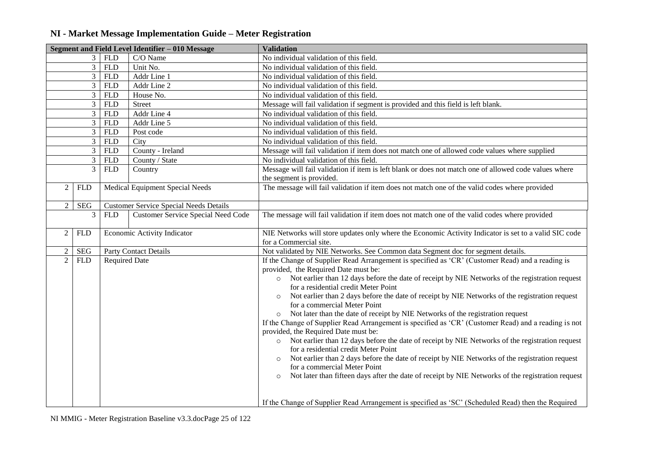| NI - Market Message Implementation Guide - Meter Registration |  |
|---------------------------------------------------------------|--|
|---------------------------------------------------------------|--|

|                |                      |                      | Segment and Field Level Identifier - 010 Message | <b>Validation</b>                                                                                                                                                                                                                                                                                                                                                                                                                                                                                                                                                                                                                                                                                                                                                                                                                                                                                                                                                                                                                                                              |
|----------------|----------------------|----------------------|--------------------------------------------------|--------------------------------------------------------------------------------------------------------------------------------------------------------------------------------------------------------------------------------------------------------------------------------------------------------------------------------------------------------------------------------------------------------------------------------------------------------------------------------------------------------------------------------------------------------------------------------------------------------------------------------------------------------------------------------------------------------------------------------------------------------------------------------------------------------------------------------------------------------------------------------------------------------------------------------------------------------------------------------------------------------------------------------------------------------------------------------|
|                | $\mathfrak{Z}$       | <b>FLD</b>           | C/O Name                                         | No individual validation of this field.                                                                                                                                                                                                                                                                                                                                                                                                                                                                                                                                                                                                                                                                                                                                                                                                                                                                                                                                                                                                                                        |
|                | $\overline{3}$       | <b>FLD</b>           | Unit No.                                         | No individual validation of this field.                                                                                                                                                                                                                                                                                                                                                                                                                                                                                                                                                                                                                                                                                                                                                                                                                                                                                                                                                                                                                                        |
|                | $\mathfrak{Z}$       | <b>FLD</b>           | Addr Line 1                                      | No individual validation of this field.                                                                                                                                                                                                                                                                                                                                                                                                                                                                                                                                                                                                                                                                                                                                                                                                                                                                                                                                                                                                                                        |
|                | 3                    | <b>FLD</b>           | Addr Line 2                                      | No individual validation of this field.                                                                                                                                                                                                                                                                                                                                                                                                                                                                                                                                                                                                                                                                                                                                                                                                                                                                                                                                                                                                                                        |
|                | 3                    | <b>FLD</b>           | House No.                                        | No individual validation of this field.                                                                                                                                                                                                                                                                                                                                                                                                                                                                                                                                                                                                                                                                                                                                                                                                                                                                                                                                                                                                                                        |
|                | $\overline{3}$       | <b>FLD</b>           | Street                                           | Message will fail validation if segment is provided and this field is left blank.                                                                                                                                                                                                                                                                                                                                                                                                                                                                                                                                                                                                                                                                                                                                                                                                                                                                                                                                                                                              |
|                | $\mathfrak{Z}$       | <b>FLD</b>           | Addr Line 4                                      | No individual validation of this field.                                                                                                                                                                                                                                                                                                                                                                                                                                                                                                                                                                                                                                                                                                                                                                                                                                                                                                                                                                                                                                        |
|                | $\mathfrak{Z}$       | <b>FLD</b>           | Addr Line 5                                      | No individual validation of this field.                                                                                                                                                                                                                                                                                                                                                                                                                                                                                                                                                                                                                                                                                                                                                                                                                                                                                                                                                                                                                                        |
|                | $\overline{3}$       | FLD <sup></sup>      | Post code                                        | No individual validation of this field.                                                                                                                                                                                                                                                                                                                                                                                                                                                                                                                                                                                                                                                                                                                                                                                                                                                                                                                                                                                                                                        |
|                | $\mathfrak{Z}$       | <b>FLD</b>           | City                                             | No individual validation of this field.                                                                                                                                                                                                                                                                                                                                                                                                                                                                                                                                                                                                                                                                                                                                                                                                                                                                                                                                                                                                                                        |
|                | 3                    | <b>FLD</b>           | County - Ireland                                 | Message will fail validation if item does not match one of allowed code values where supplied                                                                                                                                                                                                                                                                                                                                                                                                                                                                                                                                                                                                                                                                                                                                                                                                                                                                                                                                                                                  |
|                | $\mathfrak{Z}$       | <b>FLD</b>           | County / State                                   | No individual validation of this field.                                                                                                                                                                                                                                                                                                                                                                                                                                                                                                                                                                                                                                                                                                                                                                                                                                                                                                                                                                                                                                        |
|                | $\overline{3}$       | ${\hbox{\rm FLD}}$   | Country                                          | Message will fail validation if item is left blank or does not match one of allowed code values where<br>the segment is provided.                                                                                                                                                                                                                                                                                                                                                                                                                                                                                                                                                                                                                                                                                                                                                                                                                                                                                                                                              |
| $\overline{2}$ | <b>FLD</b>           |                      | Medical Equipment Special Needs                  | The message will fail validation if item does not match one of the valid codes where provided                                                                                                                                                                                                                                                                                                                                                                                                                                                                                                                                                                                                                                                                                                                                                                                                                                                                                                                                                                                  |
| 2 <sup>1</sup> | <b>SEG</b>           |                      | <b>Customer Service Special Needs Details</b>    |                                                                                                                                                                                                                                                                                                                                                                                                                                                                                                                                                                                                                                                                                                                                                                                                                                                                                                                                                                                                                                                                                |
|                | 3                    | <b>FLD</b>           | <b>Customer Service Special Need Code</b>        | The message will fail validation if item does not match one of the valid codes where provided                                                                                                                                                                                                                                                                                                                                                                                                                                                                                                                                                                                                                                                                                                                                                                                                                                                                                                                                                                                  |
| 2              | <b>FLD</b>           |                      | Economic Activity Indicator                      | NIE Networks will store updates only where the Economic Activity Indicator is set to a valid SIC code<br>for a Commercial site.                                                                                                                                                                                                                                                                                                                                                                                                                                                                                                                                                                                                                                                                                                                                                                                                                                                                                                                                                |
| $\overline{c}$ | $\operatorname{SEG}$ |                      | <b>Party Contact Details</b>                     | Not validated by NIE Networks. See Common data Segment doc for segment details.                                                                                                                                                                                                                                                                                                                                                                                                                                                                                                                                                                                                                                                                                                                                                                                                                                                                                                                                                                                                |
| $\overline{2}$ | <b>FLD</b>           | <b>Required Date</b> |                                                  | If the Change of Supplier Read Arrangement is specified as 'CR' (Customer Read) and a reading is<br>provided, the Required Date must be:<br>• Not earlier than 12 days before the date of receipt by NIE Networks of the registration request<br>for a residential credit Meter Point<br>Not earlier than 2 days before the date of receipt by NIE Networks of the registration request<br>$\circ$<br>for a commercial Meter Point<br>Not later than the date of receipt by NIE Networks of the registration request<br>If the Change of Supplier Read Arrangement is specified as 'CR' (Customer Read) and a reading is not<br>provided, the Required Date must be:<br>o Not earlier than 12 days before the date of receipt by NIE Networks of the registration request<br>for a residential credit Meter Point<br>Not earlier than 2 days before the date of receipt by NIE Networks of the registration request<br>$\circ$<br>for a commercial Meter Point<br>Not later than fifteen days after the date of receipt by NIE Networks of the registration request<br>$\circ$ |
|                |                      |                      |                                                  | If the Change of Supplier Read Arrangement is specified as 'SC' (Scheduled Read) then the Required                                                                                                                                                                                                                                                                                                                                                                                                                                                                                                                                                                                                                                                                                                                                                                                                                                                                                                                                                                             |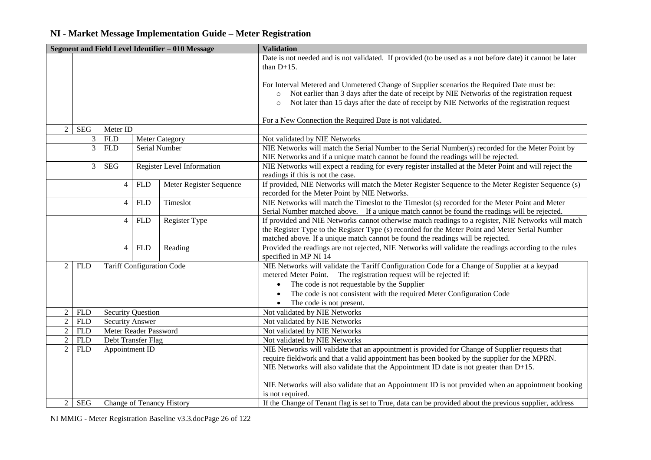|                                                    | Segment and Field Level Identifier - 010 Message |                                  |                                                                                                 |                            | <b>Validation</b>                                                                                         |
|----------------------------------------------------|--------------------------------------------------|----------------------------------|-------------------------------------------------------------------------------------------------|----------------------------|-----------------------------------------------------------------------------------------------------------|
|                                                    |                                                  |                                  |                                                                                                 |                            | Date is not needed and is not validated. If provided (to be used as a not before date) it cannot be later |
|                                                    |                                                  |                                  |                                                                                                 |                            | than $D+15$ .                                                                                             |
|                                                    |                                                  |                                  |                                                                                                 |                            |                                                                                                           |
|                                                    |                                                  |                                  |                                                                                                 |                            | For Interval Metered and Unmetered Change of Supplier scenarios the Required Date must be:                |
|                                                    |                                                  |                                  |                                                                                                 |                            | Not earlier than 3 days after the date of receipt by NIE Networks of the registration request<br>$\circ$  |
|                                                    |                                                  |                                  |                                                                                                 |                            | Not later than 15 days after the date of receipt by NIE Networks of the registration request<br>$\circ$   |
|                                                    |                                                  |                                  |                                                                                                 |                            |                                                                                                           |
|                                                    |                                                  |                                  |                                                                                                 |                            | For a New Connection the Required Date is not validated.                                                  |
| $\overline{2}$                                     | <b>SEG</b>                                       | Meter ID                         |                                                                                                 |                            |                                                                                                           |
|                                                    | 3                                                | <b>FLD</b>                       |                                                                                                 | <b>Meter Category</b>      | Not validated by NIE Networks                                                                             |
|                                                    | 3                                                | ${\hbox{\rm FLD}}$               |                                                                                                 | Serial Number              | NIE Networks will match the Serial Number to the Serial Number(s) recorded for the Meter Point by         |
|                                                    |                                                  |                                  |                                                                                                 |                            | NIE Networks and if a unique match cannot be found the readings will be rejected.                         |
|                                                    | 3                                                | <b>SEG</b>                       |                                                                                                 | Register Level Information | NIE Networks will expect a reading for every register installed at the Meter Point and will reject the    |
|                                                    |                                                  |                                  |                                                                                                 |                            | readings if this is not the case.                                                                         |
|                                                    |                                                  | $\overline{4}$                   | <b>FLD</b>                                                                                      | Meter Register Sequence    | If provided, NIE Networks will match the Meter Register Sequence to the Meter Register Sequence (s)       |
|                                                    |                                                  |                                  |                                                                                                 |                            | recorded for the Meter Point by NIE Networks.                                                             |
|                                                    |                                                  | $\overline{4}$                   | <b>FLD</b>                                                                                      | Timeslot                   | NIE Networks will match the Timeslot to the Timeslot (s) recorded for the Meter Point and Meter           |
|                                                    |                                                  |                                  |                                                                                                 |                            | Serial Number matched above. If a unique match cannot be found the readings will be rejected.             |
|                                                    |                                                  | 4                                | <b>FLD</b>                                                                                      | Register Type              | If provided and NIE Networks cannot otherwise match readings to a register, NIE Networks will match       |
|                                                    |                                                  |                                  |                                                                                                 |                            | the Register Type to the Register Type (s) recorded for the Meter Point and Meter Serial Number           |
|                                                    |                                                  |                                  |                                                                                                 |                            | matched above. If a unique match cannot be found the readings will be rejected.                           |
|                                                    |                                                  | $\overline{4}$                   | <b>FLD</b>                                                                                      | Reading                    | Provided the readings are not rejected, NIE Networks will validate the readings according to the rules    |
|                                                    |                                                  |                                  |                                                                                                 |                            | specified in MP NI 14                                                                                     |
| 2                                                  | <b>FLD</b>                                       | <b>Tariff Configuration Code</b> |                                                                                                 |                            | NIE Networks will validate the Tariff Configuration Code for a Change of Supplier at a keypad             |
|                                                    |                                                  |                                  |                                                                                                 |                            | metered Meter Point. The registration request will be rejected if:                                        |
|                                                    |                                                  |                                  |                                                                                                 |                            | The code is not requestable by the Supplier                                                               |
|                                                    |                                                  |                                  |                                                                                                 |                            | The code is not consistent with the required Meter Configuration Code                                     |
|                                                    |                                                  |                                  |                                                                                                 |                            | The code is not present.                                                                                  |
| 2 <sup>1</sup>                                     | <b>FLD</b>                                       | <b>Security Question</b>         |                                                                                                 |                            | Not validated by NIE Networks                                                                             |
| $\overline{2}$                                     | ${\hbox{\rm FLD}}$                               | <b>Security Answer</b>           |                                                                                                 |                            | Not validated by NIE Networks                                                                             |
| $\overline{2}$                                     | ${\hbox{\rm FLD}}$                               | Meter Reader Password            |                                                                                                 |                            | Not validated by NIE Networks                                                                             |
| $\overline{2}$<br><b>FLD</b><br>Debt Transfer Flag |                                                  |                                  | Not validated by NIE Networks                                                                   |                            |                                                                                                           |
| 2<br><b>FLD</b><br>Appointment ID                  |                                                  |                                  | NIE Networks will validate that an appointment is provided for Change of Supplier requests that |                            |                                                                                                           |
|                                                    |                                                  |                                  | require fieldwork and that a valid appointment has been booked by the supplier for the MPRN.    |                            |                                                                                                           |
|                                                    |                                                  |                                  | NIE Networks will also validate that the Appointment ID date is not greater than D+15.          |                            |                                                                                                           |
|                                                    |                                                  |                                  |                                                                                                 |                            |                                                                                                           |
|                                                    |                                                  |                                  |                                                                                                 |                            | NIE Networks will also validate that an Appointment ID is not provided when an appointment booking        |
|                                                    |                                                  |                                  |                                                                                                 |                            | is not required.                                                                                          |
| $\overline{2}$                                     | <b>SEG</b>                                       |                                  |                                                                                                 | Change of Tenancy History  | If the Change of Tenant flag is set to True, data can be provided about the previous supplier, address    |

NI MMIG - Meter Registration Baseline v3.3.docPage 26 of 122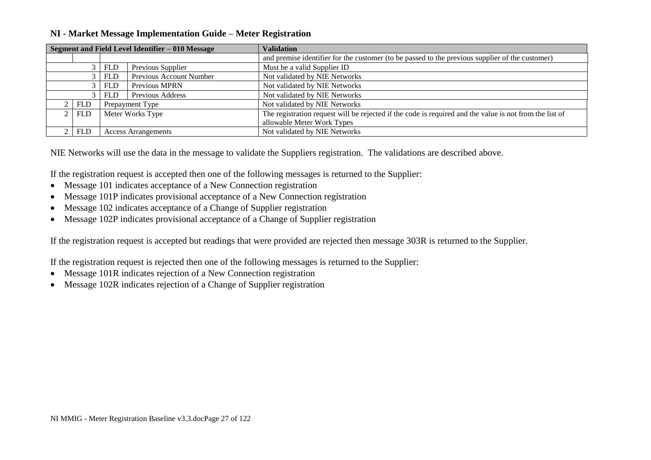|                                    | Segment and Field Level Identifier - 010 Message |            |                                | <b>Validation</b>                                                                                       |
|------------------------------------|--------------------------------------------------|------------|--------------------------------|---------------------------------------------------------------------------------------------------------|
|                                    |                                                  |            |                                | and premise identifier for the customer (to be passed to the previous supplier of the customer)         |
|                                    |                                                  | <b>FLD</b> | Previous Supplier              | Must be a valid Supplier ID                                                                             |
|                                    |                                                  | <b>FLD</b> | <b>Previous Account Number</b> | Not validated by NIE Networks                                                                           |
| <b>Previous MPRN</b><br><b>FLD</b> |                                                  |            | Not validated by NIE Networks  |                                                                                                         |
|                                    |                                                  | <b>FLD</b> | <b>Previous Address</b>        | Not validated by NIE Networks                                                                           |
|                                    | <b>FLD</b>                                       |            | Prepayment Type                | Not validated by NIE Networks                                                                           |
|                                    | Meter Works Type<br><b>FLD</b>                   |            |                                | The registration request will be rejected if the code is required and the value is not from the list of |
|                                    |                                                  |            |                                | allowable Meter Work Types                                                                              |
|                                    | <b>FLD</b>                                       |            | <b>Access Arrangements</b>     | Not validated by NIE Networks                                                                           |

NIE Networks will use the data in the message to validate the Suppliers registration. The validations are described above.

If the registration request is accepted then one of the following messages is returned to the Supplier:

- Message 101 indicates acceptance of a New Connection registration
- Message 101P indicates provisional acceptance of a New Connection registration
- Message 102 indicates acceptance of a Change of Supplier registration
- Message 102P indicates provisional acceptance of a Change of Supplier registration

If the registration request is accepted but readings that were provided are rejected then message 303R is returned to the Supplier.

If the registration request is rejected then one of the following messages is returned to the Supplier:

- Message 101R indicates rejection of a New Connection registration
- Message 102R indicates rejection of a Change of Supplier registration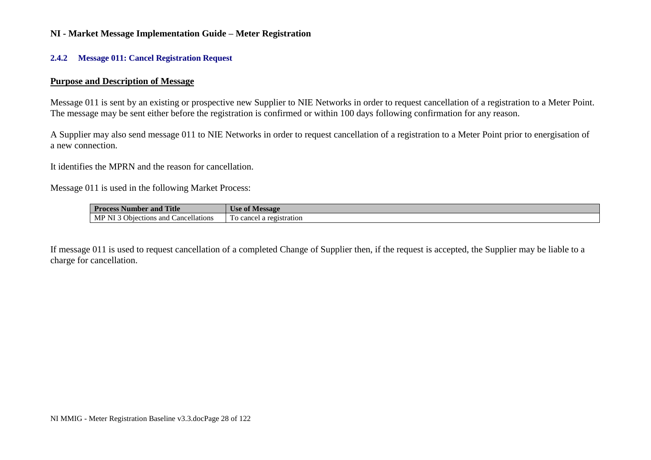#### **2.4.2 Message 011: Cancel Registration Request**

#### **Purpose and Description of Message**

Message 011 is sent by an existing or prospective new Supplier to NIE Networks in order to request cancellation of a registration to a Meter Point. The message may be sent either before the registration is confirmed or within 100 days following confirmation for any reason.

A Supplier may also send message 011 to NIE Networks in order to request cancellation of a registration to a Meter Point prior to energisation of a new connection.

It identifies the MPRN and the reason for cancellation.

Message 011 is used in the following Market Process:

| <b>Process Number and</b><br>'Title                       | <b>Jse of Message</b>                    |
|-----------------------------------------------------------|------------------------------------------|
| $\bullet$<br>MPN<br>Objec<br>ancellations_<br>ections and | cancel a registration<br>10 <sup>7</sup> |

If message 011 is used to request cancellation of a completed Change of Supplier then, if the request is accepted, the Supplier may be liable to a charge for cancellation.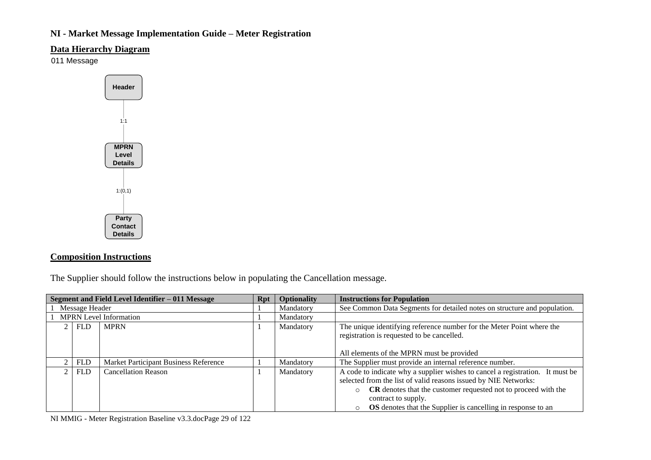## **Data Hierarchy Diagram**

011 Message



### **Composition Instructions**

The Supplier should follow the instructions below in populating the Cancellation message.

| Segment and Field Level Identifier - 011 Message |            |                                       |  | <b>Optionality</b> | <b>Instructions for Population</b>                                                                                                                                                                                                                                                                                                            |
|--------------------------------------------------|------------|---------------------------------------|--|--------------------|-----------------------------------------------------------------------------------------------------------------------------------------------------------------------------------------------------------------------------------------------------------------------------------------------------------------------------------------------|
| Message Header                                   |            |                                       |  | Mandatory          | See Common Data Segments for detailed notes on structure and population.                                                                                                                                                                                                                                                                      |
|                                                  |            | 1 MPRN Level Information              |  | Mandatory          |                                                                                                                                                                                                                                                                                                                                               |
|                                                  | <b>FLD</b> | <b>MPRN</b>                           |  | Mandatory          | The unique identifying reference number for the Meter Point where the<br>registration is requested to be cancelled.<br>All elements of the MPRN must be provided                                                                                                                                                                              |
|                                                  | <b>FLD</b> | Market Participant Business Reference |  | Mandatory          | The Supplier must provide an internal reference number.                                                                                                                                                                                                                                                                                       |
|                                                  | <b>FLD</b> | <b>Cancellation Reason</b>            |  | Mandatory          | A code to indicate why a supplier wishes to cancel a registration. It must be<br>selected from the list of valid reasons issued by NIE Networks:<br><b>CR</b> denotes that the customer requested not to proceed with the<br>$\circ$<br>contract to supply.<br><b>OS</b> denotes that the Supplier is cancelling in response to an<br>$\circ$ |

NI MMIG - Meter Registration Baseline v3.3.docPage 29 of 122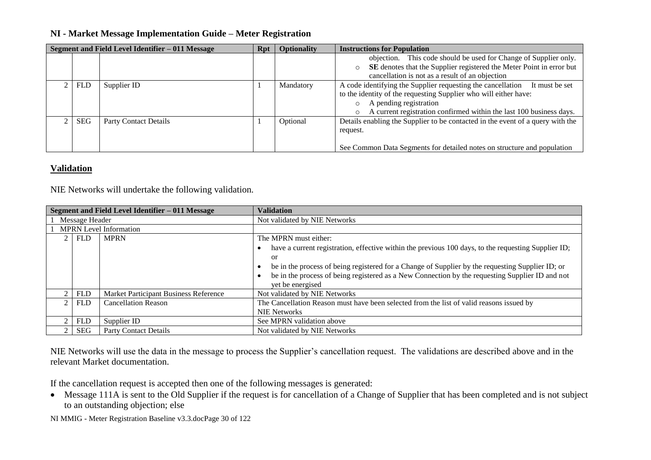|            | Segment and Field Level Identifier - 011 Message | Rpt | <b>Optionality</b> | <b>Instructions for Population</b>                                                                                                                                                                                                                                        |
|------------|--------------------------------------------------|-----|--------------------|---------------------------------------------------------------------------------------------------------------------------------------------------------------------------------------------------------------------------------------------------------------------------|
|            |                                                  |     |                    | objection. This code should be used for Change of Supplier only.<br>SE denotes that the Supplier registered the Meter Point in error but<br>$\circ$<br>cancellation is not as a result of an objection                                                                    |
| <b>FLD</b> | Supplier ID                                      |     | Mandatory          | A code identifying the Supplier requesting the cancellation<br>It must be set<br>to the identity of the requesting Supplier who will either have:<br>A pending registration<br>$\circ$<br>A current registration confirmed within the last 100 business days.<br>$\Omega$ |
| <b>SEG</b> | <b>Party Contact Details</b>                     |     | Optional           | Details enabling the Supplier to be contacted in the event of a query with the<br>request.<br>See Common Data Segments for detailed notes on structure and population                                                                                                     |

### **Validation**

NIE Networks will undertake the following validation.

| Segment and Field Level Identifier - 011 Message |                |                                       | <b>Validation</b>                                                                                   |
|--------------------------------------------------|----------------|---------------------------------------|-----------------------------------------------------------------------------------------------------|
|                                                  | Message Header |                                       | Not validated by NIE Networks                                                                       |
|                                                  |                | <b>MPRN</b> Level Information         |                                                                                                     |
|                                                  | <b>FLD</b>     | <b>MPRN</b>                           | The MPRN must either:                                                                               |
|                                                  |                |                                       | have a current registration, effective within the previous 100 days, to the requesting Supplier ID; |
|                                                  |                |                                       | <b>or</b>                                                                                           |
|                                                  |                |                                       | be in the process of being registered for a Change of Supplier by the requesting Supplier ID; or    |
|                                                  |                |                                       | be in the process of being registered as a New Connection by the requesting Supplier ID and not     |
|                                                  |                |                                       | yet be energised                                                                                    |
|                                                  | <b>FLD</b>     | Market Participant Business Reference | Not validated by NIE Networks                                                                       |
| $\gamma$                                         | <b>FLD</b>     | <b>Cancellation Reason</b>            | The Cancellation Reason must have been selected from the list of valid reasons issued by            |
|                                                  |                |                                       | <b>NIE Networks</b>                                                                                 |
|                                                  | <b>FLD</b>     | Supplier ID                           | See MPRN validation above                                                                           |
|                                                  | SEG            | <b>Party Contact Details</b>          | Not validated by NIE Networks                                                                       |

NIE Networks will use the data in the message to process the Supplier's cancellation request. The validations are described above and in the relevant Market documentation.

If the cancellation request is accepted then one of the following messages is generated:

• Message 111A is sent to the Old Supplier if the request is for cancellation of a Change of Supplier that has been completed and is not subject to an outstanding objection; else

NI MMIG - Meter Registration Baseline v3.3.docPage 30 of 122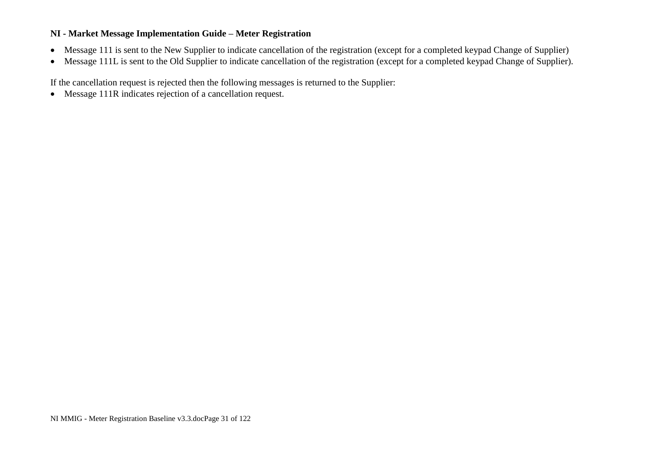- Message 111 is sent to the New Supplier to indicate cancellation of the registration (except for a completed keypad Change of Supplier)
- Message 111L is sent to the Old Supplier to indicate cancellation of the registration (except for a completed keypad Change of Supplier).

If the cancellation request is rejected then the following messages is returned to the Supplier:

• Message 111R indicates rejection of a cancellation request.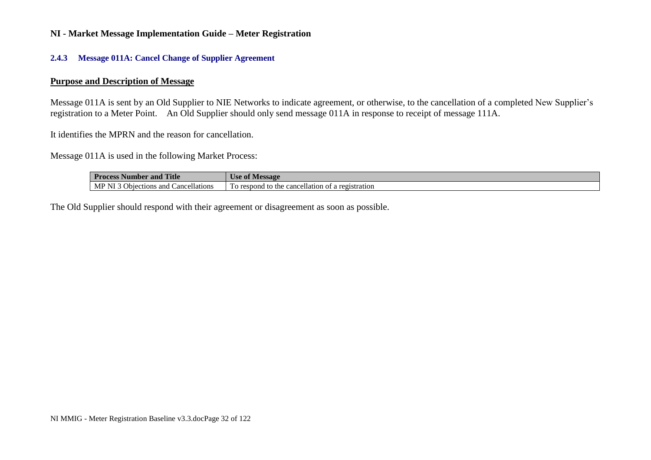#### **2.4.3 Message 011A: Cancel Change of Supplier Agreement**

#### **Purpose and Description of Message**

Message 011A is sent by an Old Supplier to NIE Networks to indicate agreement, or otherwise, to the cancellation of a completed New Supplier's registration to a Meter Point. An Old Supplier should only send message 011A in response to receipt of message 111A.

It identifies the MPRN and the reason for cancellation.

Message 011A is used in the following Market Process:

| 'Title<br><b>Process Number and</b>                                             | Use of Message                                                |
|---------------------------------------------------------------------------------|---------------------------------------------------------------|
| Objections and<br>$\mathbf{1}$<br>$\mathbf{v}$<br>MP N<br>Cancellations<br>131. | e cancellation of<br>to the<br>To respond<br>t a registration |

The Old Supplier should respond with their agreement or disagreement as soon as possible.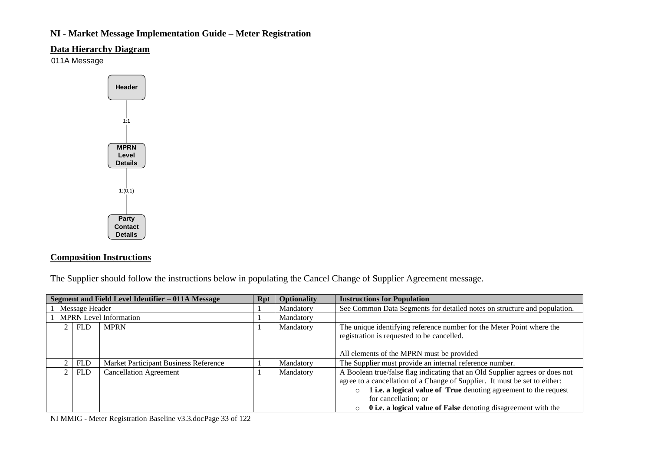### **Data Hierarchy Diagram**

011A Message



# **Composition Instructions**

The Supplier should follow the instructions below in populating the Cancel Change of Supplier Agreement message.

| Segment and Field Level Identifier - 011A Message |            |                                              |  | <b>Optionality</b> | <b>Instructions for Population</b>                                                                                                                                                                                                                                                                                                  |
|---------------------------------------------------|------------|----------------------------------------------|--|--------------------|-------------------------------------------------------------------------------------------------------------------------------------------------------------------------------------------------------------------------------------------------------------------------------------------------------------------------------------|
| Message Header                                    |            |                                              |  | Mandatory          | See Common Data Segments for detailed notes on structure and population.                                                                                                                                                                                                                                                            |
|                                                   |            | <b>MPRN</b> Level Information                |  | Mandatory          |                                                                                                                                                                                                                                                                                                                                     |
|                                                   | <b>FLD</b> | <b>MPRN</b>                                  |  | Mandatory          | The unique identifying reference number for the Meter Point where the<br>registration is requested to be cancelled.<br>All elements of the MPRN must be provided                                                                                                                                                                    |
|                                                   | <b>FLD</b> | <b>Market Participant Business Reference</b> |  | Mandatory          | The Supplier must provide an internal reference number.                                                                                                                                                                                                                                                                             |
| 2                                                 | <b>FLD</b> | <b>Cancellation Agreement</b>                |  | Mandatory          | A Boolean true/false flag indicating that an Old Supplier agrees or does not<br>agree to a cancellation of a Change of Supplier. It must be set to either:<br>1 i.e. a logical value of True denoting agreement to the request<br>$\circ$<br>for cancellation; or<br>0 i.e. a logical value of False denoting disagreement with the |

NI MMIG - Meter Registration Baseline v3.3.docPage 33 of 122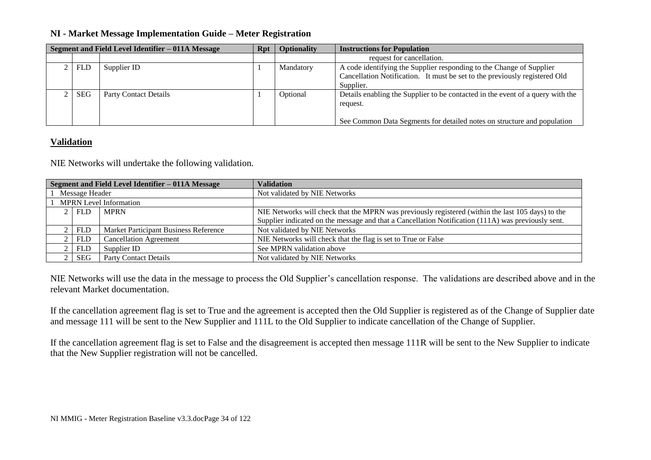| Segment and Field Level Identifier - 011A Message |            |                              |  | <b>Optionality</b> | <b>Instructions for Population</b>                                             |
|---------------------------------------------------|------------|------------------------------|--|--------------------|--------------------------------------------------------------------------------|
|                                                   |            |                              |  |                    | request for cancellation.                                                      |
|                                                   | <b>FLD</b> | Supplier ID                  |  | Mandatory          | A code identifying the Supplier responding to the Change of Supplier           |
|                                                   |            |                              |  |                    | Cancellation Notification. It must be set to the previously registered Old     |
|                                                   |            |                              |  |                    | Supplier.                                                                      |
|                                                   | <b>SEG</b> | <b>Party Contact Details</b> |  | Optional           | Details enabling the Supplier to be contacted in the event of a query with the |
|                                                   |            |                              |  |                    | request.                                                                       |
|                                                   |            |                              |  |                    |                                                                                |
|                                                   |            |                              |  |                    | See Common Data Segments for detailed notes on structure and population        |

### **Validation**

NIE Networks will undertake the following validation.

|                          |                  | Segment and Field Level Identifier - 011A Message | <b>Validation</b>                                                                                  |
|--------------------------|------------------|---------------------------------------------------|----------------------------------------------------------------------------------------------------|
|                          | 1 Message Header |                                                   | Not validated by NIE Networks                                                                      |
| 1 MPRN Level Information |                  |                                                   |                                                                                                    |
|                          | <b>FLD</b>       | <b>MPRN</b>                                       | NIE Networks will check that the MPRN was previously registered (within the last 105 days) to the  |
|                          |                  |                                                   | Supplier indicated on the message and that a Cancellation Notification (111A) was previously sent. |
|                          | <b>FLD</b>       | <b>Market Participant Business Reference</b>      | Not validated by NIE Networks                                                                      |
|                          | <b>FLD</b>       | <b>Cancellation Agreement</b>                     | NIE Networks will check that the flag is set to True or False                                      |
|                          | <b>FLD</b>       | Supplier ID                                       | See MPRN validation above                                                                          |
|                          | <b>SEG</b>       | Party Contact Details                             | Not validated by NIE Networks                                                                      |

NIE Networks will use the data in the message to process the Old Supplier's cancellation response. The validations are described above and in the relevant Market documentation.

If the cancellation agreement flag is set to True and the agreement is accepted then the Old Supplier is registered as of the Change of Supplier date and message 111 will be sent to the New Supplier and 111L to the Old Supplier to indicate cancellation of the Change of Supplier.

If the cancellation agreement flag is set to False and the disagreement is accepted then message 111R will be sent to the New Supplier to indicate that the New Supplier registration will not be cancelled.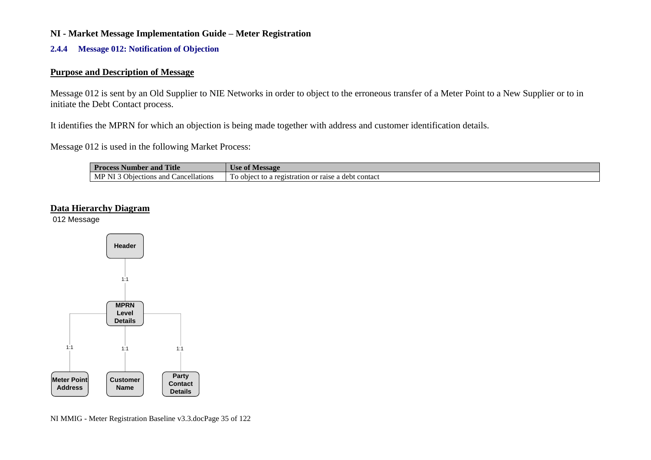#### **2.4.4 Message 012: Notification of Objection**

#### **Purpose and Description of Message**

Message 012 is sent by an Old Supplier to NIE Networks in order to object to the erroneous transfer of a Meter Point to a New Supplier or to in initiate the Debt Contact process.

It identifies the MPRN for which an objection is being made together with address and customer identification details.

Message 012 is used in the following Market Process:

| Title<br><b>Process</b><br>ess Number and                           | $-$<br>∡ ∩t<br>Message<br>.<br>UST                                                                   |
|---------------------------------------------------------------------|------------------------------------------------------------------------------------------------------|
| 11<br>MP NI<br>$\sim$<br>ancellations_<br>Objections<br>and<br>71 J | $\mathbf{r}$<br>debt contact<br>objec<br>a registration or t<br>raise '<br>≒tΘ<br>$\mathbf u$<br>1 V |

#### **Data Hierarchy Diagram**

012 Message



NI MMIG - Meter Registration Baseline v3.3.docPage 35 of 122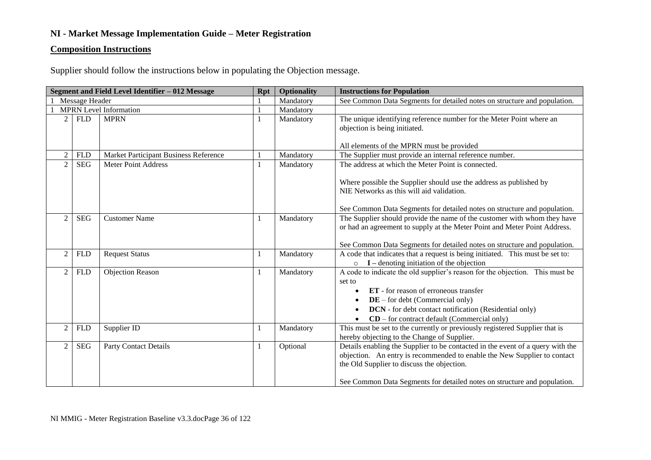### **Composition Instructions**

Supplier should follow the instructions below in populating the Objection message.

|                               |                | Segment and Field Level Identifier - 012 Message | <b>Rpt</b> | <b>Optionality</b> | <b>Instructions for Population</b>                                                                                                                                                                                                                                                     |
|-------------------------------|----------------|--------------------------------------------------|------------|--------------------|----------------------------------------------------------------------------------------------------------------------------------------------------------------------------------------------------------------------------------------------------------------------------------------|
|                               | Message Header |                                                  |            | Mandatory          | See Common Data Segments for detailed notes on structure and population.                                                                                                                                                                                                               |
| <b>MPRN</b> Level Information |                |                                                  |            | Mandatory          |                                                                                                                                                                                                                                                                                        |
| $\overline{2}$                | <b>FLD</b>     | <b>MPRN</b>                                      |            | Mandatory          | The unique identifying reference number for the Meter Point where an<br>objection is being initiated.                                                                                                                                                                                  |
|                               |                |                                                  |            |                    | All elements of the MPRN must be provided                                                                                                                                                                                                                                              |
| $\overline{2}$                | <b>FLD</b>     | Market Participant Business Reference            |            | Mandatory          | The Supplier must provide an internal reference number.                                                                                                                                                                                                                                |
| $\mathfrak{D}$                | <b>SEG</b>     | <b>Meter Point Address</b>                       |            | Mandatory          | The address at which the Meter Point is connected.<br>Where possible the Supplier should use the address as published by                                                                                                                                                               |
|                               |                |                                                  |            |                    | NIE Networks as this will aid validation.<br>See Common Data Segments for detailed notes on structure and population.                                                                                                                                                                  |
| $\mathfrak{D}$                | <b>SEG</b>     | <b>Customer Name</b>                             |            | Mandatory          | The Supplier should provide the name of the customer with whom they have<br>or had an agreement to supply at the Meter Point and Meter Point Address.<br>See Common Data Segments for detailed notes on structure and population.                                                      |
| 2                             | <b>FLD</b>     | <b>Request Status</b>                            |            | Mandatory          | A code that indicates that a request is being initiated. This must be set to:<br>$I$ – denoting initiation of the objection<br>$\circ$                                                                                                                                                 |
| 2                             | <b>FLD</b>     | <b>Objection Reason</b>                          |            | Mandatory          | A code to indicate the old supplier's reason for the objection. This must be<br>set to<br>ET - for reason of erroneous transfer<br>$DE$ – for debt (Commercial only)<br><b>DCN</b> - for debt contact notification (Residential only)<br>$CD$ – for contract default (Commercial only) |
| $\overline{2}$                | <b>FLD</b>     | Supplier ID                                      |            | Mandatory          | This must be set to the currently or previously registered Supplier that is<br>hereby objecting to the Change of Supplier.                                                                                                                                                             |
| 2                             | <b>SEG</b>     | <b>Party Contact Details</b>                     |            | Optional           | Details enabling the Supplier to be contacted in the event of a query with the<br>objection. An entry is recommended to enable the New Supplier to contact<br>the Old Supplier to discuss the objection.<br>See Common Data Segments for detailed notes on structure and population.   |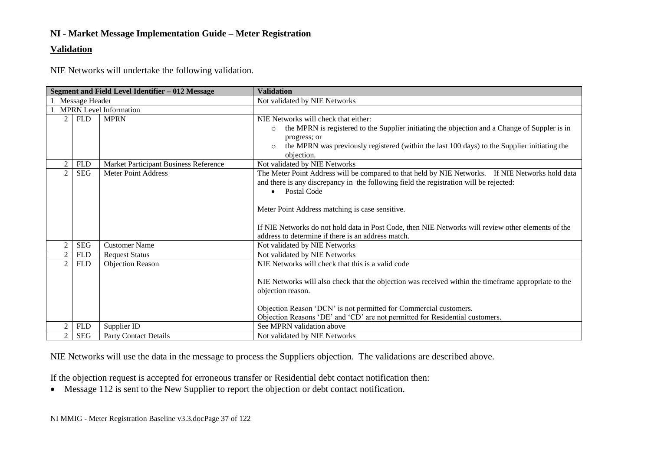#### **Validation**

NIE Networks will undertake the following validation.

|                |                | Segment and Field Level Identifier - 012 Message | <b>Validation</b>                                                                                                                                                                                                                                                                                                                                                                                                        |
|----------------|----------------|--------------------------------------------------|--------------------------------------------------------------------------------------------------------------------------------------------------------------------------------------------------------------------------------------------------------------------------------------------------------------------------------------------------------------------------------------------------------------------------|
|                | Message Header |                                                  | Not validated by NIE Networks                                                                                                                                                                                                                                                                                                                                                                                            |
|                |                | <b>MPRN</b> Level Information                    |                                                                                                                                                                                                                                                                                                                                                                                                                          |
| $\overline{2}$ | <b>FLD</b>     | <b>MPRN</b>                                      | NIE Networks will check that either:<br>the MPRN is registered to the Supplier initiating the objection and a Change of Suppler is in<br>$\circ$<br>progress; or<br>the MPRN was previously registered (within the last 100 days) to the Supplier initiating the<br>$\circ$<br>objection.                                                                                                                                |
| $\overline{2}$ | <b>FLD</b>     | Market Participant Business Reference            | Not validated by NIE Networks                                                                                                                                                                                                                                                                                                                                                                                            |
| $\overline{c}$ | <b>SEG</b>     | Meter Point Address                              | The Meter Point Address will be compared to that held by NIE Networks. If NIE Networks hold data<br>and there is any discrepancy in the following field the registration will be rejected:<br>Postal Code<br>Meter Point Address matching is case sensitive.<br>If NIE Networks do not hold data in Post Code, then NIE Networks will review other elements of the<br>address to determine if there is an address match. |
|                | <b>SEG</b>     | <b>Customer Name</b>                             | Not validated by NIE Networks                                                                                                                                                                                                                                                                                                                                                                                            |
| $\overline{2}$ | <b>FLD</b>     | <b>Request Status</b>                            | Not validated by NIE Networks                                                                                                                                                                                                                                                                                                                                                                                            |
| 2              | <b>FLD</b>     | Objection Reason                                 | NIE Networks will check that this is a valid code<br>NIE Networks will also check that the objection was received within the timeframe appropriate to the<br>objection reason.<br>Objection Reason 'DCN' is not permitted for Commercial customers.<br>Objection Reasons 'DE' and 'CD' are not permitted for Residential customers.                                                                                      |
| $\overline{2}$ | <b>FLD</b>     | Supplier ID                                      | See MPRN validation above                                                                                                                                                                                                                                                                                                                                                                                                |
| $\overline{2}$ | <b>SEG</b>     | <b>Party Contact Details</b>                     | Not validated by NIE Networks                                                                                                                                                                                                                                                                                                                                                                                            |

NIE Networks will use the data in the message to process the Suppliers objection. The validations are described above.

If the objection request is accepted for erroneous transfer or Residential debt contact notification then:

• Message 112 is sent to the New Supplier to report the objection or debt contact notification.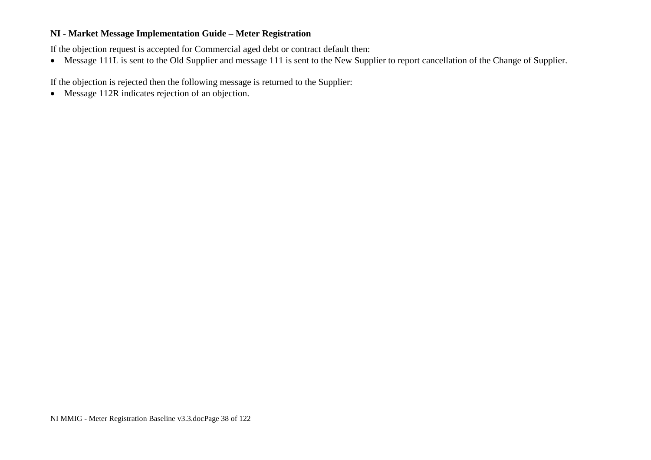If the objection request is accepted for Commercial aged debt or contract default then:

• Message 111L is sent to the Old Supplier and message 111 is sent to the New Supplier to report cancellation of the Change of Supplier.

If the objection is rejected then the following message is returned to the Supplier:

• Message 112R indicates rejection of an objection.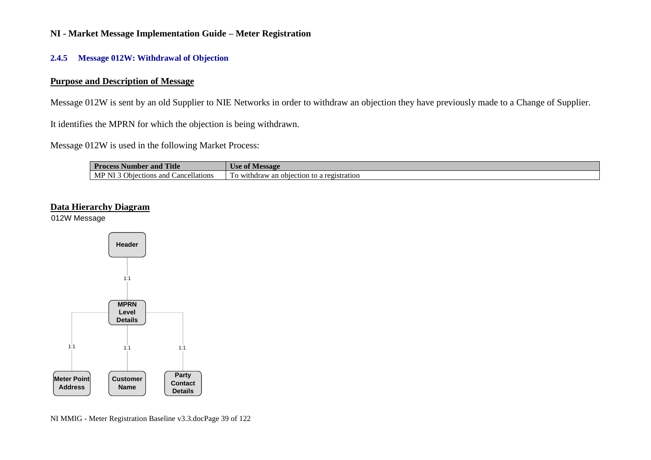#### **2.4.5 Message 012W: Withdrawal of Objection**

### **Purpose and Description of Message**

Message 012W is sent by an old Supplier to NIE Networks in order to withdraw an objection they have previously made to a Change of Supplier.

It identifies the MPRN for which the objection is being withdrawn.

Message 012W is used in the following Market Process:

| <b>Title</b><br>Process Number<br>and                       | Use of Message                               |
|-------------------------------------------------------------|----------------------------------------------|
| <b>Objections</b><br>MP NI<br>- - -<br>cancellations<br>and | n objection to a registration<br>withdraw an |

#### **Data Hierarchy Diagram**

012W Message



NI MMIG - Meter Registration Baseline v3.3.docPage 39 of 122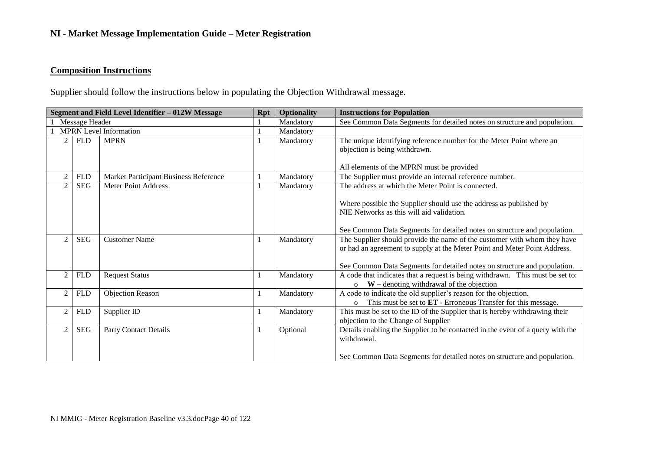## **Composition Instructions**

Supplier should follow the instructions below in populating the Objection Withdrawal message.

|                              | Segment and Field Level Identifier - 012W Message | <b>Rpt</b> | <b>Optionality</b> | <b>Instructions for Population</b>                                             |
|------------------------------|---------------------------------------------------|------------|--------------------|--------------------------------------------------------------------------------|
| Message Header               |                                                   |            | Mandatory          | See Common Data Segments for detailed notes on structure and population.       |
|                              | <b>MPRN</b> Level Information                     |            | Mandatory          |                                                                                |
| <b>FLD</b><br>$\overline{2}$ | <b>MPRN</b>                                       |            | Mandatory          | The unique identifying reference number for the Meter Point where an           |
|                              |                                                   |            |                    | objection is being withdrawn.                                                  |
|                              |                                                   |            |                    |                                                                                |
|                              |                                                   |            |                    | All elements of the MPRN must be provided                                      |
| <b>FLD</b>                   | Market Participant Business Reference             |            | Mandatory          | The Supplier must provide an internal reference number.                        |
| <b>SEG</b>                   | Meter Point Address                               |            | Mandatory          | The address at which the Meter Point is connected.                             |
|                              |                                                   |            |                    |                                                                                |
|                              |                                                   |            |                    | Where possible the Supplier should use the address as published by             |
|                              |                                                   |            |                    | NIE Networks as this will aid validation.                                      |
|                              |                                                   |            |                    |                                                                                |
|                              |                                                   |            |                    | See Common Data Segments for detailed notes on structure and population.       |
| <b>SEG</b>                   | <b>Customer Name</b>                              |            | Mandatory          | The Supplier should provide the name of the customer with whom they have       |
|                              |                                                   |            |                    | or had an agreement to supply at the Meter Point and Meter Point Address.      |
|                              |                                                   |            |                    |                                                                                |
|                              |                                                   |            |                    | See Common Data Segments for detailed notes on structure and population.       |
| <b>FLD</b><br>2              | <b>Request Status</b>                             |            | Mandatory          | A code that indicates that a request is being withdrawn. This must be set to:  |
|                              |                                                   |            |                    | $W$ – denoting withdrawal of the objection<br>$\Omega$                         |
| $\overline{2}$<br><b>FLD</b> | <b>Objection Reason</b>                           |            | Mandatory          | A code to indicate the old supplier's reason for the objection.                |
|                              |                                                   |            |                    | This must be set to ET - Erroneous Transfer for this message.<br>$\circ$       |
| <b>FLD</b><br>$\overline{2}$ | Supplier ID                                       |            | Mandatory          | This must be set to the ID of the Supplier that is hereby withdrawing their    |
| $\overline{2}$               |                                                   |            |                    | objection to the Change of Supplier                                            |
| <b>SEG</b>                   | <b>Party Contact Details</b>                      |            | Optional           | Details enabling the Supplier to be contacted in the event of a query with the |
|                              |                                                   |            |                    | withdrawal.                                                                    |
|                              |                                                   |            |                    | See Common Data Segments for detailed notes on structure and population.       |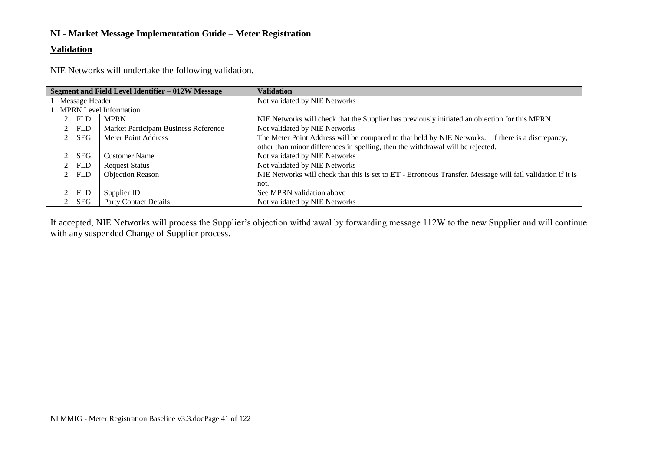#### **Validation**

NIE Networks will undertake the following validation.

| Segment and Field Level Identifier - 012W Message |            |                                       | <b>Validation</b>                                                                                          |
|---------------------------------------------------|------------|---------------------------------------|------------------------------------------------------------------------------------------------------------|
| 1 Message Header                                  |            |                                       | Not validated by NIE Networks                                                                              |
|                                                   |            | 1 MPRN Level Information              |                                                                                                            |
|                                                   | <b>FLD</b> | <b>MPRN</b>                           | NIE Networks will check that the Supplier has previously initiated an objection for this MPRN.             |
|                                                   | <b>FLD</b> | Market Participant Business Reference | Not validated by NIE Networks                                                                              |
| $\mathfrak{D}$                                    | <b>SEG</b> | Meter Point Address                   | The Meter Point Address will be compared to that held by NIE Networks. If there is a discrepancy,          |
|                                                   |            |                                       | other than minor differences in spelling, then the withdrawal will be rejected.                            |
|                                                   | <b>SEG</b> | <b>Customer Name</b>                  | Not validated by NIE Networks                                                                              |
|                                                   | <b>FLD</b> | <b>Request Status</b>                 | Not validated by NIE Networks                                                                              |
|                                                   | <b>FLD</b> | Objection Reason                      | NIE Networks will check that this is set to ET - Erroneous Transfer. Message will fail validation if it is |
|                                                   |            |                                       | not.                                                                                                       |
|                                                   | <b>FLD</b> | Supplier ID                           | See MPRN validation above                                                                                  |
|                                                   | <b>SEG</b> | <b>Party Contact Details</b>          | Not validated by NIE Networks                                                                              |

If accepted, NIE Networks will process the Supplier's objection withdrawal by forwarding message 112W to the new Supplier and will continue with any suspended Change of Supplier process.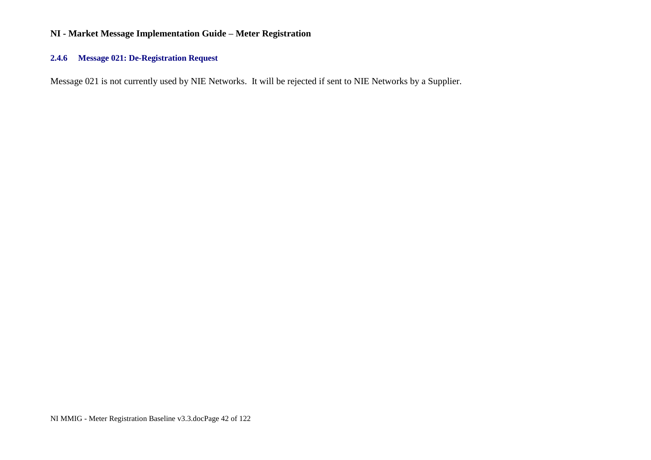### **2.4.6 Message 021: De-Registration Request**

Message 021 is not currently used by NIE Networks. It will be rejected if sent to NIE Networks by a Supplier.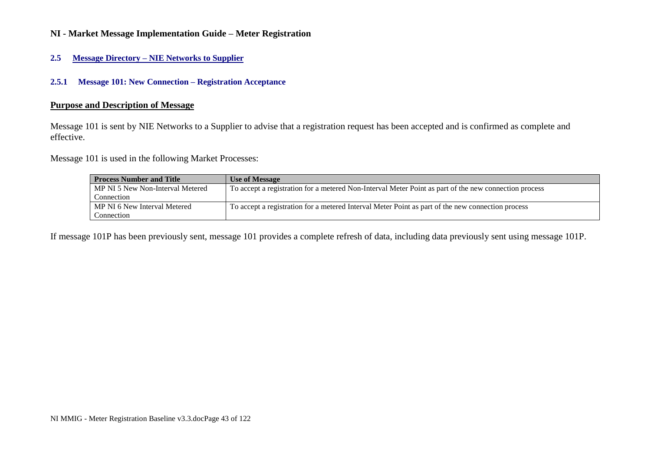#### **2.5 Message Directory – NIE Networks to Supplier**

#### **2.5.1 Message 101: New Connection – Registration Acceptance**

#### **Purpose and Description of Message**

Message 101 is sent by NIE Networks to a Supplier to advise that a registration request has been accepted and is confirmed as complete and effective.

Message 101 is used in the following Market Processes:

| <b>Process Number and Title</b>  | <b>Use of Message</b>                                                                                 |
|----------------------------------|-------------------------------------------------------------------------------------------------------|
| MP NI 5 New Non-Interval Metered | To accept a registration for a metered Non-Interval Meter Point as part of the new connection process |
| Connection                       |                                                                                                       |
| MP NI 6 New Interval Metered     | To accept a registration for a metered Interval Meter Point as part of the new connection process     |
| Connection                       |                                                                                                       |

If message 101P has been previously sent, message 101 provides a complete refresh of data, including data previously sent using message 101P.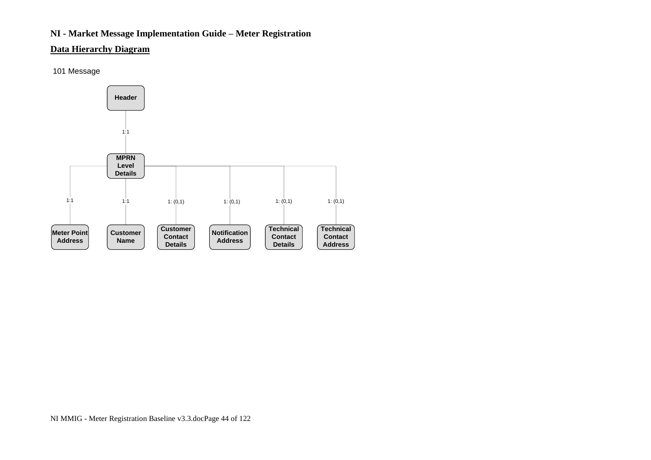### **Data Hierarchy Diagram**

101 Message

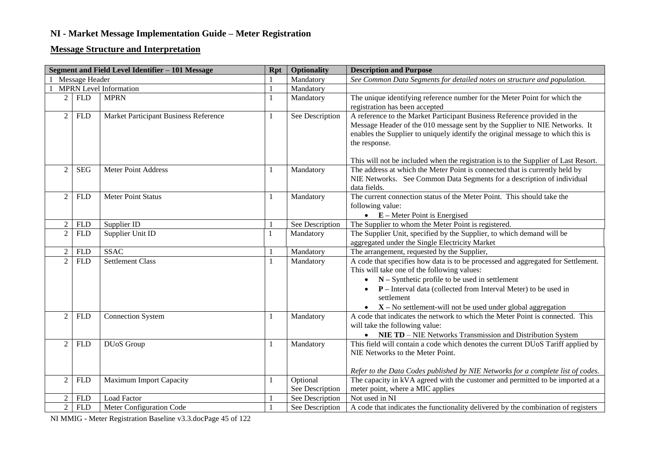## **Message Structure and Interpretation**

| Segment and Field Level Identifier - 101 Message |                    | Rpt                                   | <b>Optionality</b> | <b>Description and Purpose</b> |                                                                                                                                                                                                                                                                                                                                                             |
|--------------------------------------------------|--------------------|---------------------------------------|--------------------|--------------------------------|-------------------------------------------------------------------------------------------------------------------------------------------------------------------------------------------------------------------------------------------------------------------------------------------------------------------------------------------------------------|
| Message Header                                   |                    |                                       |                    | Mandatory                      | See Common Data Segments for detailed notes on structure and population.                                                                                                                                                                                                                                                                                    |
|                                                  |                    | <b>MPRN</b> Level Information         | $\mathbf{1}$       | Mandatory                      |                                                                                                                                                                                                                                                                                                                                                             |
| $\overline{2}$                                   | <b>FLD</b>         | <b>MPRN</b>                           | 1                  | Mandatory                      | The unique identifying reference number for the Meter Point for which the                                                                                                                                                                                                                                                                                   |
|                                                  |                    |                                       |                    |                                | registration has been accepted                                                                                                                                                                                                                                                                                                                              |
| $\overline{2}$                                   | ${\hbox{\rm FLD}}$ | Market Participant Business Reference | $\mathbf{1}$       | See Description                | A reference to the Market Participant Business Reference provided in the<br>Message Header of the 010 message sent by the Supplier to NIE Networks. It<br>enables the Supplier to uniquely identify the original message to which this is<br>the response.                                                                                                  |
|                                                  |                    |                                       |                    |                                | This will not be included when the registration is to the Supplier of Last Resort.                                                                                                                                                                                                                                                                          |
| $\overline{2}$                                   | <b>SEG</b>         | <b>Meter Point Address</b>            | 1                  | Mandatory                      | The address at which the Meter Point is connected that is currently held by<br>NIE Networks. See Common Data Segments for a description of individual<br>data fields.                                                                                                                                                                                       |
| $\overline{2}$                                   | <b>FLD</b>         | <b>Meter Point Status</b>             | $\mathbf{1}$       | Mandatory                      | The current connection status of the Meter Point. This should take the<br>following value:<br>$\bullet$ E – Meter Point is Energised                                                                                                                                                                                                                        |
| $\mathbf{2}$                                     | <b>FLD</b>         | Supplier ID                           | 1                  | See Description                | The Supplier to whom the Meter Point is registered.                                                                                                                                                                                                                                                                                                         |
| $\overline{2}$                                   | ${\hbox{\rm FLD}}$ | Supplier Unit ID                      | $\mathbf{1}$       | Mandatory                      | The Supplier Unit, specified by the Supplier, to which demand will be<br>aggregated under the Single Electricity Market                                                                                                                                                                                                                                     |
| $\overline{2}$                                   | <b>FLD</b>         | <b>SSAC</b>                           | $\mathbf{1}$       | Mandatory                      | The arrangement, requested by the Supplier,                                                                                                                                                                                                                                                                                                                 |
| $\overline{2}$                                   | <b>FLD</b>         | <b>Settlement Class</b>               | $\mathbf{1}$       | Mandatory                      | A code that specifies how data is to be processed and aggregated for Settlement.<br>This will take one of the following values:<br>$\bullet$ $N -$ Synthetic profile to be used in settlement<br>$P$ – Interval data (collected from Interval Meter) to be used in<br>settlement<br>$\bullet$ $X - No$ settlement-will not be used under global aggregation |
| 2                                                | <b>FLD</b>         | <b>Connection System</b>              | $\mathbf{1}$       | Mandatory                      | A code that indicates the network to which the Meter Point is connected. This<br>will take the following value:<br>• NIE TD – NIE Networks Transmission and Distribution System                                                                                                                                                                             |
| $\overline{2}$                                   | <b>FLD</b>         | <b>DUoS</b> Group                     | $\mathbf{1}$       | Mandatory                      | This field will contain a code which denotes the current DUoS Tariff applied by<br>NIE Networks to the Meter Point.<br>Refer to the Data Codes published by NIE Networks for a complete list of codes.                                                                                                                                                      |
| $\overline{2}$                                   | <b>FLD</b>         | <b>Maximum Import Capacity</b>        | 1                  | Optional                       | The capacity in kVA agreed with the customer and permitted to be imported at a                                                                                                                                                                                                                                                                              |
|                                                  |                    |                                       |                    | See Description                | meter point, where a MIC applies                                                                                                                                                                                                                                                                                                                            |
| $\overline{c}$                                   | <b>FLD</b>         | <b>Load Factor</b>                    | -1                 | See Description                | Not used in NI                                                                                                                                                                                                                                                                                                                                              |
| $\overline{2}$                                   | <b>FLD</b>         | Meter Configuration Code              |                    | See Description                | A code that indicates the functionality delivered by the combination of registers                                                                                                                                                                                                                                                                           |

NI MMIG - Meter Registration Baseline v3.3.docPage 45 of 122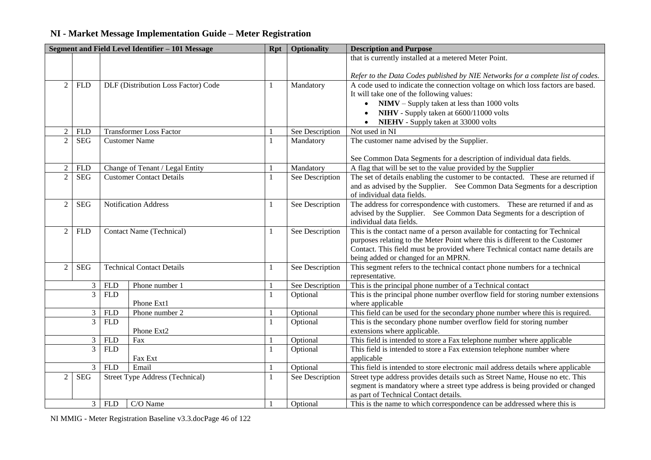| Segment and Field Level Identifier - 101 Message |                |            |                                        |              | <b>Optionality</b> | <b>Description and Purpose</b>                                                   |
|--------------------------------------------------|----------------|------------|----------------------------------------|--------------|--------------------|----------------------------------------------------------------------------------|
|                                                  |                |            |                                        |              |                    | that is currently installed at a metered Meter Point.                            |
|                                                  |                |            |                                        |              |                    |                                                                                  |
|                                                  |                |            |                                        |              |                    | Refer to the Data Codes published by NIE Networks for a complete list of codes.  |
| $\overline{2}$                                   | <b>FLD</b>     |            | DLF (Distribution Loss Factor) Code    | 1            | Mandatory          | A code used to indicate the connection voltage on which loss factors are based.  |
|                                                  |                |            |                                        |              |                    | It will take one of the following values:                                        |
|                                                  |                |            |                                        |              |                    | $NIMV - Supply$ taken at less than 1000 volts                                    |
|                                                  |                |            |                                        |              |                    | NIHV - Supply taken at 6600/11000 volts                                          |
|                                                  |                |            |                                        |              |                    | NIEHV - Supply taken at 33000 volts                                              |
| $\overline{2}$                                   | <b>FLD</b>     |            | <b>Transformer Loss Factor</b>         | 1            | See Description    | Not used in NI                                                                   |
| $\overline{2}$                                   | <b>SEG</b>     |            | <b>Customer Name</b>                   | $\mathbf{1}$ | Mandatory          | The customer name advised by the Supplier.                                       |
|                                                  |                |            |                                        |              |                    |                                                                                  |
|                                                  |                |            |                                        |              |                    | See Common Data Segments for a description of individual data fields.            |
| $\overline{2}$                                   | <b>FLD</b>     |            | Change of Tenant / Legal Entity        | $\mathbf{1}$ | Mandatory          | A flag that will be set to the value provided by the Supplier                    |
| $\overline{2}$                                   | <b>SEG</b>     |            | <b>Customer Contact Details</b>        | 1            | See Description    | The set of details enabling the customer to be contacted. These are returned if  |
|                                                  |                |            |                                        |              |                    | and as advised by the Supplier. See Common Data Segments for a description       |
|                                                  |                |            |                                        |              |                    | of individual data fields.                                                       |
| $\overline{2}$                                   | <b>SEG</b>     |            | <b>Notification Address</b>            | 1            | See Description    | The address for correspondence with customers. These are returned if and as      |
|                                                  |                |            |                                        |              |                    | advised by the Supplier. See Common Data Segments for a description of           |
|                                                  |                |            |                                        |              |                    | individual data fields.                                                          |
| $\overline{2}$                                   | <b>FLD</b>     |            | <b>Contact Name (Technical)</b>        | $\mathbf{1}$ | See Description    | This is the contact name of a person available for contacting for Technical      |
|                                                  |                |            |                                        |              |                    | purposes relating to the Meter Point where this is different to the Customer     |
|                                                  |                |            |                                        |              |                    | Contact. This field must be provided where Technical contact name details are    |
|                                                  |                |            |                                        |              |                    | being added or changed for an MPRN.                                              |
| $\overline{2}$                                   | <b>SEG</b>     |            | <b>Technical Contact Details</b>       | 1            | See Description    | This segment refers to the technical contact phone numbers for a technical       |
|                                                  |                |            |                                        |              |                    | representative.                                                                  |
|                                                  | 3              | <b>FLD</b> | Phone number 1                         | 1            | See Description    | This is the principal phone number of a Technical contact                        |
|                                                  | $\overline{3}$ | <b>FLD</b> |                                        | $\mathbf{1}$ | Optional           | This is the principal phone number overflow field for storing number extensions  |
|                                                  |                |            | Phone Ext1                             |              |                    | where applicable                                                                 |
|                                                  | 3              | <b>FLD</b> | Phone number 2                         | $\mathbf{1}$ | Optional           | This field can be used for the secondary phone number where this is required.    |
|                                                  | $\mathfrak{Z}$ | <b>FLD</b> |                                        | 1            | Optional           | This is the secondary phone number overflow field for storing number             |
|                                                  |                |            | Phone Ext2                             |              |                    | extensions where applicable.                                                     |
| 3                                                |                | <b>FLD</b> | Fax                                    | $\mathbf{1}$ | Optional           | This field is intended to store a Fax telephone number where applicable          |
| $\overline{3}$                                   |                | <b>FLD</b> |                                        | $\mathbf{1}$ | Optional           | This field is intended to store a Fax extension telephone number where           |
|                                                  |                |            | Fax Ext                                |              |                    | applicable                                                                       |
|                                                  | 3              | <b>FLD</b> | Email                                  | $\mathbf{1}$ | Optional           | This field is intended to store electronic mail address details where applicable |
| $\overline{2}$                                   | <b>SEG</b>     |            | <b>Street Type Address (Technical)</b> | 1            | See Description    | Street type address provides details such as Street Name, House no etc. This     |
|                                                  |                |            |                                        |              |                    | segment is mandatory where a street type address is being provided or changed    |
|                                                  |                |            |                                        |              |                    | as part of Technical Contact details.                                            |
|                                                  | $\mathfrak{Z}$ | <b>FLD</b> | C/O Name                               |              | Optional           | This is the name to which correspondence can be addressed where this is          |

NI MMIG - Meter Registration Baseline v3.3.docPage 46 of 122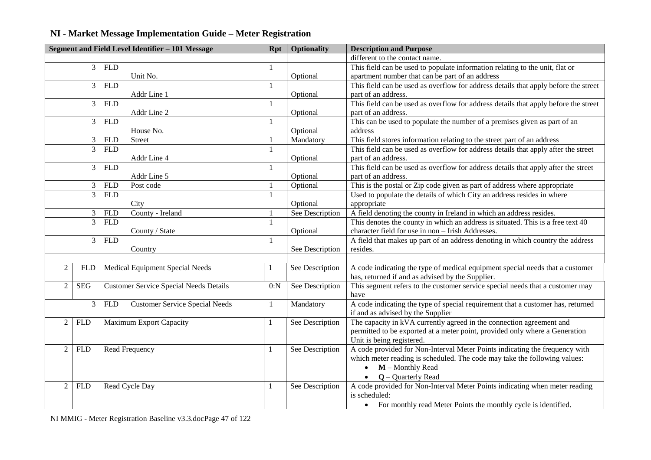|                |                |            | Segment and Field Level Identifier - 101 Message | Rpt          | <b>Optionality</b> | <b>Description and Purpose</b>                                                      |
|----------------|----------------|------------|--------------------------------------------------|--------------|--------------------|-------------------------------------------------------------------------------------|
|                |                |            |                                                  |              |                    | different to the contact name.                                                      |
|                | $\mathfrak{Z}$ | <b>FLD</b> |                                                  | $\mathbf{1}$ |                    | This field can be used to populate information relating to the unit, flat or        |
|                |                |            | Unit No.                                         |              | Optional           | apartment number that can be part of an address                                     |
|                | 3              | <b>FLD</b> |                                                  | $\mathbf{1}$ |                    | This field can be used as overflow for address details that apply before the street |
|                |                |            | Addr Line 1                                      |              | Optional           | part of an address.                                                                 |
|                | 3              | <b>FLD</b> |                                                  | 1            |                    | This field can be used as overflow for address details that apply before the street |
|                |                |            | Addr Line 2                                      |              | Optional           | part of an address.                                                                 |
|                | 3              | <b>FLD</b> |                                                  | 1            |                    | This can be used to populate the number of a premises given as part of an           |
|                |                |            | House No.                                        |              | Optional           | address                                                                             |
|                | 3              | <b>FLD</b> | Street                                           |              | Mandatory          | This field stores information relating to the street part of an address             |
|                | $\overline{3}$ | <b>FLD</b> |                                                  | 1            |                    | This field can be used as overflow for address details that apply after the street  |
|                |                |            | Addr Line 4                                      |              | Optional           | part of an address.                                                                 |
|                | 3              | <b>FLD</b> |                                                  | 1            |                    | This field can be used as overflow for address details that apply after the street  |
|                |                |            | Addr Line 5                                      |              | Optional           | part of an address.                                                                 |
|                | 3              | <b>FLD</b> | Post code                                        | 1            | Optional           | This is the postal or Zip code given as part of address where appropriate           |
|                | $\overline{3}$ | <b>FLD</b> |                                                  | 1            |                    | Used to populate the details of which City an address resides in where              |
|                |                |            | City                                             |              | Optional           | appropriate                                                                         |
|                | $\mathfrak{Z}$ | <b>FLD</b> | County - Ireland                                 |              | See Description    | A field denoting the county in Ireland in which an address resides.                 |
|                | $\overline{3}$ | <b>FLD</b> |                                                  | $\mathbf{1}$ |                    | This denotes the county in which an address is situated. This is a free text 40     |
|                |                |            | County / State                                   |              | Optional           | character field for use in non - Irish Addresses.                                   |
|                | 3              | <b>FLD</b> |                                                  | $\mathbf{1}$ |                    | A field that makes up part of an address denoting in which country the address      |
|                |                |            | Country                                          |              | See Description    | resides.                                                                            |
|                |                |            |                                                  |              |                    |                                                                                     |
| $\overline{2}$ | <b>FLD</b>     |            | Medical Equipment Special Needs                  | 1            | See Description    | A code indicating the type of medical equipment special needs that a customer       |
|                |                |            |                                                  |              |                    | has, returned if and as advised by the Supplier.                                    |
| $\mathfrak{2}$ | <b>SEG</b>     |            | <b>Customer Service Special Needs Details</b>    | 0:N          | See Description    | This segment refers to the customer service special needs that a customer may       |
|                |                |            |                                                  |              |                    | have                                                                                |
|                | $\mathfrak{Z}$ | <b>FLD</b> | <b>Customer Service Special Needs</b>            | $\mathbf{1}$ | Mandatory          | A code indicating the type of special requirement that a customer has, returned     |
|                |                |            |                                                  |              |                    | if and as advised by the Supplier                                                   |
| $\overline{2}$ | <b>FLD</b>     |            | <b>Maximum Export Capacity</b>                   | $\mathbf{1}$ | See Description    | The capacity in kVA currently agreed in the connection agreement and                |
|                |                |            |                                                  |              |                    | permitted to be exported at a meter point, provided only where a Generation         |
|                |                |            |                                                  |              |                    | Unit is being registered.                                                           |
| $\mathbf{2}$   | <b>FLD</b>     |            | Read Frequency                                   | $\mathbf{1}$ | See Description    | A code provided for Non-Interval Meter Points indicating the frequency with         |
|                |                |            |                                                  |              |                    | which meter reading is scheduled. The code may take the following values:           |
|                |                |            |                                                  |              |                    | $M$ – Monthly Read                                                                  |
|                |                |            |                                                  |              |                    | $Q$ – Quarterly Read                                                                |
| $\overline{2}$ | <b>FLD</b>     |            | Read Cycle Day                                   | 1            | See Description    | A code provided for Non-Interval Meter Points indicating when meter reading         |
|                |                |            |                                                  |              |                    | is scheduled:                                                                       |
|                |                |            |                                                  |              |                    | • For monthly read Meter Points the monthly cycle is identified.                    |

NI MMIG - Meter Registration Baseline v3.3.docPage 47 of 122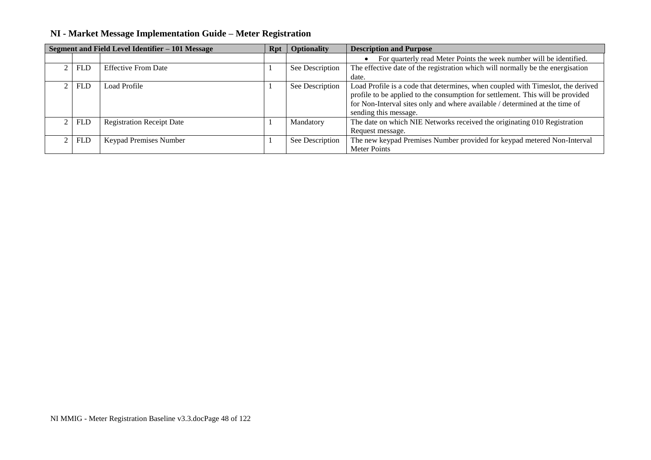| Segment and Field Level Identifier – 101 Message |            |                                  | <b>Rpt</b> | <b>Optionality</b> | <b>Description and Purpose</b>                                                  |
|--------------------------------------------------|------------|----------------------------------|------------|--------------------|---------------------------------------------------------------------------------|
|                                                  |            |                                  |            |                    | For quarterly read Meter Points the week number will be identified.             |
|                                                  | <b>FLD</b> | <b>Effective From Date</b>       |            | See Description    | The effective date of the registration which will normally be the energisation  |
|                                                  |            |                                  |            |                    | date.                                                                           |
|                                                  | <b>FLD</b> | Load Profile                     |            | See Description    | Load Profile is a code that determines, when coupled with Timeslot, the derived |
|                                                  |            |                                  |            |                    | profile to be applied to the consumption for settlement. This will be provided  |
|                                                  |            |                                  |            |                    | for Non-Interval sites only and where available / determined at the time of     |
|                                                  |            |                                  |            |                    | sending this message.                                                           |
|                                                  | <b>FLD</b> | <b>Registration Receipt Date</b> |            | Mandatory          | The date on which NIE Networks received the originating 010 Registration        |
|                                                  |            |                                  |            |                    | Request message.                                                                |
|                                                  | <b>FLD</b> | <b>Keypad Premises Number</b>    |            | See Description    | The new keypad Premises Number provided for keypad metered Non-Interval         |
|                                                  |            |                                  |            |                    | <b>Meter Points</b>                                                             |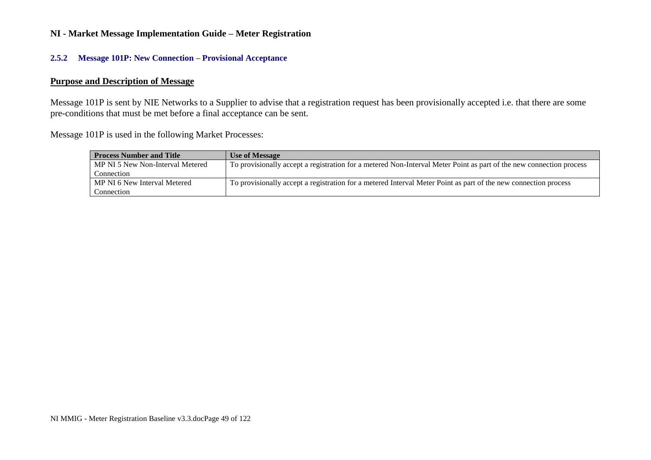#### **2.5.2 Message 101P: New Connection – Provisional Acceptance**

### **Purpose and Description of Message**

Message 101P is sent by NIE Networks to a Supplier to advise that a registration request has been provisionally accepted i.e. that there are some pre-conditions that must be met before a final acceptance can be sent.

Message 101P is used in the following Market Processes:

| <b>Process Number and Title</b>  | <b>Use of Message</b>                                                                                               |
|----------------------------------|---------------------------------------------------------------------------------------------------------------------|
| MP NI 5 New Non-Interval Metered | To provisionally accept a registration for a metered Non-Interval Meter Point as part of the new connection process |
| Connection                       |                                                                                                                     |
| MP NI 6 New Interval Metered     | To provisionally accept a registration for a metered Interval Meter Point as part of the new connection process     |
| Connection                       |                                                                                                                     |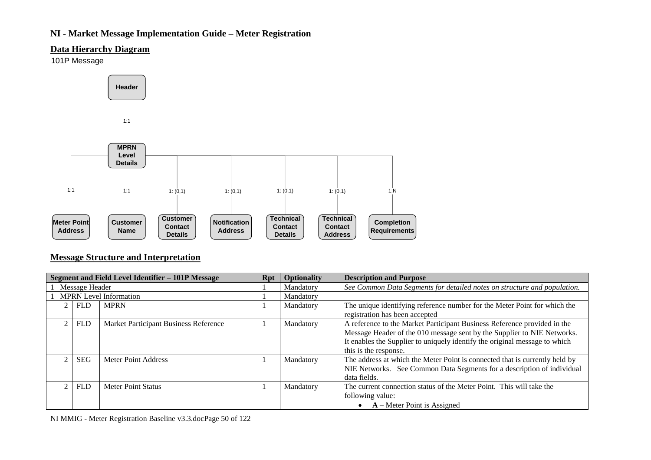### **Data Hierarchy Diagram**

101P Message



## **Message Structure and Interpretation**

| Segment and Field Level Identifier - 101P Message |            |                                       |  | <b>Optionality</b> | <b>Description and Purpose</b>                                                                                                                                                                                                                             |
|---------------------------------------------------|------------|---------------------------------------|--|--------------------|------------------------------------------------------------------------------------------------------------------------------------------------------------------------------------------------------------------------------------------------------------|
| Message Header                                    |            |                                       |  | Mandatory          | See Common Data Segments for detailed notes on structure and population.                                                                                                                                                                                   |
|                                                   |            | 1 MPRN Level Information              |  | Mandatory          |                                                                                                                                                                                                                                                            |
|                                                   | <b>FLD</b> | <b>MPRN</b>                           |  | Mandatory          | The unique identifying reference number for the Meter Point for which the<br>registration has been accepted                                                                                                                                                |
|                                                   | <b>FLD</b> | Market Participant Business Reference |  | Mandatory          | A reference to the Market Participant Business Reference provided in the<br>Message Header of the 010 message sent by the Supplier to NIE Networks.<br>It enables the Supplier to uniquely identify the original message to which<br>this is the response. |
|                                                   | <b>SEG</b> | Meter Point Address                   |  | Mandatory          | The address at which the Meter Point is connected that is currently held by<br>NIE Networks. See Common Data Segments for a description of individual<br>data fields.                                                                                      |
|                                                   | <b>FLD</b> | Meter Point Status                    |  | Mandatory          | The current connection status of the Meter Point. This will take the<br>following value:<br>$A$ – Meter Point is Assigned                                                                                                                                  |

NI MMIG - Meter Registration Baseline v3.3.docPage 50 of 122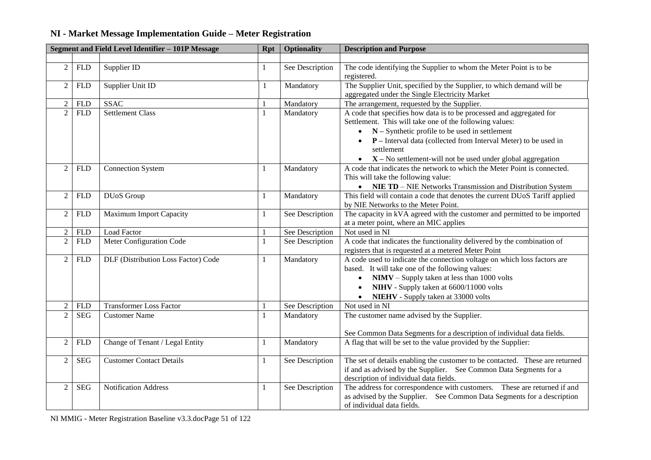| NI - Market Message Implementation Guide - Meter Registration |  |
|---------------------------------------------------------------|--|
|---------------------------------------------------------------|--|

|                |                    | Segment and Field Level Identifier - 101P Message | <b>Rpt</b>   | <b>Optionality</b> | <b>Description and Purpose</b>                                                                                          |
|----------------|--------------------|---------------------------------------------------|--------------|--------------------|-------------------------------------------------------------------------------------------------------------------------|
|                |                    |                                                   |              |                    |                                                                                                                         |
| $\overline{2}$ | <b>FLD</b>         | Supplier ID                                       | $\mathbf{1}$ | See Description    | The code identifying the Supplier to whom the Meter Point is to be<br>registered.                                       |
| 2              | <b>FLD</b>         | Supplier Unit ID                                  | 1            | Mandatory          | The Supplier Unit, specified by the Supplier, to which demand will be<br>aggregated under the Single Electricity Market |
| 2              | <b>FLD</b>         | <b>SSAC</b>                                       |              | Mandatory          | The arrangement, requested by the Supplier.                                                                             |
| $\overline{2}$ | ${\sf FLD}$        | <b>Settlement Class</b>                           | $\mathbf{1}$ | Mandatory          | A code that specifies how data is to be processed and aggregated for                                                    |
|                |                    |                                                   |              |                    | Settlement. This will take one of the following values:                                                                 |
|                |                    |                                                   |              |                    | $\bullet$ $N -$ Synthetic profile to be used in settlement                                                              |
|                |                    |                                                   |              |                    | $P$ – Interval data (collected from Interval Meter) to be used in                                                       |
|                |                    |                                                   |              |                    | settlement                                                                                                              |
|                |                    |                                                   |              |                    | $\bullet$ $X$ – No settlement-will not be used under global aggregation                                                 |
| 2              | <b>FLD</b>         | <b>Connection System</b>                          | $\mathbf{1}$ | Mandatory          | A code that indicates the network to which the Meter Point is connected.                                                |
|                |                    |                                                   |              |                    | This will take the following value:                                                                                     |
|                |                    |                                                   |              |                    | • NIE TD - NIE Networks Transmission and Distribution System                                                            |
| $\overline{2}$ | <b>FLD</b>         | DUoS Group                                        | $\mathbf{1}$ | Mandatory          | This field will contain a code that denotes the current DUoS Tariff applied                                             |
|                |                    |                                                   |              |                    | by NIE Networks to the Meter Point.                                                                                     |
| 2              | <b>FLD</b>         | Maximum Import Capacity                           | $\mathbf{1}$ | See Description    | The capacity in kVA agreed with the customer and permitted to be imported                                               |
|                |                    |                                                   |              |                    | at a meter point, where an MIC applies                                                                                  |
| 2              | ${\hbox{\rm FLD}}$ | <b>Load Factor</b>                                | 1            | See Description    | Not used in NI                                                                                                          |
| $\overline{2}$ | <b>FLD</b>         | Meter Configuration Code                          | $\mathbf{1}$ | See Description    | A code that indicates the functionality delivered by the combination of                                                 |
|                |                    |                                                   |              |                    | registers that is requested at a metered Meter Point                                                                    |
| $2^{\circ}$    | <b>FLD</b>         | DLF (Distribution Loss Factor) Code               | $\mathbf{1}$ | Mandatory          | A code used to indicate the connection voltage on which loss factors are                                                |
|                |                    |                                                   |              |                    | based. It will take one of the following values:                                                                        |
|                |                    |                                                   |              |                    | $NIMV - Supply$ taken at less than 1000 volts<br>$\bullet$                                                              |
|                |                    |                                                   |              |                    | NIHV - Supply taken at 6600/11000 volts<br>$\bullet$                                                                    |
|                |                    |                                                   |              |                    | <b>NIEHV</b> - Supply taken at 33000 volts<br>$\bullet$                                                                 |
| 2              | <b>FLD</b>         | <b>Transformer Loss Factor</b>                    | 1            | See Description    | Not used in NI                                                                                                          |
| $\overline{2}$ | <b>SEG</b>         | <b>Customer Name</b>                              | $\mathbf{1}$ | Mandatory          | The customer name advised by the Supplier.                                                                              |
|                |                    |                                                   |              |                    | See Common Data Segments for a description of individual data fields.                                                   |
| $\overline{2}$ | ${\sf FLD}$        | Change of Tenant / Legal Entity                   | $\mathbf{1}$ | Mandatory          | A flag that will be set to the value provided by the Supplier:                                                          |
|                |                    |                                                   |              |                    |                                                                                                                         |
| 2              | <b>SEG</b>         | <b>Customer Contact Details</b>                   | $\mathbf{1}$ | See Description    | The set of details enabling the customer to be contacted. These are returned                                            |
|                |                    |                                                   |              |                    | if and as advised by the Supplier. See Common Data Segments for a                                                       |
|                |                    |                                                   |              |                    | description of individual data fields.                                                                                  |
| 2              | <b>SEG</b>         | <b>Notification Address</b>                       | 1            | See Description    | The address for correspondence with customers. These are returned if and                                                |
|                |                    |                                                   |              |                    | as advised by the Supplier. See Common Data Segments for a description                                                  |
|                |                    |                                                   |              |                    | of individual data fields.                                                                                              |

NI MMIG - Meter Registration Baseline v3.3.docPage 51 of 122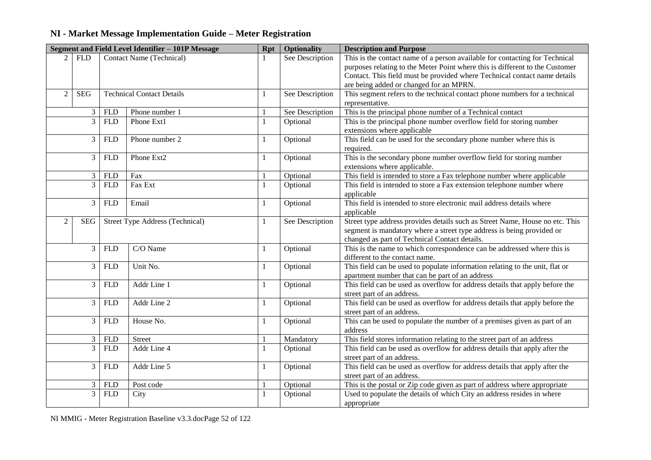| Segment and Field Level Identifier - 101P Message |                |            |                                        |              | <b>Optionality</b> | <b>Description and Purpose</b>                                               |
|---------------------------------------------------|----------------|------------|----------------------------------------|--------------|--------------------|------------------------------------------------------------------------------|
| 2 <sup>1</sup>                                    | <b>FLD</b>     |            | <b>Contact Name (Technical)</b>        |              | See Description    | This is the contact name of a person available for contacting for Technical  |
|                                                   |                |            |                                        |              |                    | purposes relating to the Meter Point where this is different to the Customer |
|                                                   |                |            |                                        |              |                    | Contact. This field must be provided where Technical contact name details    |
|                                                   |                |            |                                        |              |                    | are being added or changed for an MPRN.                                      |
| $\overline{2}$                                    | <b>SEG</b>     |            | <b>Technical Contact Details</b>       | 1            | See Description    | This segment refers to the technical contact phone numbers for a technical   |
|                                                   |                |            |                                        |              |                    | representative.                                                              |
|                                                   | $\mathfrak{Z}$ | <b>FLD</b> | Phone number 1                         |              | See Description    | This is the principal phone number of a Technical contact                    |
|                                                   | $\overline{3}$ | <b>FLD</b> | Phone Ext1                             | $\mathbf{1}$ | Optional           | This is the principal phone number overflow field for storing number         |
|                                                   |                |            |                                        |              |                    | extensions where applicable                                                  |
|                                                   | 3              | <b>FLD</b> | Phone number 2                         | 1            | Optional           | This field can be used for the secondary phone number where this is          |
|                                                   |                |            |                                        |              |                    | required.                                                                    |
|                                                   | 3              | <b>FLD</b> | Phone Ext2                             | 1            | Optional           | This is the secondary phone number overflow field for storing number         |
|                                                   |                |            |                                        |              |                    | extensions where applicable.                                                 |
|                                                   | 3              | <b>FLD</b> | Fax                                    |              | Optional           | This field is intended to store a Fax telephone number where applicable      |
|                                                   | $\overline{3}$ | <b>FLD</b> | Fax Ext                                | 1            | Optional           | This field is intended to store a Fax extension telephone number where       |
|                                                   |                |            |                                        |              |                    | applicable                                                                   |
|                                                   | 3              | <b>FLD</b> | Email                                  | 1            | Optional           | This field is intended to store electronic mail address details where        |
|                                                   |                |            |                                        |              |                    | applicable                                                                   |
| $\overline{2}$                                    | <b>SEG</b>     |            | <b>Street Type Address (Technical)</b> | 1            | See Description    | Street type address provides details such as Street Name, House no etc. This |
|                                                   |                |            |                                        |              |                    | segment is mandatory where a street type address is being provided or        |
|                                                   |                |            |                                        |              |                    | changed as part of Technical Contact details.                                |
|                                                   | 3              | <b>FLD</b> | C/O Name                               | 1            | Optional           | This is the name to which correspondence can be addressed where this is      |
|                                                   |                |            |                                        |              |                    | different to the contact name.                                               |
|                                                   | 3              | <b>FLD</b> | Unit No.                               | 1            | Optional           | This field can be used to populate information relating to the unit, flat or |
|                                                   |                |            |                                        |              |                    | apartment number that can be part of an address                              |
|                                                   | 3              | <b>FLD</b> | Addr Line 1                            | 1            | Optional           | This field can be used as overflow for address details that apply before the |
|                                                   |                |            |                                        |              |                    | street part of an address.                                                   |
|                                                   | 3              | <b>FLD</b> | Addr Line 2                            | $\mathbf{1}$ | Optional           | This field can be used as overflow for address details that apply before the |
|                                                   |                |            |                                        |              |                    | street part of an address.                                                   |
|                                                   | 3              | <b>FLD</b> | House No.                              | 1            | Optional           | This can be used to populate the number of a premises given as part of an    |
|                                                   |                |            |                                        |              |                    | address                                                                      |
|                                                   | 3              | <b>FLD</b> | <b>Street</b>                          | 1            | Mandatory          | This field stores information relating to the street part of an address      |
|                                                   | 3              | <b>FLD</b> | Addr Line 4                            | 1            | Optional           | This field can be used as overflow for address details that apply after the  |
|                                                   |                |            |                                        |              |                    | street part of an address.                                                   |
|                                                   | 3              | <b>FLD</b> | Addr Line 5                            | $\mathbf{1}$ | Optional           | This field can be used as overflow for address details that apply after the  |
|                                                   |                |            |                                        |              |                    | street part of an address.                                                   |
|                                                   | 3              | <b>FLD</b> | Post code                              |              | Optional           | This is the postal or Zip code given as part of address where appropriate    |
|                                                   | 3              | <b>FLD</b> | City                                   | 1            | Optional           | Used to populate the details of which City an address resides in where       |
|                                                   |                |            |                                        |              |                    | appropriate                                                                  |

NI MMIG - Meter Registration Baseline v3.3.docPage 52 of 122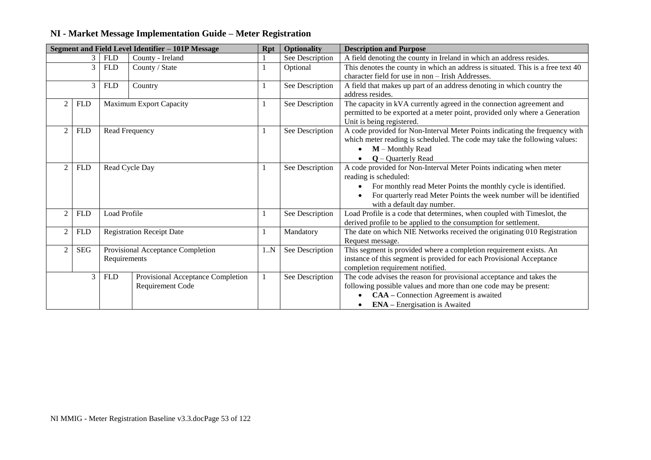| Segment and Field Level Identifier - 101P Message |            |                                  |                                   |                 | <b>Optionality</b>                                                  | <b>Description and Purpose</b>                                                  |
|---------------------------------------------------|------------|----------------------------------|-----------------------------------|-----------------|---------------------------------------------------------------------|---------------------------------------------------------------------------------|
| <b>FLD</b><br>County - Ireland<br>3               |            |                                  |                                   | See Description | A field denoting the county in Ireland in which an address resides. |                                                                                 |
| 3                                                 |            | <b>FLD</b>                       | County / State                    |                 | Optional                                                            | This denotes the county in which an address is situated. This is a free text 40 |
|                                                   |            |                                  |                                   |                 |                                                                     | character field for use in non - Irish Addresses.                               |
|                                                   | 3          | <b>FLD</b>                       | Country                           |                 | See Description                                                     | A field that makes up part of an address denoting in which country the          |
|                                                   |            |                                  |                                   |                 |                                                                     | address resides.                                                                |
| 2                                                 | <b>FLD</b> |                                  | <b>Maximum Export Capacity</b>    |                 | See Description                                                     | The capacity in kVA currently agreed in the connection agreement and            |
|                                                   |            |                                  |                                   |                 |                                                                     | permitted to be exported at a meter point, provided only where a Generation     |
|                                                   |            |                                  |                                   |                 |                                                                     | Unit is being registered.                                                       |
| 2                                                 | <b>FLD</b> |                                  | Read Frequency                    |                 | See Description                                                     | A code provided for Non-Interval Meter Points indicating the frequency with     |
|                                                   |            |                                  |                                   |                 |                                                                     | which meter reading is scheduled. The code may take the following values:       |
|                                                   |            |                                  |                                   |                 |                                                                     | $M$ – Monthly Read                                                              |
|                                                   |            |                                  |                                   |                 |                                                                     | $Q$ – Quarterly Read<br>$\bullet$                                               |
| $\overline{2}$                                    | <b>FLD</b> | Read Cycle Day                   |                                   |                 | See Description                                                     | A code provided for Non-Interval Meter Points indicating when meter             |
|                                                   |            |                                  |                                   |                 |                                                                     | reading is scheduled:                                                           |
|                                                   |            |                                  |                                   |                 |                                                                     | For monthly read Meter Points the monthly cycle is identified.                  |
|                                                   |            |                                  |                                   |                 |                                                                     | For quarterly read Meter Points the week number will be identified              |
|                                                   |            |                                  |                                   |                 |                                                                     | with a default day number.                                                      |
| 2                                                 | <b>FLD</b> | Load Profile                     |                                   |                 | See Description                                                     | Load Profile is a code that determines, when coupled with Timeslot, the         |
|                                                   |            |                                  |                                   |                 |                                                                     | derived profile to be applied to the consumption for settlement.                |
| 2                                                 | <b>FLD</b> | <b>Registration Receipt Date</b> |                                   |                 | Mandatory                                                           | The date on which NIE Networks received the originating 010 Registration        |
|                                                   |            |                                  |                                   |                 |                                                                     | Request message.                                                                |
| 2                                                 | <b>SEG</b> |                                  | Provisional Acceptance Completion | 1.N             | See Description                                                     | This segment is provided where a completion requirement exists. An              |
|                                                   |            |                                  | Requirements                      |                 |                                                                     | instance of this segment is provided for each Provisional Acceptance            |
|                                                   |            |                                  |                                   |                 |                                                                     | completion requirement notified.                                                |
|                                                   | 3          | <b>FLD</b>                       | Provisional Acceptance Completion |                 | See Description                                                     | The code advises the reason for provisional acceptance and takes the            |
|                                                   |            |                                  | Requirement Code                  |                 |                                                                     | following possible values and more than one code may be present:                |
|                                                   |            |                                  |                                   |                 |                                                                     | <b>CAA</b> – Connection Agreement is awaited                                    |
|                                                   |            |                                  |                                   |                 |                                                                     | <b>ENA</b> – Energisation is Awaited                                            |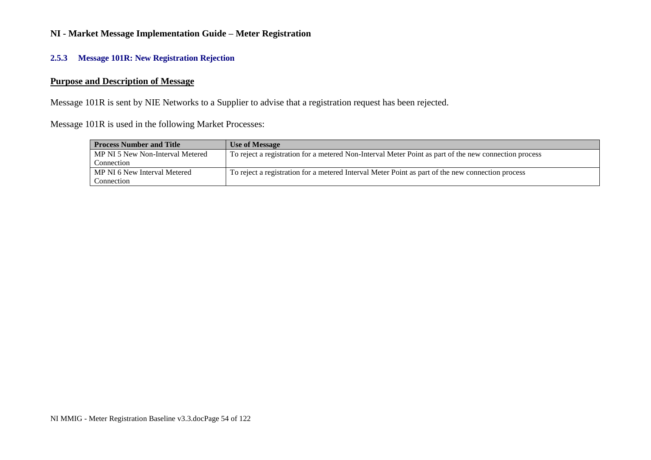### **2.5.3 Message 101R: New Registration Rejection**

### **Purpose and Description of Message**

Message 101R is sent by NIE Networks to a Supplier to advise that a registration request has been rejected.

Message 101R is used in the following Market Processes:

| <b>Process Number and Title</b>  | <b>Use of Message</b>                                                                                 |
|----------------------------------|-------------------------------------------------------------------------------------------------------|
| MP NI 5 New Non-Interval Metered | To reject a registration for a metered Non-Interval Meter Point as part of the new connection process |
| Connection                       |                                                                                                       |
| MP NI 6 New Interval Metered     | To reject a registration for a metered Interval Meter Point as part of the new connection process     |
| Connection                       |                                                                                                       |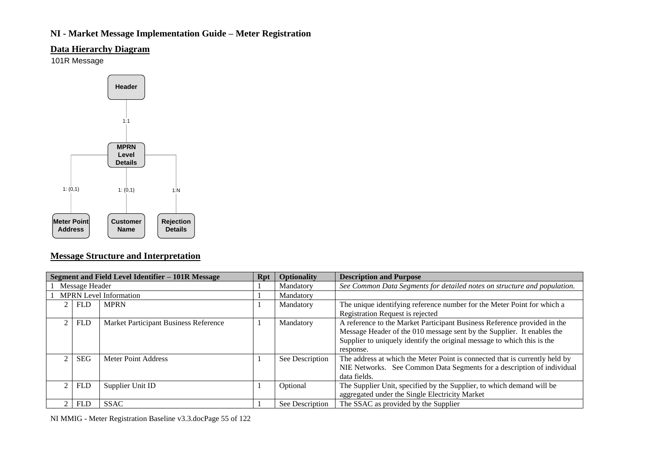### **Data Hierarchy Diagram**

101R Message



### **Message Structure and Interpretation**

|                |                | Segment and Field Level Identifier - 101R Message | <b>Rpt</b> | <b>Optionality</b> | <b>Description and Purpose</b>                                              |
|----------------|----------------|---------------------------------------------------|------------|--------------------|-----------------------------------------------------------------------------|
|                | Message Header |                                                   |            | Mandatory          | See Common Data Segments for detailed notes on structure and population.    |
|                |                | <b>MPRN</b> Level Information                     |            | Mandatory          |                                                                             |
| 2              | <b>FLD</b>     | <b>MPRN</b>                                       |            | Mandatory          | The unique identifying reference number for the Meter Point for which a     |
|                |                |                                                   |            |                    | Registration Request is rejected                                            |
|                | <b>FLD</b>     | Market Participant Business Reference             |            | Mandatory          | A reference to the Market Participant Business Reference provided in the    |
|                |                |                                                   |            |                    | Message Header of the 010 message sent by the Supplier. It enables the      |
|                |                |                                                   |            |                    | Supplier to uniquely identify the original message to which this is the     |
|                |                |                                                   |            |                    | response.                                                                   |
|                | <b>SEG</b>     | Meter Point Address                               |            | See Description    | The address at which the Meter Point is connected that is currently held by |
|                |                |                                                   |            |                    | NIE Networks. See Common Data Segments for a description of individual      |
|                |                |                                                   |            |                    | data fields.                                                                |
| $\mathfrak{D}$ | <b>FLD</b>     | Supplier Unit ID                                  |            | Optional           | The Supplier Unit, specified by the Supplier, to which demand will be       |
|                |                |                                                   |            |                    | aggregated under the Single Electricity Market                              |
|                | <b>FLD</b>     | <b>SSAC</b>                                       |            | See Description    | The SSAC as provided by the Supplier                                        |

NI MMIG - Meter Registration Baseline v3.3.docPage 55 of 122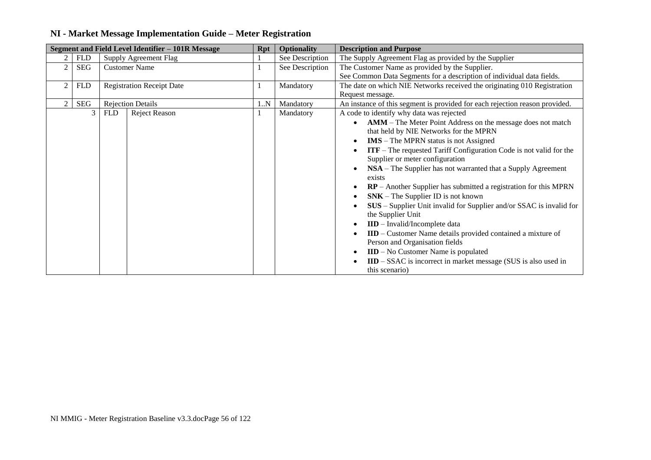| Segment and Field Level Identifier - 101R Message |                                    |            | <b>Rpt</b>                       | <b>Optionality</b> | <b>Description and Purpose</b>                                        |                                                                                                       |
|---------------------------------------------------|------------------------------------|------------|----------------------------------|--------------------|-----------------------------------------------------------------------|-------------------------------------------------------------------------------------------------------|
| 2                                                 | <b>FLD</b>                         |            | Supply Agreement Flag            |                    | See Description                                                       | The Supply Agreement Flag as provided by the Supplier                                                 |
| $\overline{2}$                                    | <b>SEG</b><br><b>Customer Name</b> |            |                                  | See Description    | The Customer Name as provided by the Supplier.                        |                                                                                                       |
|                                                   |                                    |            |                                  |                    | See Common Data Segments for a description of individual data fields. |                                                                                                       |
| 2                                                 | <b>FLD</b>                         |            | <b>Registration Receipt Date</b> |                    | Mandatory                                                             | The date on which NIE Networks received the originating 010 Registration                              |
|                                                   |                                    |            |                                  |                    |                                                                       | Request message.                                                                                      |
| $\mathfrak{D}$                                    | <b>SEG</b>                         |            | <b>Rejection Details</b>         | 1N                 | Mandatory                                                             | An instance of this segment is provided for each rejection reason provided.                           |
|                                                   |                                    | <b>FLD</b> | Reject Reason                    |                    | Mandatory                                                             | A code to identify why data was rejected                                                              |
|                                                   |                                    |            |                                  |                    |                                                                       | AMM - The Meter Point Address on the message does not match                                           |
|                                                   |                                    |            |                                  |                    |                                                                       | that held by NIE Networks for the MPRN                                                                |
|                                                   |                                    |            |                                  |                    |                                                                       | $IMS$ – The MPRN status is not Assigned                                                               |
|                                                   |                                    |            |                                  |                    |                                                                       | ITF - The requested Tariff Configuration Code is not valid for the<br>Supplier or meter configuration |
|                                                   |                                    |            |                                  |                    |                                                                       | NSA – The Supplier has not warranted that a Supply Agreement                                          |
|                                                   |                                    |            |                                  |                    |                                                                       | exists                                                                                                |
|                                                   |                                    |            |                                  |                    |                                                                       | RP - Another Supplier has submitted a registration for this MPRN                                      |
|                                                   |                                    |            |                                  |                    |                                                                       | $SNK$ – The Supplier ID is not known                                                                  |
|                                                   |                                    |            |                                  |                    |                                                                       | SUS – Supplier Unit invalid for Supplier and/or SSAC is invalid for                                   |
|                                                   |                                    |            |                                  |                    |                                                                       | the Supplier Unit                                                                                     |
|                                                   |                                    |            |                                  |                    |                                                                       | IID - Invalid/Incomplete data                                                                         |
|                                                   |                                    |            |                                  |                    |                                                                       | <b>IID</b> – Customer Name details provided contained a mixture of                                    |
|                                                   |                                    |            |                                  |                    |                                                                       | Person and Organisation fields                                                                        |
|                                                   |                                    |            |                                  |                    |                                                                       | $\mathbf{IID}$ – No Customer Name is populated                                                        |
|                                                   |                                    |            |                                  |                    |                                                                       | $\mathbf{IID}$ – SSAC is incorrect in market message (SUS is also used in                             |
|                                                   |                                    |            |                                  |                    |                                                                       | this scenario)                                                                                        |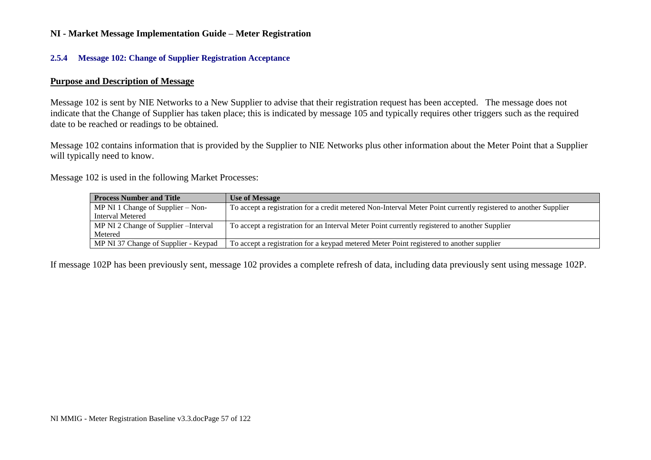#### **2.5.4 Message 102: Change of Supplier Registration Acceptance**

#### **Purpose and Description of Message**

Message 102 is sent by NIE Networks to a New Supplier to advise that their registration request has been accepted. The message does not indicate that the Change of Supplier has taken place; this is indicated by message 105 and typically requires other triggers such as the required date to be reached or readings to be obtained.

Message 102 contains information that is provided by the Supplier to NIE Networks plus other information about the Meter Point that a Supplier will typically need to know.

Message 102 is used in the following Market Processes:

| <b>Process Number and Title</b>       | <b>Use of Message</b>                                                                                           |
|---------------------------------------|-----------------------------------------------------------------------------------------------------------------|
| MP NI 1 Change of Supplier $-$ Non-   | To accept a registration for a credit metered Non-Interval Meter Point currently registered to another Supplier |
| Interval Metered                      |                                                                                                                 |
| MP NI 2 Change of Supplier – Interval | To accept a registration for an Interval Meter Point currently registered to another Supplier                   |
| Metered                               |                                                                                                                 |
| MP NI 37 Change of Supplier - Keypad  | To accept a registration for a keypad metered Meter Point registered to another supplier                        |

If message 102P has been previously sent, message 102 provides a complete refresh of data, including data previously sent using message 102P.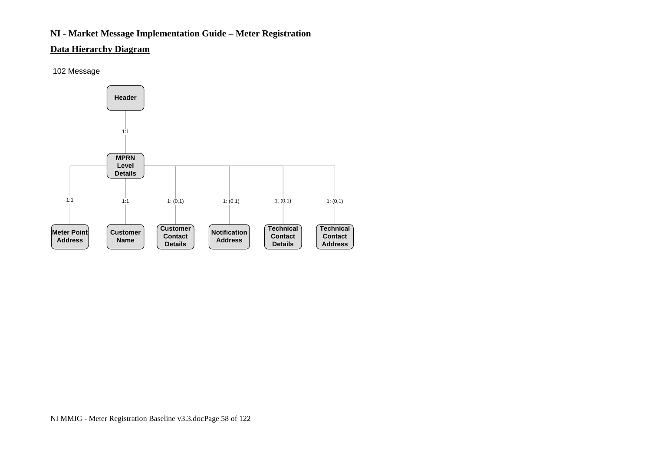### **Data Hierarchy Diagram**

102 Message

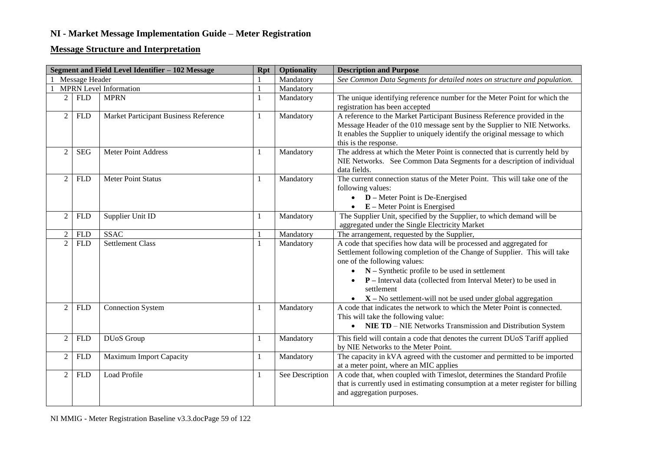## **Message Structure and Interpretation**

|                |                | Segment and Field Level Identifier - 102 Message | <b>Rpt</b>   | <b>Optionality</b> | <b>Description and Purpose</b>                                                                                     |
|----------------|----------------|--------------------------------------------------|--------------|--------------------|--------------------------------------------------------------------------------------------------------------------|
|                | Message Header |                                                  |              | Mandatory          | See Common Data Segments for detailed notes on structure and population.                                           |
|                |                | <b>MPRN</b> Level Information                    | $\mathbf{1}$ | Mandatory          |                                                                                                                    |
| $\overline{2}$ | <b>FLD</b>     | <b>MPRN</b>                                      | 1            | Mandatory          | The unique identifying reference number for the Meter Point for which the                                          |
|                |                |                                                  |              |                    | registration has been accepted                                                                                     |
| $\overline{2}$ | <b>FLD</b>     | Market Participant Business Reference            | $\mathbf{1}$ | Mandatory          | A reference to the Market Participant Business Reference provided in the                                           |
|                |                |                                                  |              |                    | Message Header of the 010 message sent by the Supplier to NIE Networks.                                            |
|                |                |                                                  |              |                    | It enables the Supplier to uniquely identify the original message to which                                         |
|                |                |                                                  |              |                    | this is the response.                                                                                              |
| $\overline{2}$ | <b>SEG</b>     | Meter Point Address                              | $\mathbf{1}$ | Mandatory          | The address at which the Meter Point is connected that is currently held by                                        |
|                |                |                                                  |              |                    | NIE Networks. See Common Data Segments for a description of individual<br>data fields.                             |
| $\overline{2}$ | <b>FLD</b>     | <b>Meter Point Status</b>                        | 1            | Mandatory          | The current connection status of the Meter Point. This will take one of the                                        |
|                |                |                                                  |              |                    | following values:                                                                                                  |
|                |                |                                                  |              |                    | $\bullet$ <b>D</b> – Meter Point is De-Energised                                                                   |
|                |                |                                                  |              |                    | $\bullet$ E – Meter Point is Energised                                                                             |
| 2              | <b>FLD</b>     | Supplier Unit ID                                 | 1            | Mandatory          | The Supplier Unit, specified by the Supplier, to which demand will be                                              |
|                |                |                                                  |              |                    | aggregated under the Single Electricity Market                                                                     |
| 2              | <b>FLD</b>     | <b>SSAC</b>                                      | $\mathbf{1}$ | Mandatory          | The arrangement, requested by the Supplier,                                                                        |
| $\overline{2}$ | <b>FLD</b>     | <b>Settlement Class</b>                          | 1            | Mandatory          | A code that specifies how data will be processed and aggregated for                                                |
|                |                |                                                  |              |                    | Settlement following completion of the Change of Supplier. This will take                                          |
|                |                |                                                  |              |                    | one of the following values:                                                                                       |
|                |                |                                                  |              |                    | $N -$ Synthetic profile to be used in settlement                                                                   |
|                |                |                                                  |              |                    | $P$ – Interval data (collected from Interval Meter) to be used in                                                  |
|                |                |                                                  |              |                    | settlement                                                                                                         |
|                |                |                                                  |              |                    | $\bullet$ $X$ – No settlement-will not be used under global aggregation                                            |
| $\mathbf{2}$   | <b>FLD</b>     | <b>Connection System</b>                         | 1            | Mandatory          | A code that indicates the network to which the Meter Point is connected.<br>This will take the following value:    |
|                |                |                                                  |              |                    | NIE TD - NIE Networks Transmission and Distribution System<br>$\bullet$                                            |
|                |                |                                                  |              |                    |                                                                                                                    |
| $\overline{2}$ | <b>FLD</b>     | DUoS Group                                       | $\mathbf{1}$ | Mandatory          | This field will contain a code that denotes the current DUoS Tariff applied                                        |
|                |                |                                                  |              |                    | by NIE Networks to the Meter Point.                                                                                |
| 2              | <b>FLD</b>     | Maximum Import Capacity                          | $\mathbf{1}$ | Mandatory          | The capacity in kVA agreed with the customer and permitted to be imported                                          |
| $\overline{2}$ | <b>FLD</b>     | Load Profile                                     | $\mathbf{1}$ | See Description    | at a meter point, where an MIC applies<br>A code that, when coupled with Timeslot, determines the Standard Profile |
|                |                |                                                  |              |                    | that is currently used in estimating consumption at a meter register for billing                                   |
|                |                |                                                  |              |                    | and aggregation purposes.                                                                                          |
|                |                |                                                  |              |                    |                                                                                                                    |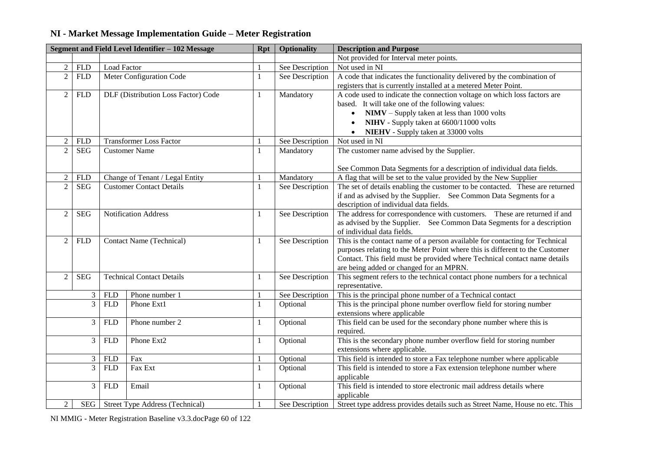|                |                                    |                    | Segment and Field Level Identifier - 102 Message | <b>Description and Purpose</b> |                 |                                                                              |
|----------------|------------------------------------|--------------------|--------------------------------------------------|--------------------------------|-----------------|------------------------------------------------------------------------------|
|                |                                    |                    |                                                  |                                |                 | Not provided for Interval meter points.                                      |
| $\overline{2}$ | ${\hbox{\rm FLD}}$                 | <b>Load Factor</b> |                                                  |                                | See Description | Not used in NI                                                               |
| $\overline{2}$ | <b>FLD</b>                         |                    | Meter Configuration Code                         | 1                              | See Description | A code that indicates the functionality delivered by the combination of      |
|                |                                    |                    |                                                  |                                |                 | registers that is currently installed at a metered Meter Point.              |
| $\overline{c}$ | <b>FLD</b>                         |                    | DLF (Distribution Loss Factor) Code              | 1                              | Mandatory       | A code used to indicate the connection voltage on which loss factors are     |
|                |                                    |                    |                                                  |                                |                 | based. It will take one of the following values:                             |
|                |                                    |                    |                                                  |                                |                 | $NIMV - Supply$ taken at less than 1000 volts                                |
|                |                                    |                    |                                                  |                                |                 | NIHV - Supply taken at 6600/11000 volts                                      |
|                |                                    |                    |                                                  |                                |                 | NIEHV - Supply taken at 33000 volts                                          |
| $\overline{2}$ | <b>FLD</b>                         |                    | <b>Transformer Loss Factor</b>                   |                                | See Description | Not used in NI                                                               |
| $\overline{2}$ | <b>SEG</b>                         |                    | <b>Customer Name</b>                             | 1                              | Mandatory       | The customer name advised by the Supplier.                                   |
|                |                                    |                    |                                                  |                                |                 |                                                                              |
|                |                                    |                    |                                                  |                                |                 | See Common Data Segments for a description of individual data fields.        |
| 2              | <b>FLD</b>                         |                    | Change of Tenant / Legal Entity                  |                                | Mandatory       | A flag that will be set to the value provided by the New Supplier            |
| $\overline{2}$ | <b>SEG</b>                         |                    | <b>Customer Contact Details</b>                  | 1                              | See Description | The set of details enabling the customer to be contacted. These are returned |
|                |                                    |                    |                                                  |                                |                 | if and as advised by the Supplier. See Common Data Segments for a            |
|                |                                    |                    |                                                  |                                |                 | description of individual data fields.                                       |
| $\mathbf{2}$   | Notification Address<br><b>SEG</b> |                    |                                                  | 1                              | See Description | The address for correspondence with customers. These are returned if and     |
|                |                                    |                    |                                                  |                                |                 | as advised by the Supplier. See Common Data Segments for a description       |
|                |                                    |                    |                                                  |                                |                 | of individual data fields.                                                   |
| $\overline{c}$ | <b>FLD</b>                         |                    | <b>Contact Name (Technical)</b>                  | 1                              | See Description | This is the contact name of a person available for contacting for Technical  |
|                |                                    |                    |                                                  |                                |                 | purposes relating to the Meter Point where this is different to the Customer |
|                |                                    |                    |                                                  |                                |                 | Contact. This field must be provided where Technical contact name details    |
|                |                                    |                    |                                                  |                                |                 | are being added or changed for an MPRN.                                      |
| $\overline{2}$ | <b>SEG</b>                         |                    | <b>Technical Contact Details</b>                 | 1                              | See Description | This segment refers to the technical contact phone numbers for a technical   |
|                |                                    |                    |                                                  |                                |                 | representative.                                                              |
|                | 3                                  | <b>FLD</b>         | Phone number 1                                   |                                | See Description | This is the principal phone number of a Technical contact                    |
|                | $\overline{3}$                     | <b>FLD</b>         | Phone Ext1                                       | $\mathbf{1}$                   | Optional        | This is the principal phone number overflow field for storing number         |
|                |                                    |                    |                                                  |                                |                 | extensions where applicable                                                  |
|                | 3                                  | <b>FLD</b>         | Phone number 2                                   | 1                              | Optional        | This field can be used for the secondary phone number where this is          |
|                |                                    |                    |                                                  |                                |                 | required.                                                                    |
| 3              |                                    | <b>FLD</b>         | Phone Ext2                                       | 1                              | Optional        | This is the secondary phone number overflow field for storing number         |
|                |                                    |                    |                                                  |                                |                 | extensions where applicable.                                                 |
|                | 3                                  | <b>FLD</b>         | Fax                                              |                                | Optional        | This field is intended to store a Fax telephone number where applicable      |
|                | 3                                  | <b>FLD</b>         | Fax Ext                                          | $\mathbf{1}$                   | Optional        | This field is intended to store a Fax extension telephone number where       |
|                |                                    |                    |                                                  |                                |                 | applicable                                                                   |
|                | 3                                  | <b>FLD</b>         | Email                                            | 1                              | Optional        | This field is intended to store electronic mail address details where        |
|                |                                    |                    |                                                  |                                |                 | applicable                                                                   |
| 2              | SEG                                |                    | Street Type Address (Technical)                  |                                | See Description | Street type address provides details such as Street Name, House no etc. This |

NI MMIG - Meter Registration Baseline v3.3.docPage 60 of 122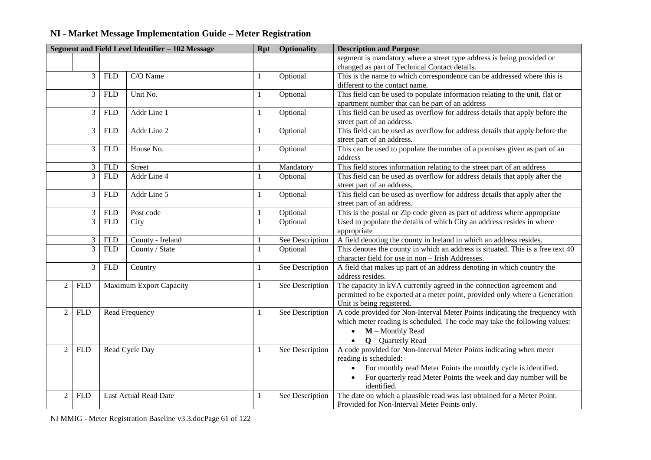| Segment and Field Level Identifier - 102 Message |            |             |                         |              | <b>Optionality</b> | <b>Description and Purpose</b>                                                  |
|--------------------------------------------------|------------|-------------|-------------------------|--------------|--------------------|---------------------------------------------------------------------------------|
|                                                  |            |             |                         |              |                    | segment is mandatory where a street type address is being provided or           |
|                                                  |            |             |                         |              |                    | changed as part of Technical Contact details.                                   |
|                                                  | 3          | <b>FLD</b>  | C/O Name                | $\mathbf{1}$ | Optional           | This is the name to which correspondence can be addressed where this is         |
|                                                  |            |             |                         |              |                    | different to the contact name.                                                  |
|                                                  | 3          | <b>FLD</b>  | Unit No.                | $\mathbf{1}$ | Optional           | This field can be used to populate information relating to the unit, flat or    |
|                                                  |            |             |                         |              |                    | apartment number that can be part of an address                                 |
|                                                  | 3          | ${\sf FLD}$ | Addr Line 1             | 1            | Optional           | This field can be used as overflow for address details that apply before the    |
|                                                  |            |             |                         |              |                    | street part of an address.                                                      |
|                                                  | 3          | <b>FLD</b>  | Addr Line 2             | $\mathbf{1}$ | Optional           | This field can be used as overflow for address details that apply before the    |
|                                                  |            |             |                         |              |                    | street part of an address.                                                      |
|                                                  | 3          | <b>FLD</b>  | House No.               | $\mathbf{1}$ | Optional           | This can be used to populate the number of a premises given as part of an       |
|                                                  |            |             |                         |              |                    | address                                                                         |
|                                                  | 3          | <b>FLD</b>  | Street                  | 1            | Mandatory          | This field stores information relating to the street part of an address         |
|                                                  | 3          | <b>FLD</b>  | Addr Line 4             | $\mathbf{1}$ | Optional           | This field can be used as overflow for address details that apply after the     |
|                                                  |            |             |                         |              |                    | street part of an address.                                                      |
|                                                  | 3          | <b>FLD</b>  | Addr Line 5             | $\mathbf{1}$ | Optional           | This field can be used as overflow for address details that apply after the     |
|                                                  |            |             |                         |              |                    | street part of an address.                                                      |
| $\mathfrak{Z}$                                   |            | <b>FLD</b>  | Post code               | 1            | Optional           | This is the postal or Zip code given as part of address where appropriate       |
|                                                  | 3          | ${\sf FLD}$ | City                    | $\mathbf{1}$ | Optional           | Used to populate the details of which City an address resides in where          |
|                                                  |            |             |                         |              |                    | appropriate                                                                     |
|                                                  | 3          | <b>FLD</b>  | County - Ireland        | 1            | See Description    | A field denoting the county in Ireland in which an address resides.             |
|                                                  | 3          | <b>FLD</b>  | County / State          | $\mathbf{1}$ | Optional           | This denotes the county in which an address is situated. This is a free text 40 |
|                                                  |            |             |                         |              |                    | character field for use in non - Irish Addresses.                               |
|                                                  | 3          | <b>FLD</b>  | Country                 | $\mathbf{1}$ | See Description    | A field that makes up part of an address denoting in which country the          |
|                                                  |            |             |                         |              |                    | address resides.                                                                |
| 2                                                | <b>FLD</b> |             | Maximum Export Capacity | $\mathbf{1}$ | See Description    | The capacity in kVA currently agreed in the connection agreement and            |
|                                                  |            |             |                         |              |                    | permitted to be exported at a meter point, provided only where a Generation     |
|                                                  |            |             |                         |              |                    | Unit is being registered.                                                       |
| $\overline{2}$                                   | <b>FLD</b> |             | Read Frequency          | $\mathbf{1}$ | See Description    | A code provided for Non-Interval Meter Points indicating the frequency with     |
|                                                  |            |             |                         |              |                    | which meter reading is scheduled. The code may take the following values:       |
|                                                  |            |             |                         |              |                    | $\bullet$ $M$ – Monthly Read                                                    |
|                                                  |            |             |                         |              |                    | $Q -$ Quarterly Read                                                            |
| $\overline{2}$<br><b>FLD</b>                     |            |             | Read Cycle Day          | $\mathbf{1}$ | See Description    | A code provided for Non-Interval Meter Points indicating when meter             |
|                                                  |            |             |                         |              |                    | reading is scheduled:                                                           |
|                                                  |            |             |                         |              |                    | For monthly read Meter Points the monthly cycle is identified.                  |
|                                                  |            |             |                         |              |                    | For quarterly read Meter Points the week and day number will be                 |
|                                                  |            |             |                         |              |                    | identified.                                                                     |
| 2                                                | <b>FLD</b> |             | Last Actual Read Date   | 1            | See Description    | The date on which a plausible read was last obtained for a Meter Point.         |
|                                                  |            |             |                         |              |                    | Provided for Non-Interval Meter Points only.                                    |

NI MMIG - Meter Registration Baseline v3.3.docPage 61 of 122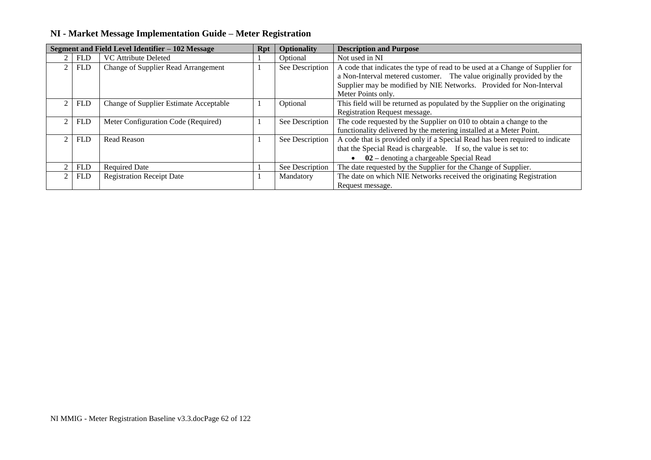|                |            | Segment and Field Level Identifier - 102 Message | <b>Rpt</b> | <b>Optionality</b> | <b>Description and Purpose</b>                                                |
|----------------|------------|--------------------------------------------------|------------|--------------------|-------------------------------------------------------------------------------|
| $2^{\circ}$    | <b>FLD</b> | <b>VC</b> Attribute Deleted                      |            | Optional           | Not used in NI                                                                |
|                | <b>FLD</b> | Change of Supplier Read Arrangement              |            | See Description    | A code that indicates the type of read to be used at a Change of Supplier for |
|                |            |                                                  |            |                    | a Non-Interval metered customer. The value originally provided by the         |
|                |            |                                                  |            |                    | Supplier may be modified by NIE Networks. Provided for Non-Interval           |
|                |            |                                                  |            |                    | Meter Points only.                                                            |
|                | <b>FLD</b> | <b>Change of Supplier Estimate Acceptable</b>    |            | Optional           | This field will be returned as populated by the Supplier on the originating   |
|                |            |                                                  |            |                    | Registration Request message.                                                 |
| $2^{\circ}$    | <b>FLD</b> | Meter Configuration Code (Required)              |            | See Description    | The code requested by the Supplier on 010 to obtain a change to the           |
|                |            |                                                  |            |                    | functionality delivered by the metering installed at a Meter Point.           |
|                | <b>FLD</b> | Read Reason                                      |            | See Description    | A code that is provided only if a Special Read has been required to indicate  |
|                |            |                                                  |            |                    | that the Special Read is chargeable. If so, the value is set to:              |
|                |            |                                                  |            |                    | 02 – denoting a chargeable Special Read                                       |
|                | <b>FLD</b> | <b>Required Date</b>                             |            | See Description    | The date requested by the Supplier for the Change of Supplier.                |
| 2 <sub>1</sub> | <b>FLD</b> | <b>Registration Receipt Date</b>                 |            | Mandatory          | The date on which NIE Networks received the originating Registration          |
|                |            |                                                  |            |                    | Request message.                                                              |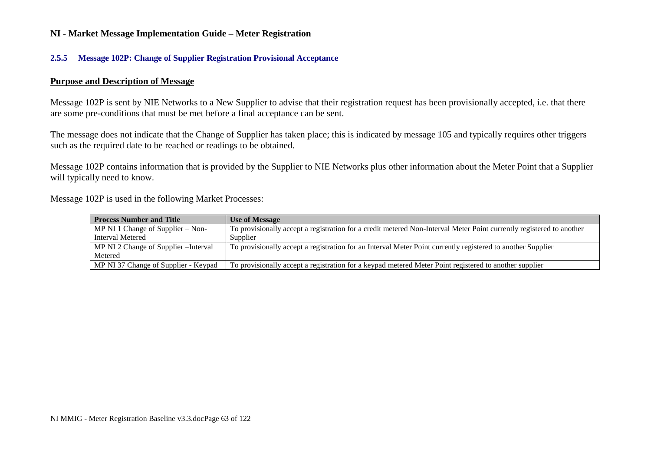#### **2.5.5 Message 102P: Change of Supplier Registration Provisional Acceptance**

#### **Purpose and Description of Message**

Message 102P is sent by NIE Networks to a New Supplier to advise that their registration request has been provisionally accepted, i.e. that there are some pre-conditions that must be met before a final acceptance can be sent.

The message does not indicate that the Change of Supplier has taken place; this is indicated by message 105 and typically requires other triggers such as the required date to be reached or readings to be obtained.

Message 102P contains information that is provided by the Supplier to NIE Networks plus other information about the Meter Point that a Supplier will typically need to know.

Message 102P is used in the following Market Processes:

| <b>Process Number and Title</b>       | <b>Use of Message</b>                                                                                                |
|---------------------------------------|----------------------------------------------------------------------------------------------------------------------|
| MP NI 1 Change of Supplier $-$ Non-   | To provisionally accept a registration for a credit metered Non-Interval Meter Point currently registered to another |
| Interval Metered                      | Supplier                                                                                                             |
| MP NI 2 Change of Supplier – Interval | To provisionally accept a registration for an Interval Meter Point currently registered to another Supplier          |
| Metered                               |                                                                                                                      |
| MP NI 37 Change of Supplier - Keypad  | To provisionally accept a registration for a keypad metered Meter Point registered to another supplier               |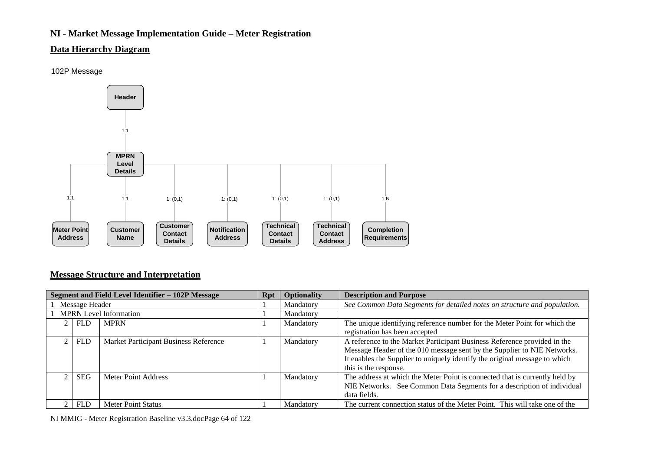### **Data Hierarchy Diagram**

102P Message



## **Message Structure and Interpretation**

| Segment and Field Level Identifier - 102P Message |                | <b>Rpt</b>                            | <b>Optionality</b> | <b>Description and Purpose</b> |                                                                                                                                                                                                                                                            |
|---------------------------------------------------|----------------|---------------------------------------|--------------------|--------------------------------|------------------------------------------------------------------------------------------------------------------------------------------------------------------------------------------------------------------------------------------------------------|
|                                                   | Message Header |                                       |                    | Mandatory                      | See Common Data Segments for detailed notes on structure and population.                                                                                                                                                                                   |
|                                                   |                | <b>MPRN</b> Level Information         |                    | Mandatory                      |                                                                                                                                                                                                                                                            |
| $2^{\circ}$                                       | <b>FLD</b>     | <b>MPRN</b>                           |                    | Mandatory                      | The unique identifying reference number for the Meter Point for which the<br>registration has been accepted                                                                                                                                                |
|                                                   | <b>FLD</b>     | Market Participant Business Reference |                    | Mandatory                      | A reference to the Market Participant Business Reference provided in the<br>Message Header of the 010 message sent by the Supplier to NIE Networks.<br>It enables the Supplier to uniquely identify the original message to which<br>this is the response. |
|                                                   | <b>SEG</b>     | Meter Point Address                   |                    | Mandatory                      | The address at which the Meter Point is connected that is currently held by<br>NIE Networks. See Common Data Segments for a description of individual<br>data fields.                                                                                      |
|                                                   | <b>FLD</b>     | <b>Meter Point Status</b>             |                    | Mandatory                      | The current connection status of the Meter Point. This will take one of the                                                                                                                                                                                |

NI MMIG - Meter Registration Baseline v3.3.docPage 64 of 122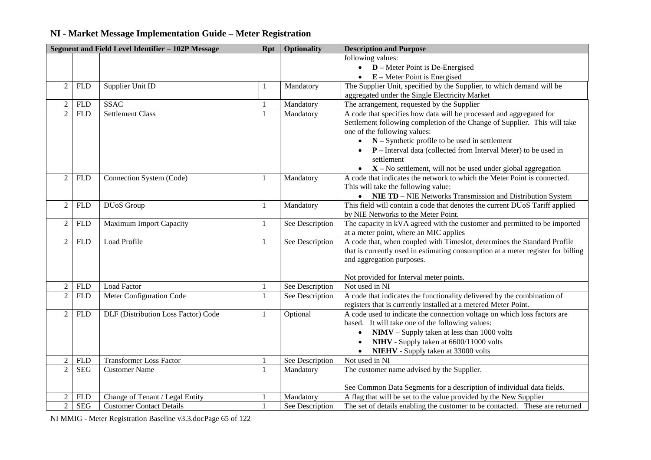| NI - Market Message Implementation Guide - Meter Registration |  |
|---------------------------------------------------------------|--|
|---------------------------------------------------------------|--|

|                |            | Segment and Field Level Identifier - 102P Message | Rpt          | Optionality     | <b>Description and Purpose</b>                                                   |
|----------------|------------|---------------------------------------------------|--------------|-----------------|----------------------------------------------------------------------------------|
|                |            |                                                   |              |                 | following values:                                                                |
|                |            |                                                   |              |                 | $\bullet$ <b>D</b> – Meter Point is De-Energised                                 |
|                |            |                                                   |              |                 | $\bullet$ $E$ – Meter Point is Energised                                         |
| 2              | <b>FLD</b> | Supplier Unit ID                                  | $\mathbf{1}$ | Mandatory       | The Supplier Unit, specified by the Supplier, to which demand will be            |
|                |            |                                                   |              |                 | aggregated under the Single Electricity Market                                   |
| 2              | <b>FLD</b> | <b>SSAC</b>                                       |              | Mandatory       | The arrangement, requested by the Supplier                                       |
| $\overline{2}$ | <b>FLD</b> | <b>Settlement Class</b>                           | $\mathbf{1}$ | Mandatory       | A code that specifies how data will be processed and aggregated for              |
|                |            |                                                   |              |                 | Settlement following completion of the Change of Supplier. This will take        |
|                |            |                                                   |              |                 | one of the following values:                                                     |
|                |            |                                                   |              |                 | $\bullet$ $N -$ Synthetic profile to be used in settlement                       |
|                |            |                                                   |              |                 | $P$ – Interval data (collected from Interval Meter) to be used in                |
|                |            |                                                   |              |                 | settlement                                                                       |
|                |            |                                                   |              |                 | $\bullet$ $X$ – No settlement, will not be used under global aggregation         |
| $\overline{2}$ | <b>FLD</b> | Connection System (Code)                          | $\mathbf{1}$ | Mandatory       | A code that indicates the network to which the Meter Point is connected.         |
|                |            |                                                   |              |                 | This will take the following value:                                              |
|                |            |                                                   |              |                 | • NIE TD – NIE Networks Transmission and Distribution System                     |
| $\mathbf{2}$   | <b>FLD</b> | <b>DUoS</b> Group                                 | $\mathbf{1}$ | Mandatory       | This field will contain a code that denotes the current DUoS Tariff applied      |
|                |            |                                                   |              |                 | by NIE Networks to the Meter Point.                                              |
| 2              | <b>FLD</b> | <b>Maximum Import Capacity</b>                    | 1            | See Description | The capacity in kVA agreed with the customer and permitted to be imported        |
|                |            |                                                   |              |                 | at a meter point, where an MIC applies                                           |
| 2              | <b>FLD</b> | Load Profile                                      | $\mathbf{1}$ | See Description | A code that, when coupled with Timeslot, determines the Standard Profile         |
|                |            |                                                   |              |                 | that is currently used in estimating consumption at a meter register for billing |
|                |            |                                                   |              |                 | and aggregation purposes.                                                        |
|                |            |                                                   |              |                 |                                                                                  |
|                |            |                                                   |              |                 | Not provided for Interval meter points.                                          |
| $\overline{2}$ | <b>FLD</b> | <b>Load Factor</b>                                |              | See Description | Not used in NI                                                                   |
| $\overline{2}$ | <b>FLD</b> | Meter Configuration Code                          | $\mathbf{1}$ | See Description | A code that indicates the functionality delivered by the combination of          |
|                |            |                                                   |              |                 | registers that is currently installed at a metered Meter Point.                  |
| 2              | <b>FLD</b> | DLF (Distribution Loss Factor) Code               | 1            | Optional        | A code used to indicate the connection voltage on which loss factors are         |
|                |            |                                                   |              |                 | based. It will take one of the following values:                                 |
|                |            |                                                   |              |                 | $NIMV - Supply$ taken at less than 1000 volts<br>$\bullet$                       |
|                |            |                                                   |              |                 | NIHV - Supply taken at 6600/11000 volts<br>$\bullet$                             |
|                |            |                                                   |              |                 | NIEHV - Supply taken at 33000 volts<br>$\bullet$                                 |
| $\overline{2}$ | <b>FLD</b> | <b>Transformer Loss Factor</b>                    | $\mathbf{1}$ | See Description | Not used in NI                                                                   |
| $\overline{2}$ | <b>SEG</b> | <b>Customer Name</b>                              | 1            | Mandatory       | The customer name advised by the Supplier.                                       |
|                |            |                                                   |              |                 |                                                                                  |
|                |            |                                                   |              |                 | See Common Data Segments for a description of individual data fields.            |
| $\overline{c}$ | <b>FLD</b> | Change of Tenant / Legal Entity                   |              | Mandatory       | A flag that will be set to the value provided by the New Supplier                |
| $\overline{2}$ | <b>SEG</b> | <b>Customer Contact Details</b>                   | $\mathbf{1}$ | See Description | The set of details enabling the customer to be contacted. These are returned     |

NI MMIG - Meter Registration Baseline v3.3.docPage 65 of 122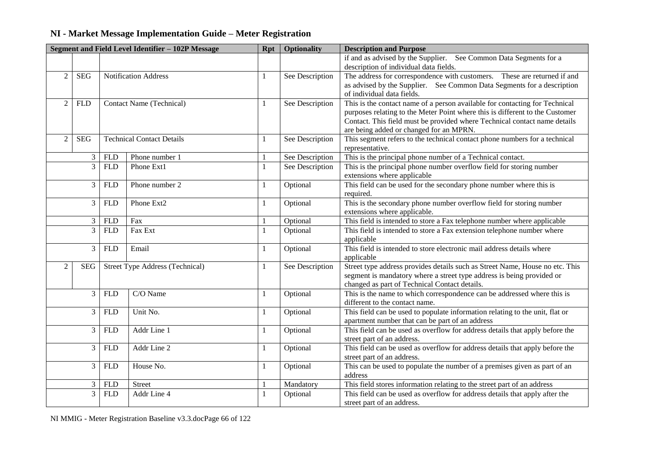|                |                |            | Segment and Field Level Identifier - 102P Message |              | <b>Rpt</b>   Optionality | <b>Description and Purpose</b>                                                                                                                                                                                                                                                      |
|----------------|----------------|------------|---------------------------------------------------|--------------|--------------------------|-------------------------------------------------------------------------------------------------------------------------------------------------------------------------------------------------------------------------------------------------------------------------------------|
|                |                |            |                                                   |              |                          | if and as advised by the Supplier. See Common Data Segments for a                                                                                                                                                                                                                   |
|                |                |            |                                                   |              |                          | description of individual data fields.                                                                                                                                                                                                                                              |
| $\overline{2}$ | <b>SEG</b>     |            | <b>Notification Address</b>                       | 1            | See Description          | The address for correspondence with customers. These are returned if and<br>as advised by the Supplier. See Common Data Segments for a description<br>of individual data fields.                                                                                                    |
| $\overline{2}$ | <b>FLD</b>     |            | <b>Contact Name (Technical)</b>                   | 1            | See Description          | This is the contact name of a person available for contacting for Technical<br>purposes relating to the Meter Point where this is different to the Customer<br>Contact. This field must be provided where Technical contact name details<br>are being added or changed for an MPRN. |
| $\overline{2}$ | <b>SEG</b>     |            | <b>Technical Contact Details</b>                  | 1            | See Description          | This segment refers to the technical contact phone numbers for a technical<br>representative.                                                                                                                                                                                       |
|                | 3              | <b>FLD</b> | Phone number 1                                    |              | See Description          | This is the principal phone number of a Technical contact.                                                                                                                                                                                                                          |
|                | $\overline{3}$ | <b>FLD</b> | Phone Ext1                                        | 1            | See Description          | This is the principal phone number overflow field for storing number<br>extensions where applicable                                                                                                                                                                                 |
|                | 3              | <b>FLD</b> | Phone number 2                                    | 1            | Optional                 | This field can be used for the secondary phone number where this is<br>required.                                                                                                                                                                                                    |
|                | 3              | <b>FLD</b> | Phone Ext2                                        | 1            | Optional                 | This is the secondary phone number overflow field for storing number<br>extensions where applicable.                                                                                                                                                                                |
|                | 3              | <b>FLD</b> | Fax                                               |              | Optional                 | This field is intended to store a Fax telephone number where applicable                                                                                                                                                                                                             |
|                | 3              | <b>FLD</b> | Fax Ext                                           | $\mathbf{1}$ | Optional                 | This field is intended to store a Fax extension telephone number where<br>applicable                                                                                                                                                                                                |
|                | 3              | <b>FLD</b> | Email                                             | 1            | Optional                 | This field is intended to store electronic mail address details where<br>applicable                                                                                                                                                                                                 |
| 2              | <b>SEG</b>     |            | Street Type Address (Technical)                   | 1            | See Description          | Street type address provides details such as Street Name, House no etc. This<br>segment is mandatory where a street type address is being provided or<br>changed as part of Technical Contact details.                                                                              |
|                | 3              | <b>FLD</b> | C/O Name                                          | 1            | Optional                 | This is the name to which correspondence can be addressed where this is<br>different to the contact name.                                                                                                                                                                           |
|                | 3              | <b>FLD</b> | Unit No.                                          | 1            | Optional                 | This field can be used to populate information relating to the unit, flat or<br>apartment number that can be part of an address                                                                                                                                                     |
|                | 3              | <b>FLD</b> | Addr Line 1                                       | 1            | Optional                 | This field can be used as overflow for address details that apply before the<br>street part of an address.                                                                                                                                                                          |
|                | 3              | <b>FLD</b> | Addr Line 2                                       | 1            | Optional                 | This field can be used as overflow for address details that apply before the<br>street part of an address.                                                                                                                                                                          |
|                | 3              | <b>FLD</b> | House No.                                         | 1            | Optional                 | This can be used to populate the number of a premises given as part of an<br>address                                                                                                                                                                                                |
|                | 3              | <b>FLD</b> | Street                                            |              | Mandatory                | This field stores information relating to the street part of an address                                                                                                                                                                                                             |
|                | $\overline{3}$ | <b>FLD</b> | Addr Line 4                                       | 1            | Optional                 | This field can be used as overflow for address details that apply after the<br>street part of an address.                                                                                                                                                                           |

NI MMIG - Meter Registration Baseline v3.3.docPage 66 of 122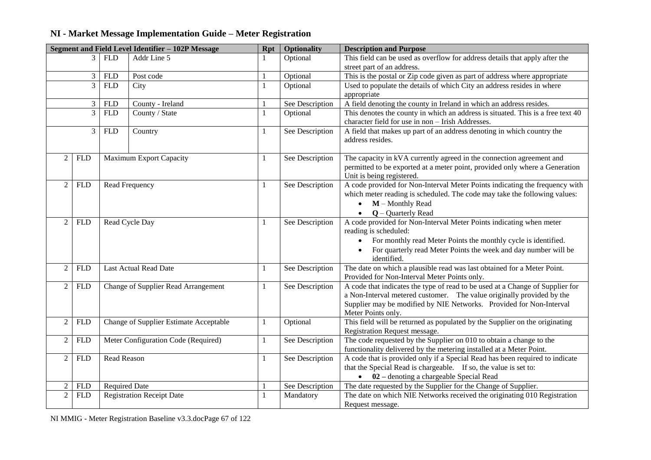|  |  | NI - Market Message Implementation Guide - Meter Registration |
|--|--|---------------------------------------------------------------|
|--|--|---------------------------------------------------------------|

|                |                |                                     | Segment and Field Level Identifier - 102P Message | Rpt          | Optionality     | <b>Description and Purpose</b>                                                  |
|----------------|----------------|-------------------------------------|---------------------------------------------------|--------------|-----------------|---------------------------------------------------------------------------------|
|                | $\mathcal{E}$  | <b>FLD</b>                          | Addr Line 5                                       |              | Optional        | This field can be used as overflow for address details that apply after the     |
|                |                |                                     |                                                   |              |                 | street part of an address.                                                      |
|                | $\mathfrak{Z}$ | <b>FLD</b>                          | Post code                                         |              | Optional        | This is the postal or Zip code given as part of address where appropriate       |
|                | 3              | ${\hbox{\rm FLD}}$                  | City                                              | $\mathbf{1}$ | Optional        | Used to populate the details of which City an address resides in where          |
|                |                |                                     |                                                   |              |                 | appropriate                                                                     |
|                | 3              | <b>FLD</b>                          | County - Ireland                                  |              | See Description | A field denoting the county in Ireland in which an address resides.             |
|                | $\overline{3}$ | ${\hbox{\rm FLD}}$                  | County / State                                    | 1            | Optional        | This denotes the county in which an address is situated. This is a free text 40 |
|                |                |                                     |                                                   |              |                 | character field for use in non - Irish Addresses.                               |
|                | 3              | <b>FLD</b>                          | Country                                           | 1            | See Description | A field that makes up part of an address denoting in which country the          |
|                |                |                                     |                                                   |              |                 | address resides.                                                                |
|                |                |                                     |                                                   |              |                 |                                                                                 |
| 2              | <b>FLD</b>     |                                     | <b>Maximum Export Capacity</b>                    | 1            | See Description | The capacity in kVA currently agreed in the connection agreement and            |
|                |                |                                     |                                                   |              |                 | permitted to be exported at a meter point, provided only where a Generation     |
|                |                |                                     |                                                   |              |                 | Unit is being registered.                                                       |
| $\overline{2}$ | <b>FLD</b>     |                                     | Read Frequency                                    | 1            | See Description | A code provided for Non-Interval Meter Points indicating the frequency with     |
|                |                |                                     |                                                   |              |                 | which meter reading is scheduled. The code may take the following values:       |
|                |                |                                     |                                                   |              |                 | $M$ – Monthly Read<br>$\bullet$                                                 |
|                |                |                                     |                                                   |              |                 | $\bullet$ Q – Quarterly Read                                                    |
| $\overline{2}$ | <b>FLD</b>     | Read Cycle Day                      |                                                   | 1            | See Description | A code provided for Non-Interval Meter Points indicating when meter             |
|                |                |                                     |                                                   |              |                 | reading is scheduled:                                                           |
|                |                |                                     |                                                   |              |                 | For monthly read Meter Points the monthly cycle is identified.<br>$\bullet$     |
|                |                |                                     |                                                   |              |                 | For quarterly read Meter Points the week and day number will be                 |
|                |                |                                     |                                                   |              |                 | identified.                                                                     |
| $\overline{2}$ | <b>FLD</b>     |                                     | <b>Last Actual Read Date</b>                      | $\mathbf{1}$ | See Description | The date on which a plausible read was last obtained for a Meter Point.         |
|                |                |                                     |                                                   |              |                 | Provided for Non-Interval Meter Points only.                                    |
| $\overline{2}$ | <b>FLD</b>     |                                     | Change of Supplier Read Arrangement               | $\mathbf{1}$ | See Description | A code that indicates the type of read to be used at a Change of Supplier for   |
|                |                |                                     |                                                   |              |                 | a Non-Interval metered customer. The value originally provided by the           |
|                |                |                                     |                                                   |              |                 | Supplier may be modified by NIE Networks. Provided for Non-Interval             |
|                |                |                                     |                                                   |              |                 | Meter Points only.                                                              |
| 2              | <b>FLD</b>     |                                     | <b>Change of Supplier Estimate Acceptable</b>     |              | Optional        | This field will be returned as populated by the Supplier on the originating     |
|                |                |                                     |                                                   |              |                 | Registration Request message.                                                   |
| 2              | <b>FLD</b>     | Meter Configuration Code (Required) |                                                   |              | See Description | The code requested by the Supplier on 010 to obtain a change to the             |
|                |                |                                     |                                                   |              |                 | functionality delivered by the metering installed at a Meter Point.             |
| 2              | <b>FLD</b>     | Read Reason                         |                                                   | 1            | See Description | A code that is provided only if a Special Read has been required to indicate    |
|                |                |                                     |                                                   |              |                 | that the Special Read is chargeable. If so, the value is set to:                |
|                |                |                                     |                                                   |              |                 | $\bullet$ 02 – denoting a chargeable Special Read                               |
| $\overline{c}$ | <b>FLD</b>     | <b>Required Date</b>                |                                                   |              | See Description | The date requested by the Supplier for the Change of Supplier.                  |
| $\overline{2}$ | <b>FLD</b>     |                                     | <b>Registration Receipt Date</b>                  | 1            | Mandatory       | The date on which NIE Networks received the originating 010 Registration        |
|                |                |                                     |                                                   |              |                 | Request message.                                                                |

NI MMIG - Meter Registration Baseline v3.3.docPage 67 of 122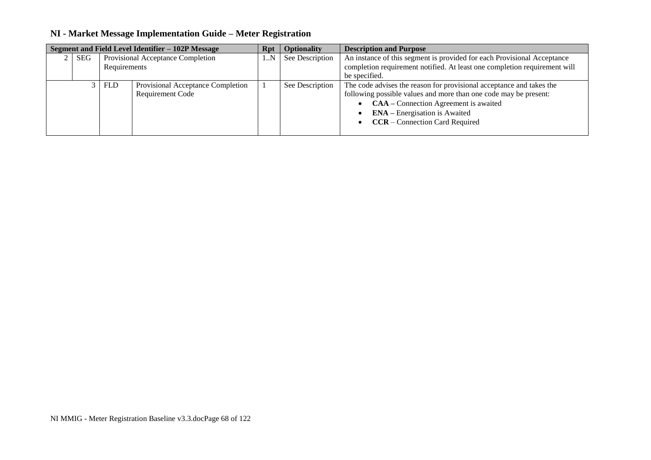|     |              | Segment and Field Level Identifier - 102P Message | Rpt        | <b>Optionality</b> | <b>Description and Purpose</b>                                            |
|-----|--------------|---------------------------------------------------|------------|--------------------|---------------------------------------------------------------------------|
| SEG |              | Provisional Acceptance Completion                 | $\cdot$ .N | See Description    | An instance of this segment is provided for each Provisional Acceptance   |
|     | Requirements |                                                   |            |                    | completion requirement notified. At least one completion requirement will |
|     |              |                                                   |            |                    | be specified.                                                             |
|     | <b>FLD</b>   | Provisional Acceptance Completion                 |            | See Description    | The code advises the reason for provisional acceptance and takes the      |
|     |              | Requirement Code                                  |            |                    | following possible values and more than one code may be present:          |
|     |              |                                                   |            |                    | <b>CAA</b> – Connection Agreement is awaited<br>$\bullet$                 |
|     |              |                                                   |            |                    | <b>ENA</b> – Energisation is Awaited                                      |
|     |              |                                                   |            |                    | <b>CCR</b> – Connection Card Required<br>$\bullet$                        |
|     |              |                                                   |            |                    |                                                                           |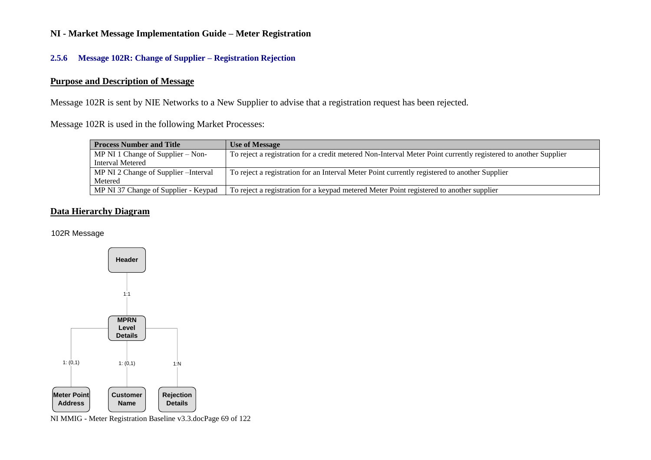#### **2.5.6 Message 102R: Change of Supplier – Registration Rejection**

#### **Purpose and Description of Message**

Message 102R is sent by NIE Networks to a New Supplier to advise that a registration request has been rejected.

Message 102R is used in the following Market Processes:

| <b>Process Number and Title</b>       | <b>Use of Message</b>                                                                                           |
|---------------------------------------|-----------------------------------------------------------------------------------------------------------------|
| MP NI 1 Change of Supplier $-$ Non-   | To reject a registration for a credit metered Non-Interval Meter Point currently registered to another Supplier |
| Interval Metered                      |                                                                                                                 |
| MP NI 2 Change of Supplier – Interval | To reject a registration for an Interval Meter Point currently registered to another Supplier                   |
| Metered                               |                                                                                                                 |
| MP NI 37 Change of Supplier - Keypad  | To reject a registration for a keypad metered Meter Point registered to another supplier                        |

#### **Data Hierarchy Diagram**

102R Message



NI MMIG - Meter Registration Baseline v3.3.docPage 69 of 122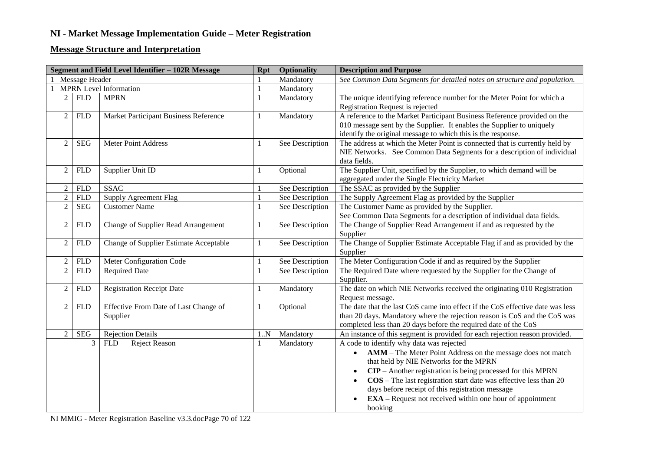## **Message Structure and Interpretation**

|                |                    | Segment and Field Level Identifier - 102R Message | <b>Rpt</b> | <b>Optionality</b> | <b>Description and Purpose</b>                                                                                                                                                                                                                                                                                                                                                                                             |
|----------------|--------------------|---------------------------------------------------|------------|--------------------|----------------------------------------------------------------------------------------------------------------------------------------------------------------------------------------------------------------------------------------------------------------------------------------------------------------------------------------------------------------------------------------------------------------------------|
|                | Message Header     |                                                   |            | Mandatory          | See Common Data Segments for detailed notes on structure and population.                                                                                                                                                                                                                                                                                                                                                   |
|                |                    | <b>MPRN</b> Level Information                     |            | Mandatory          |                                                                                                                                                                                                                                                                                                                                                                                                                            |
| $\overline{2}$ | ${\hbox{\rm FLD}}$ | <b>MPRN</b>                                       |            | Mandatory          | The unique identifying reference number for the Meter Point for which a<br>Registration Request is rejected                                                                                                                                                                                                                                                                                                                |
| $\overline{2}$ | ${\hbox{\rm FLD}}$ | Market Participant Business Reference             | 1          | Mandatory          | A reference to the Market Participant Business Reference provided on the<br>010 message sent by the Supplier. It enables the Supplier to uniquely<br>identify the original message to which this is the response.                                                                                                                                                                                                          |
| $\mathfrak{2}$ | <b>SEG</b>         | Meter Point Address                               |            | See Description    | The address at which the Meter Point is connected that is currently held by<br>NIE Networks. See Common Data Segments for a description of individual<br>data fields.                                                                                                                                                                                                                                                      |
| $\overline{2}$ | <b>FLD</b>         | Supplier Unit ID                                  | 1          | Optional           | The Supplier Unit, specified by the Supplier, to which demand will be<br>aggregated under the Single Electricity Market                                                                                                                                                                                                                                                                                                    |
| $\overline{c}$ | <b>FLD</b>         | <b>SSAC</b>                                       |            | See Description    | The SSAC as provided by the Supplier                                                                                                                                                                                                                                                                                                                                                                                       |
| $\overline{2}$ | <b>FLD</b>         | Supply Agreement Flag                             |            | See Description    | The Supply Agreement Flag as provided by the Supplier                                                                                                                                                                                                                                                                                                                                                                      |
| $\overline{2}$ | <b>SEG</b>         | <b>Customer Name</b>                              | 1          | See Description    | The Customer Name as provided by the Supplier.<br>See Common Data Segments for a description of individual data fields.                                                                                                                                                                                                                                                                                                    |
| $\overline{c}$ | <b>FLD</b>         | Change of Supplier Read Arrangement               | -1         | See Description    | The Change of Supplier Read Arrangement if and as requested by the<br>Supplier                                                                                                                                                                                                                                                                                                                                             |
| $\overline{c}$ | <b>FLD</b>         | <b>Change of Supplier Estimate Acceptable</b>     |            | See Description    | The Change of Supplier Estimate Acceptable Flag if and as provided by the<br>Supplier                                                                                                                                                                                                                                                                                                                                      |
| 2              | <b>FLD</b>         | Meter Configuration Code                          |            | See Description    | The Meter Configuration Code if and as required by the Supplier                                                                                                                                                                                                                                                                                                                                                            |
| $\overline{2}$ | <b>FLD</b>         | <b>Required Date</b>                              | -1         | See Description    | The Required Date where requested by the Supplier for the Change of<br>Supplier.                                                                                                                                                                                                                                                                                                                                           |
| $\overline{2}$ | <b>FLD</b>         | <b>Registration Receipt Date</b>                  | 1          | Mandatory          | The date on which NIE Networks received the originating 010 Registration<br>Request message.                                                                                                                                                                                                                                                                                                                               |
| 2              | <b>FLD</b>         | Effective From Date of Last Change of<br>Supplier | 1          | Optional           | The date that the last CoS came into effect if the CoS effective date was less<br>than 20 days. Mandatory where the rejection reason is CoS and the CoS was<br>completed less than 20 days before the required date of the CoS                                                                                                                                                                                             |
| $\overline{2}$ | <b>SEG</b>         | <b>Rejection Details</b>                          | 1.N        | Mandatory          | An instance of this segment is provided for each rejection reason provided.                                                                                                                                                                                                                                                                                                                                                |
|                | 3                  | ${\hbox{\rm FLD}}$<br>Reject Reason               | 1          | Mandatory          | A code to identify why data was rejected<br>AMM - The Meter Point Address on the message does not match<br>that held by NIE Networks for the MPRN<br>$CIP$ – Another registration is being processed for this MPRN<br>COS - The last registration start date was effective less than 20<br>days before receipt of this registration message<br><b>EXA</b> – Request not received within one hour of appointment<br>booking |

NI MMIG - Meter Registration Baseline v3.3.docPage 70 of 122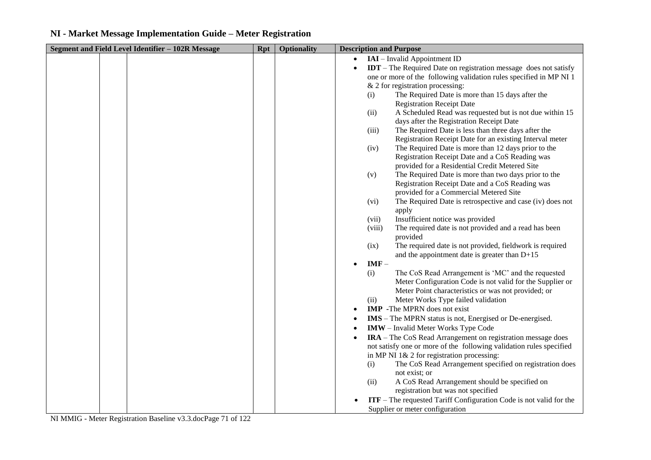| Segment and Field Level Identifier - 102R Message | <b>Rpt</b> | <b>Optionality</b> | <b>Description and Purpose</b>                                                       |
|---------------------------------------------------|------------|--------------------|--------------------------------------------------------------------------------------|
|                                                   |            |                    | IAI - Invalid Appointment ID                                                         |
|                                                   |            |                    | <b>IDT</b> – The Required Date on registration message does not satisfy<br>$\bullet$ |
|                                                   |            |                    | one or more of the following validation rules specified in MP NI 1                   |
|                                                   |            |                    | $&$ 2 for registration processing:                                                   |
|                                                   |            |                    | The Required Date is more than 15 days after the<br>(i)                              |
|                                                   |            |                    | <b>Registration Receipt Date</b>                                                     |
|                                                   |            |                    | A Scheduled Read was requested but is not due within 15<br>(ii)                      |
|                                                   |            |                    | days after the Registration Receipt Date                                             |
|                                                   |            |                    | The Required Date is less than three days after the<br>(iii)                         |
|                                                   |            |                    | Registration Receipt Date for an existing Interval meter                             |
|                                                   |            |                    | The Required Date is more than 12 days prior to the<br>(iv)                          |
|                                                   |            |                    | Registration Receipt Date and a CoS Reading was                                      |
|                                                   |            |                    | provided for a Residential Credit Metered Site                                       |
|                                                   |            |                    | The Required Date is more than two days prior to the<br>(v)                          |
|                                                   |            |                    | Registration Receipt Date and a CoS Reading was                                      |
|                                                   |            |                    | provided for a Commercial Metered Site                                               |
|                                                   |            |                    | The Required Date is retrospective and case (iv) does not<br>(vi)                    |
|                                                   |            |                    | apply                                                                                |
|                                                   |            |                    | Insufficient notice was provided<br>(vii)                                            |
|                                                   |            |                    | The required date is not provided and a read has been<br>(viii)                      |
|                                                   |            |                    | provided                                                                             |
|                                                   |            |                    | The required date is not provided, fieldwork is required<br>(ix)                     |
|                                                   |            |                    | and the appointment date is greater than D+15                                        |
|                                                   |            |                    | $IMF -$<br>$\bullet$                                                                 |
|                                                   |            |                    | (i)<br>The CoS Read Arrangement is 'MC' and the requested                            |
|                                                   |            |                    | Meter Configuration Code is not valid for the Supplier or                            |
|                                                   |            |                    | Meter Point characteristics or was not provided; or                                  |
|                                                   |            |                    | Meter Works Type failed validation<br>(ii)                                           |
|                                                   |            |                    | <b>IMP</b> -The MPRN does not exist                                                  |
|                                                   |            |                    | IMS - The MPRN status is not, Energised or De-energised.<br>$\bullet$                |
|                                                   |            |                    | IMW - Invalid Meter Works Type Code                                                  |
|                                                   |            |                    | IRA - The CoS Read Arrangement on registration message does                          |
|                                                   |            |                    | not satisfy one or more of the following validation rules specified                  |
|                                                   |            |                    | in MP NI $1\& 2$ for registration processing:                                        |
|                                                   |            |                    | The CoS Read Arrangement specified on registration does<br>(i)                       |
|                                                   |            |                    | not exist; or                                                                        |
|                                                   |            |                    | A CoS Read Arrangement should be specified on<br>(ii)                                |
|                                                   |            |                    | registration but was not specified                                                   |
|                                                   |            |                    | $ITF$ – The requested Tariff Configuration Code is not valid for the                 |
|                                                   |            |                    | Supplier or meter configuration                                                      |

NI MMIG - Meter Registration Baseline v3.3.docPage 71 of 122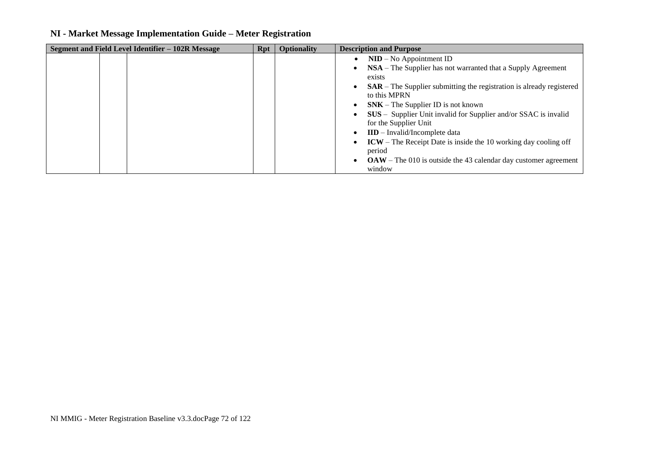| Segment and Field Level Identifier – 102R Message | <b>Rpt</b> | <b>Optionality</b> | <b>Description and Purpose</b>                                                               |
|---------------------------------------------------|------------|--------------------|----------------------------------------------------------------------------------------------|
|                                                   |            |                    | $NID - No$ Appointment ID                                                                    |
|                                                   |            |                    | NSA – The Supplier has not warranted that a Supply Agreement<br>exists                       |
|                                                   |            |                    | $SAR$ – The Supplier submitting the registration is already registered<br>to this MPRN       |
|                                                   |            |                    | $SNK$ – The Supplier ID is not known                                                         |
|                                                   |            |                    | SUS - Supplier Unit invalid for Supplier and/or SSAC is invalid                              |
|                                                   |            |                    | for the Supplier Unit                                                                        |
|                                                   |            |                    | $\mathbf{IID}$ – Invalid/Incomplete data                                                     |
|                                                   |            |                    | $ICW$ – The Receipt Date is inside the 10 working day cooling off                            |
|                                                   |            |                    | period                                                                                       |
|                                                   |            |                    | $\textbf{OAW} - \text{The } 010$ is outside the 43 calendar day customer agreement<br>window |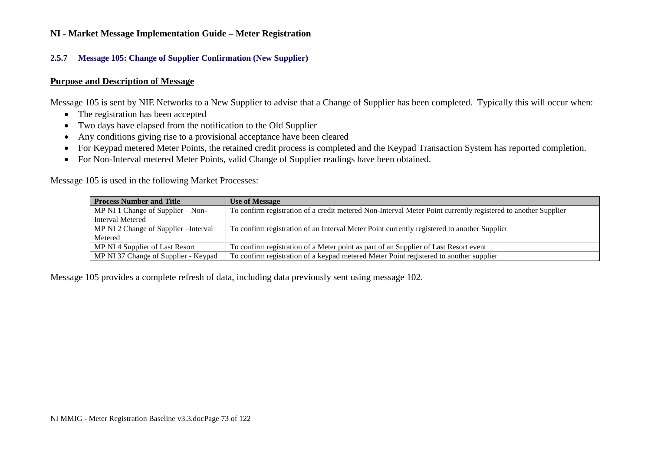### **2.5.7 Message 105: Change of Supplier Confirmation (New Supplier)**

#### **Purpose and Description of Message**

Message 105 is sent by NIE Networks to a New Supplier to advise that a Change of Supplier has been completed. Typically this will occur when:

- The registration has been accepted
- Two days have elapsed from the notification to the Old Supplier
- Any conditions giving rise to a provisional acceptance have been cleared
- For Keypad metered Meter Points, the retained credit process is completed and the Keypad Transaction System has reported completion.
- For Non-Interval metered Meter Points, valid Change of Supplier readings have been obtained.

Message 105 is used in the following Market Processes:

| <b>Process Number and Title</b>       | <b>Use of Message</b>                                                                                         |
|---------------------------------------|---------------------------------------------------------------------------------------------------------------|
| MP NI 1 Change of Supplier $-$ Non-   | To confirm registration of a credit metered Non-Interval Meter Point currently registered to another Supplier |
| Interval Metered                      |                                                                                                               |
| MP NI 2 Change of Supplier – Interval | To confirm registration of an Interval Meter Point currently registered to another Supplier                   |
| Metered                               |                                                                                                               |
| MP NI 4 Supplier of Last Resort       | To confirm registration of a Meter point as part of an Supplier of Last Resort event                          |
| MP NI 37 Change of Supplier - Keypad  | To confirm registration of a keypad metered Meter Point registered to another supplier                        |

Message 105 provides a complete refresh of data, including data previously sent using message 102.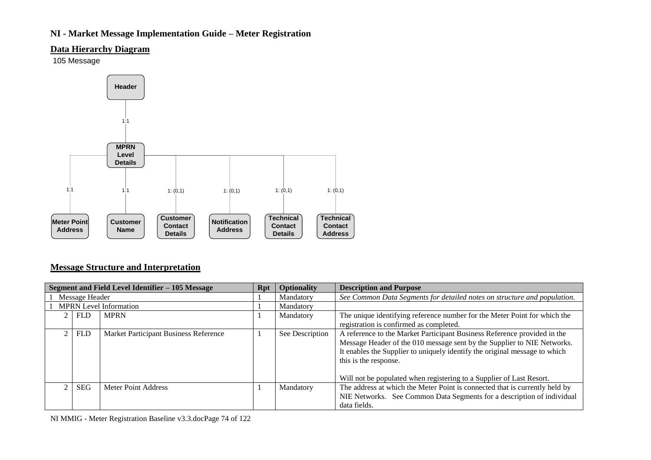## **Data Hierarchy Diagram**

105 Message



## **Message Structure and Interpretation**

| Segment and Field Level Identifier - 105 Message |                |                                       |  | <b>Optionality</b> | <b>Description and Purpose</b>                                                                                                                                                                                                                                                                                                     |
|--------------------------------------------------|----------------|---------------------------------------|--|--------------------|------------------------------------------------------------------------------------------------------------------------------------------------------------------------------------------------------------------------------------------------------------------------------------------------------------------------------------|
|                                                  | Message Header |                                       |  | Mandatory          | See Common Data Segments for detailed notes on structure and population.                                                                                                                                                                                                                                                           |
|                                                  |                | <b>MPRN</b> Level Information         |  | Mandatory          |                                                                                                                                                                                                                                                                                                                                    |
|                                                  | <b>FLD</b>     | <b>MPRN</b>                           |  | Mandatory          | The unique identifying reference number for the Meter Point for which the                                                                                                                                                                                                                                                          |
|                                                  |                |                                       |  |                    | registration is confirmed as completed.                                                                                                                                                                                                                                                                                            |
|                                                  | <b>FLD</b>     | Market Participant Business Reference |  | See Description    | A reference to the Market Participant Business Reference provided in the<br>Message Header of the 010 message sent by the Supplier to NIE Networks.<br>It enables the Supplier to uniquely identify the original message to which<br>this is the response.<br>Will not be populated when registering to a Supplier of Last Resort. |
|                                                  | SEG            | Meter Point Address                   |  | Mandatory          | The address at which the Meter Point is connected that is currently held by<br>NIE Networks. See Common Data Segments for a description of individual<br>data fields.                                                                                                                                                              |

NI MMIG - Meter Registration Baseline v3.3.docPage 74 of 122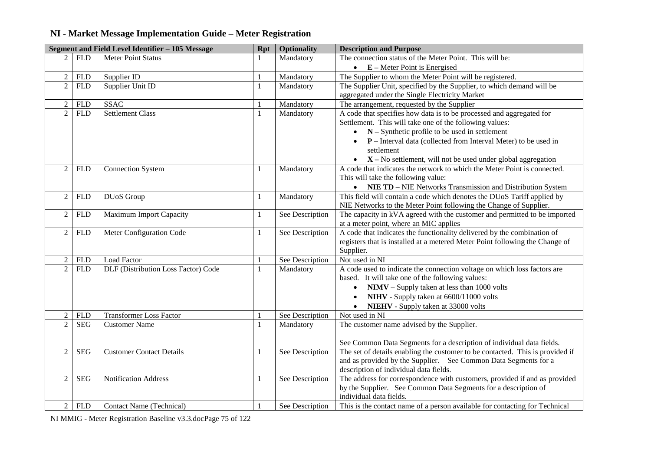|                |            | Segment and Field Level Identifier - 105 Message | Rpt | <b>Optionality</b> | <b>Description and Purpose</b>                                                |
|----------------|------------|--------------------------------------------------|-----|--------------------|-------------------------------------------------------------------------------|
| $\overline{2}$ | <b>FLD</b> | <b>Meter Point Status</b>                        |     | Mandatory          | The connection status of the Meter Point. This will be:                       |
|                |            |                                                  |     |                    | $\bullet$ E – Meter Point is Energised                                        |
| $\overline{2}$ | <b>FLD</b> | Supplier ID                                      | 1   | Mandatory          | The Supplier to whom the Meter Point will be registered.                      |
| $\overline{2}$ | <b>FLD</b> | Supplier Unit ID                                 | 1   | Mandatory          | The Supplier Unit, specified by the Supplier, to which demand will be         |
|                |            |                                                  |     |                    | aggregated under the Single Electricity Market                                |
| $\overline{2}$ | <b>FLD</b> | <b>SSAC</b>                                      |     | Mandatory          | The arrangement, requested by the Supplier                                    |
| $\overline{2}$ | <b>FLD</b> | <b>Settlement Class</b>                          | 1   | Mandatory          | A code that specifies how data is to be processed and aggregated for          |
|                |            |                                                  |     |                    | Settlement. This will take one of the following values:                       |
|                |            |                                                  |     |                    | $\bullet$ $N -$ Synthetic profile to be used in settlement                    |
|                |            |                                                  |     |                    | $P$ – Interval data (collected from Interval Meter) to be used in             |
|                |            |                                                  |     |                    | settlement                                                                    |
|                |            |                                                  |     |                    | $\bullet$ $X - No$ settlement, will not be used under global aggregation      |
| $\overline{2}$ | <b>FLD</b> | <b>Connection System</b>                         | 1   | Mandatory          | A code that indicates the network to which the Meter Point is connected.      |
|                |            |                                                  |     |                    | This will take the following value:                                           |
|                |            |                                                  |     |                    | • NIE TD – NIE Networks Transmission and Distribution System                  |
| $\overline{2}$ | <b>FLD</b> | DUoS Group                                       | 1   | Mandatory          | This field will contain a code which denotes the DUoS Tariff applied by       |
|                |            |                                                  |     |                    | NIE Networks to the Meter Point following the Change of Supplier.             |
| $\overline{2}$ | <b>FLD</b> | Maximum Import Capacity                          | 1   | See Description    | The capacity in kVA agreed with the customer and permitted to be imported     |
|                |            |                                                  |     |                    | at a meter point, where an MIC applies                                        |
| $\overline{2}$ | <b>FLD</b> | Meter Configuration Code                         | 1   | See Description    | A code that indicates the functionality delivered by the combination of       |
|                |            |                                                  |     |                    | registers that is installed at a metered Meter Point following the Change of  |
|                |            |                                                  |     |                    | Supplier.                                                                     |
| $\overline{2}$ | <b>FLD</b> | <b>Load Factor</b>                               |     | See Description    | Not used in NI                                                                |
| $\overline{2}$ | <b>FLD</b> | DLF (Distribution Loss Factor) Code              | -1  | Mandatory          | A code used to indicate the connection voltage on which loss factors are      |
|                |            |                                                  |     |                    | based. It will take one of the following values:                              |
|                |            |                                                  |     |                    | $NIMV - Supply$ taken at less than 1000 volts<br>$\bullet$                    |
|                |            |                                                  |     |                    | NIHV - Supply taken at 6600/11000 volts                                       |
|                |            |                                                  |     |                    | NIEHV - Supply taken at 33000 volts<br>$\bullet$                              |
| $\overline{2}$ | <b>FLD</b> | <b>Transformer Loss Factor</b>                   |     | See Description    | Not used in NI                                                                |
| $\overline{2}$ | <b>SEG</b> | <b>Customer Name</b>                             | 1   | Mandatory          | The customer name advised by the Supplier.                                    |
|                |            |                                                  |     |                    |                                                                               |
|                |            |                                                  |     |                    | See Common Data Segments for a description of individual data fields.         |
| $\overline{2}$ | <b>SEG</b> | <b>Customer Contact Details</b>                  | 1   | See Description    | The set of details enabling the customer to be contacted. This is provided if |
|                |            |                                                  |     |                    | and as provided by the Supplier. See Common Data Segments for a               |
|                |            |                                                  |     |                    | description of individual data fields.                                        |
| $\overline{2}$ | <b>SEG</b> | <b>Notification Address</b>                      | 1   | See Description    | The address for correspondence with customers, provided if and as provided    |
|                |            |                                                  |     |                    | by the Supplier. See Common Data Segments for a description of                |
|                |            |                                                  |     |                    | individual data fields.                                                       |
| $\overline{2}$ | <b>FLD</b> | <b>Contact Name (Technical)</b>                  |     | See Description    | This is the contact name of a person available for contacting for Technical   |

NI MMIG - Meter Registration Baseline v3.3.docPage 75 of 122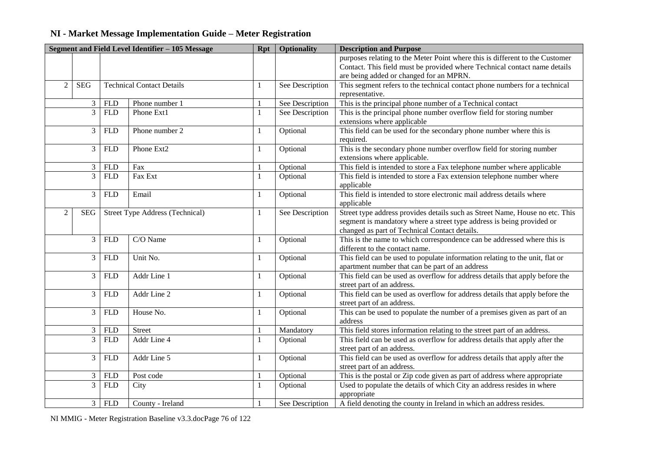| Segment and Field Level Identifier - 105 Message |                |                    | Rpt                              | <b>Optionality</b> | <b>Description and Purpose</b> |                                                                              |
|--------------------------------------------------|----------------|--------------------|----------------------------------|--------------------|--------------------------------|------------------------------------------------------------------------------|
|                                                  |                |                    |                                  |                    |                                | purposes relating to the Meter Point where this is different to the Customer |
|                                                  |                |                    |                                  |                    |                                | Contact. This field must be provided where Technical contact name details    |
|                                                  |                |                    |                                  |                    |                                | are being added or changed for an MPRN.                                      |
| 2                                                | <b>SEG</b>     |                    | <b>Technical Contact Details</b> | 1                  | See Description                | This segment refers to the technical contact phone numbers for a technical   |
|                                                  |                |                    |                                  |                    |                                | representative.                                                              |
|                                                  | 3              | <b>FLD</b>         | Phone number 1                   |                    | See Description                | This is the principal phone number of a Technical contact                    |
|                                                  | 3              | <b>FLD</b>         | Phone Ext1                       | 1                  | See Description                | This is the principal phone number overflow field for storing number         |
|                                                  |                |                    |                                  |                    |                                | extensions where applicable                                                  |
|                                                  | 3              | <b>FLD</b>         | Phone number 2                   | 1                  | Optional                       | This field can be used for the secondary phone number where this is          |
|                                                  |                |                    |                                  |                    |                                | required.                                                                    |
|                                                  | 3              | <b>FLD</b>         | Phone Ext2                       | 1                  | Optional                       | This is the secondary phone number overflow field for storing number         |
|                                                  |                |                    |                                  |                    |                                | extensions where applicable.                                                 |
|                                                  | 3              | <b>FLD</b>         | Fax                              |                    | Optional                       | This field is intended to store a Fax telephone number where applicable      |
|                                                  | 3              | ${\hbox{\rm FLD}}$ | Fax Ext                          | 1                  | Optional                       | This field is intended to store a Fax extension telephone number where       |
|                                                  |                |                    |                                  |                    |                                | applicable                                                                   |
|                                                  | 3              | <b>FLD</b>         | Email                            | $\mathbf{1}$       | Optional                       | This field is intended to store electronic mail address details where        |
|                                                  |                |                    |                                  |                    |                                | applicable                                                                   |
| 2                                                | <b>SEG</b>     |                    | Street Type Address (Technical)  | 1                  | See Description                | Street type address provides details such as Street Name, House no etc. This |
|                                                  |                |                    |                                  |                    |                                | segment is mandatory where a street type address is being provided or        |
|                                                  |                |                    |                                  |                    |                                | changed as part of Technical Contact details.                                |
|                                                  | 3              | <b>FLD</b>         | C/O Name                         | $\mathbf{1}$       | Optional                       | This is the name to which correspondence can be addressed where this is      |
|                                                  |                |                    |                                  |                    |                                | different to the contact name.                                               |
|                                                  | 3              | <b>FLD</b>         | Unit No.                         | 1                  | Optional                       | This field can be used to populate information relating to the unit, flat or |
|                                                  |                |                    |                                  |                    |                                | apartment number that can be part of an address                              |
|                                                  | 3              | <b>FLD</b>         | Addr Line 1                      | 1                  | Optional                       | This field can be used as overflow for address details that apply before the |
|                                                  |                |                    |                                  |                    |                                | street part of an address.                                                   |
|                                                  | 3              | <b>FLD</b>         | Addr Line 2                      | 1                  | Optional                       | This field can be used as overflow for address details that apply before the |
|                                                  |                |                    |                                  |                    |                                | street part of an address.                                                   |
|                                                  | 3              | <b>FLD</b>         | House No.                        | 1                  | Optional                       | This can be used to populate the number of a premises given as part of an    |
|                                                  |                |                    |                                  |                    |                                | address                                                                      |
|                                                  | $\mathfrak{Z}$ | <b>FLD</b>         | <b>Street</b>                    | 1                  | Mandatory                      | This field stores information relating to the street part of an address.     |
|                                                  | 3              | <b>FLD</b>         | Addr Line 4                      | 1                  | Optional                       | This field can be used as overflow for address details that apply after the  |
|                                                  |                |                    |                                  |                    |                                | street part of an address.                                                   |
|                                                  | 3              | <b>FLD</b>         | Addr Line 5                      | $\mathbf{1}$       | Optional                       | This field can be used as overflow for address details that apply after the  |
|                                                  |                |                    |                                  |                    |                                | street part of an address.                                                   |
|                                                  | 3              | <b>FLD</b>         | Post code                        |                    | Optional                       | This is the postal or Zip code given as part of address where appropriate    |
|                                                  | 3              | <b>FLD</b>         | City                             | $\mathbf{1}$       | Optional                       | Used to populate the details of which City an address resides in where       |
|                                                  |                |                    |                                  |                    |                                | appropriate                                                                  |
|                                                  | 3 <sup>1</sup> | <b>FLD</b>         | County - Ireland                 |                    | See Description                | A field denoting the county in Ireland in which an address resides.          |

NI MMIG - Meter Registration Baseline v3.3.docPage 76 of 122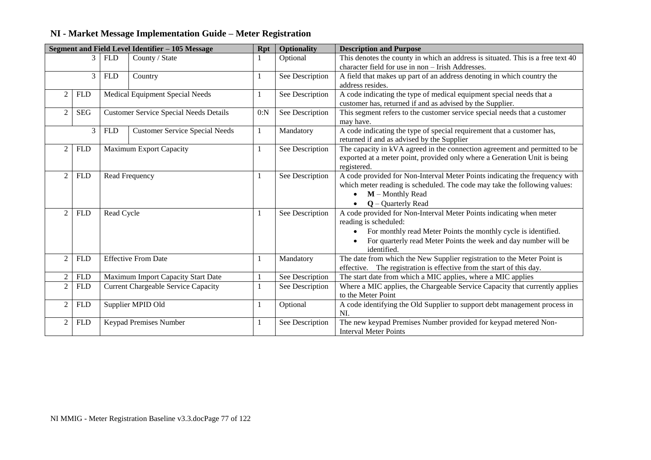| Segment and Field Level Identifier - 105 Message<br><b>Rpt</b> |                |            |                                               |     | <b>Optionality</b> | <b>Description and Purpose</b>                                                               |
|----------------------------------------------------------------|----------------|------------|-----------------------------------------------|-----|--------------------|----------------------------------------------------------------------------------------------|
|                                                                | $\mathcal{E}$  | <b>FLD</b> | County / State                                |     | Optional           | This denotes the county in which an address is situated. This is a free text 40              |
|                                                                |                |            |                                               |     |                    | character field for use in non - Irish Addresses.                                            |
|                                                                | 3 <sup>1</sup> | <b>FLD</b> | Country                                       | 1   | See Description    | A field that makes up part of an address denoting in which country the                       |
|                                                                |                |            |                                               |     |                    | address resides.                                                                             |
| 2                                                              | <b>FLD</b>     |            | Medical Equipment Special Needs               | 1   | See Description    | A code indicating the type of medical equipment special needs that a                         |
|                                                                |                |            |                                               |     |                    | customer has, returned if and as advised by the Supplier.                                    |
| $\mathbf{2}$                                                   | <b>SEG</b>     |            | <b>Customer Service Special Needs Details</b> | 0:N | See Description    | This segment refers to the customer service special needs that a customer                    |
|                                                                |                |            |                                               |     |                    | may have.                                                                                    |
|                                                                | 3              | <b>FLD</b> | <b>Customer Service Special Needs</b>         | 1   | Mandatory          | A code indicating the type of special requirement that a customer has,                       |
|                                                                |                |            |                                               |     |                    | returned if and as advised by the Supplier                                                   |
| $\overline{2}$                                                 | <b>FLD</b>     |            | <b>Maximum Export Capacity</b>                |     | See Description    | The capacity in kVA agreed in the connection agreement and permitted to be                   |
|                                                                |                |            |                                               |     |                    | exported at a meter point, provided only where a Generation Unit is being                    |
| $\overline{2}$                                                 |                |            |                                               |     |                    | registered.                                                                                  |
|                                                                | <b>FLD</b>     |            | Read Frequency                                |     | See Description    | A code provided for Non-Interval Meter Points indicating the frequency with                  |
|                                                                |                |            |                                               |     |                    | which meter reading is scheduled. The code may take the following values:                    |
|                                                                |                |            |                                               |     |                    | $M$ – Monthly Read                                                                           |
| $\overline{2}$                                                 | <b>FLD</b>     | Read Cycle |                                               |     | See Description    | $Q$ – Quarterly Read                                                                         |
|                                                                |                |            |                                               |     |                    | A code provided for Non-Interval Meter Points indicating when meter<br>reading is scheduled: |
|                                                                |                |            |                                               |     |                    | For monthly read Meter Points the monthly cycle is identified.                               |
|                                                                |                |            |                                               |     |                    |                                                                                              |
|                                                                |                |            |                                               |     |                    | For quarterly read Meter Points the week and day number will be<br>identified.               |
| $\overline{2}$                                                 | <b>FLD</b>     |            | <b>Effective From Date</b>                    | 1   | Mandatory          | The date from which the New Supplier registration to the Meter Point is                      |
|                                                                |                |            |                                               |     |                    | effective. The registration is effective from the start of this day.                         |
| $\mathfrak{2}$                                                 | <b>FLD</b>     |            | Maximum Import Capacity Start Date            |     | See Description    | The start date from which a MIC applies, where a MIC applies                                 |
| $\overline{2}$                                                 | <b>FLD</b>     |            | <b>Current Chargeable Service Capacity</b>    |     | See Description    | Where a MIC applies, the Chargeable Service Capacity that currently applies                  |
|                                                                |                |            |                                               |     |                    | to the Meter Point                                                                           |
| $\overline{2}$                                                 | <b>FLD</b>     |            | Supplier MPID Old                             | 1   | Optional           | A code identifying the Old Supplier to support debt management process in                    |
|                                                                |                |            |                                               |     |                    | NI.                                                                                          |
| $\mathbf{2}$                                                   | <b>FLD</b>     |            | <b>Keypad Premises Number</b>                 |     | See Description    | The new keypad Premises Number provided for keypad metered Non-                              |
|                                                                |                |            |                                               |     |                    | <b>Interval Meter Points</b>                                                                 |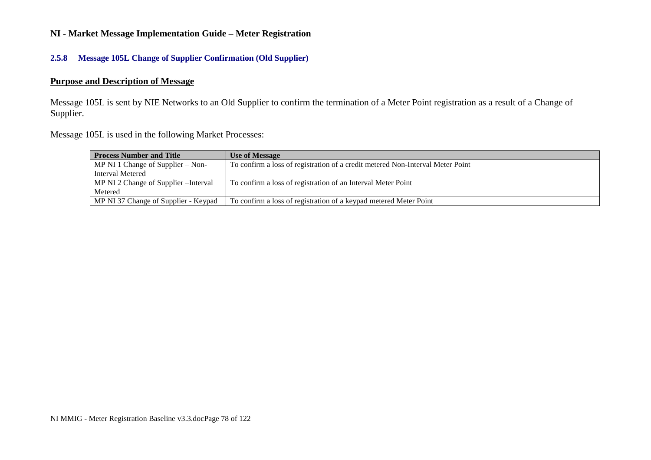#### **2.5.8 Message 105L Change of Supplier Confirmation (Old Supplier)**

## **Purpose and Description of Message**

Message 105L is sent by NIE Networks to an Old Supplier to confirm the termination of a Meter Point registration as a result of a Change of Supplier.

Message 105L is used in the following Market Processes:

| <b>Process Number and Title</b>       | <b>Use of Message</b>                                                          |
|---------------------------------------|--------------------------------------------------------------------------------|
| MP NI 1 Change of Supplier $-$ Non-   | To confirm a loss of registration of a credit metered Non-Interval Meter Point |
| Interval Metered                      |                                                                                |
| MP NI 2 Change of Supplier – Interval | To confirm a loss of registration of an Interval Meter Point                   |
| Metered                               |                                                                                |
| MP NI 37 Change of Supplier - Keypad  | To confirm a loss of registration of a keypad metered Meter Point              |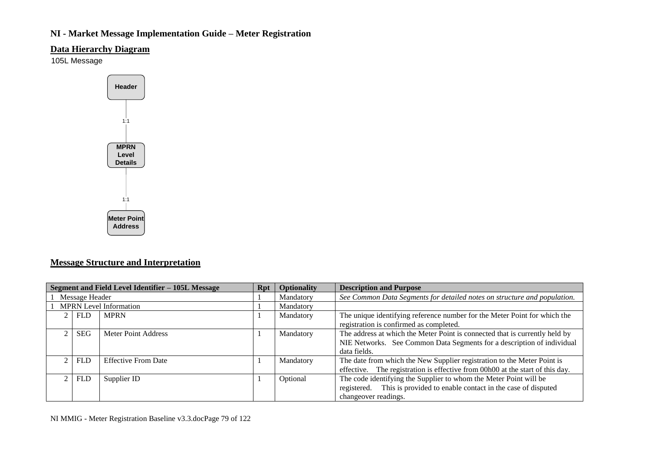## **Data Hierarchy Diagram**

105L Message



## **Message Structure and Interpretation**

| Segment and Field Level Identifier - 105L Message |                |                               | Rpt | <b>Optionality</b> | <b>Description and Purpose</b>                                                |
|---------------------------------------------------|----------------|-------------------------------|-----|--------------------|-------------------------------------------------------------------------------|
|                                                   | Message Header |                               |     | Mandatory          | See Common Data Segments for detailed notes on structure and population.      |
|                                                   |                | <b>MPRN</b> Level Information |     | Mandatory          |                                                                               |
|                                                   | <b>FLD</b>     | <b>MPRN</b>                   |     | Mandatory          | The unique identifying reference number for the Meter Point for which the     |
|                                                   |                |                               |     |                    | registration is confirmed as completed.                                       |
|                                                   | <b>SEG</b>     | Meter Point Address           |     | Mandatory          | The address at which the Meter Point is connected that is currently held by   |
|                                                   |                |                               |     |                    | NIE Networks. See Common Data Segments for a description of individual        |
|                                                   |                |                               |     |                    | data fields.                                                                  |
|                                                   | <b>FLD</b>     | <b>Effective From Date</b>    |     | Mandatory          | The date from which the New Supplier registration to the Meter Point is       |
|                                                   |                |                               |     |                    | effective. The registration is effective from 00h00 at the start of this day. |
|                                                   | <b>FLD</b>     | Supplier ID                   |     | Optional           | The code identifying the Supplier to whom the Meter Point will be             |
|                                                   |                |                               |     |                    | This is provided to enable contact in the case of disputed<br>registered.     |
|                                                   |                |                               |     |                    | change over readings.                                                         |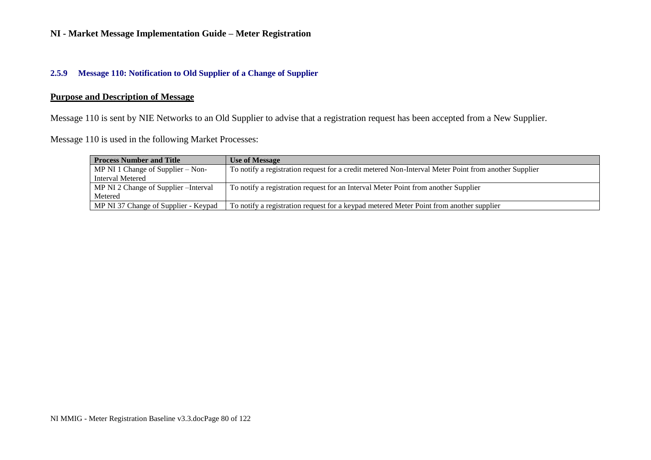### **2.5.9 Message 110: Notification to Old Supplier of a Change of Supplier**

## **Purpose and Description of Message**

Message 110 is sent by NIE Networks to an Old Supplier to advise that a registration request has been accepted from a New Supplier.

Message 110 is used in the following Market Processes:

| <b>Process Number and Title</b>       | <b>Use of Message</b>                                                                                |
|---------------------------------------|------------------------------------------------------------------------------------------------------|
| MP NI 1 Change of Supplier $-$ Non-   | To notify a registration request for a credit metered Non-Interval Meter Point from another Supplier |
| Interval Metered                      |                                                                                                      |
| MP NI 2 Change of Supplier – Interval | To notify a registration request for an Interval Meter Point from another Supplier                   |
| Metered                               |                                                                                                      |
| MP NI 37 Change of Supplier - Keypad  | To notify a registration request for a keypad metered Meter Point from another supplier              |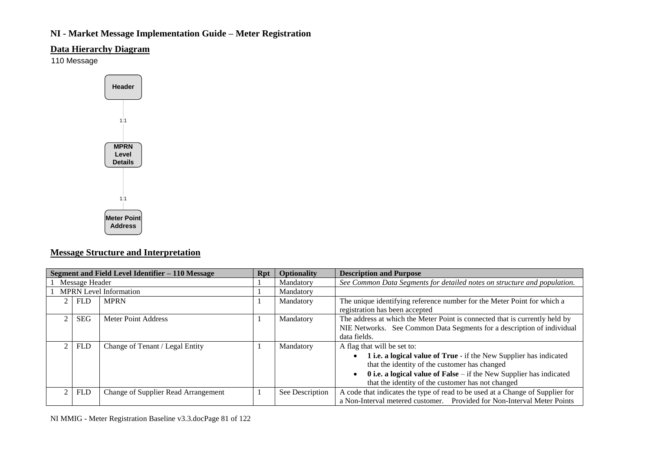## **Data Hierarchy Diagram**

110 Message



## **Message Structure and Interpretation**

|                |                | Segment and Field Level Identifier - 110 Message | Rpt | <b>Optionality</b> | <b>Description and Purpose</b>                                                                                                                                                                                                                                                        |
|----------------|----------------|--------------------------------------------------|-----|--------------------|---------------------------------------------------------------------------------------------------------------------------------------------------------------------------------------------------------------------------------------------------------------------------------------|
|                | Message Header |                                                  |     | Mandatory          | See Common Data Segments for detailed notes on structure and population.                                                                                                                                                                                                              |
|                |                | <b>MPRN</b> Level Information                    |     | Mandatory          |                                                                                                                                                                                                                                                                                       |
| $\mathfrak{D}$ | <b>FLD</b>     | <b>MPRN</b>                                      |     | Mandatory          | The unique identifying reference number for the Meter Point for which a<br>registration has been accepted                                                                                                                                                                             |
|                | <b>SEG</b>     | Meter Point Address                              |     | Mandatory          | The address at which the Meter Point is connected that is currently held by<br>NIE Networks. See Common Data Segments for a description of individual<br>data fields.                                                                                                                 |
|                | <b>FLD</b>     | Change of Tenant / Legal Entity                  |     | Mandatory          | A flag that will be set to:<br>1 i.e. a logical value of True - if the New Supplier has indicated<br>that the identity of the customer has changed<br>$\theta$ i.e. a logical value of False – if the New Supplier has indicated<br>that the identity of the customer has not changed |
|                | <b>FLD</b>     | Change of Supplier Read Arrangement              |     | See Description    | A code that indicates the type of read to be used at a Change of Supplier for<br>a Non-Interval metered customer. Provided for Non-Interval Meter Points                                                                                                                              |

NI MMIG - Meter Registration Baseline v3.3.docPage 81 of 122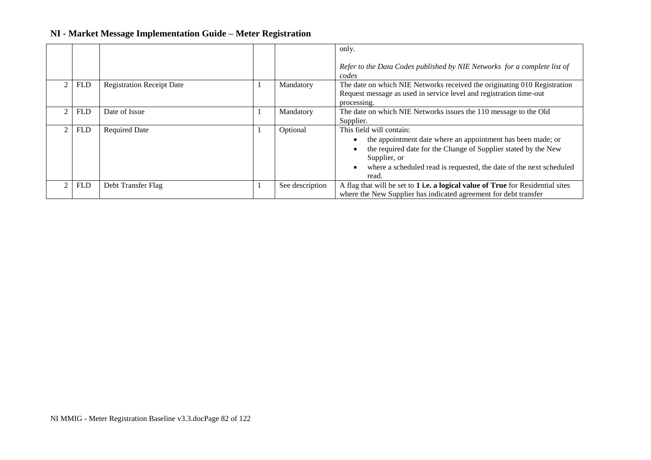|            |                                  |                 | only.<br>Refer to the Data Codes published by NIE Networks for a complete list of<br>codes                                                                                                                                                                |
|------------|----------------------------------|-----------------|-----------------------------------------------------------------------------------------------------------------------------------------------------------------------------------------------------------------------------------------------------------|
| <b>FLD</b> | <b>Registration Receipt Date</b> | Mandatory       | The date on which NIE Networks received the originating 010 Registration<br>Request message as used in service level and registration time-out<br>processing.                                                                                             |
| <b>FLD</b> | Date of Issue                    | Mandatory       | The date on which NIE Networks issues the 110 message to the Old<br>Supplier.                                                                                                                                                                             |
| <b>FLD</b> | <b>Required Date</b>             | Optional        | This field will contain:<br>the appointment date where an appointment has been made; or<br>the required date for the Change of Supplier stated by the New<br>Supplier, or<br>where a scheduled read is requested, the date of the next scheduled<br>read. |
| <b>FLD</b> | Debt Transfer Flag               | See description | A flag that will be set to 1 i.e. a logical value of True for Residential sites<br>where the New Supplier has indicated agreement for debt transfer                                                                                                       |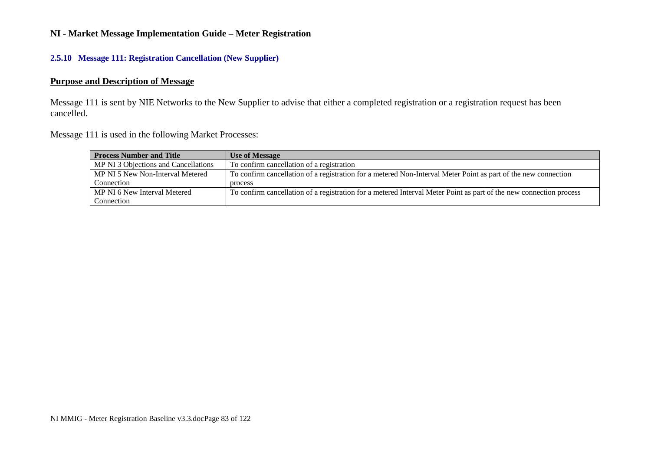### **2.5.10 Message 111: Registration Cancellation (New Supplier)**

## **Purpose and Description of Message**

Message 111 is sent by NIE Networks to the New Supplier to advise that either a completed registration or a registration request has been cancelled.

Message 111 is used in the following Market Processes:

| <b>Process Number and Title</b>      | <b>Use of Message</b>                                                                                              |
|--------------------------------------|--------------------------------------------------------------------------------------------------------------------|
| MP NI 3 Objections and Cancellations | To confirm cancellation of a registration                                                                          |
| MP NI 5 New Non-Interval Metered     | To confirm cancellation of a registration for a metered Non-Interval Meter Point as part of the new connection     |
| Connection                           | process                                                                                                            |
| MP NI 6 New Interval Metered         | To confirm cancellation of a registration for a metered Interval Meter Point as part of the new connection process |
| Connection                           |                                                                                                                    |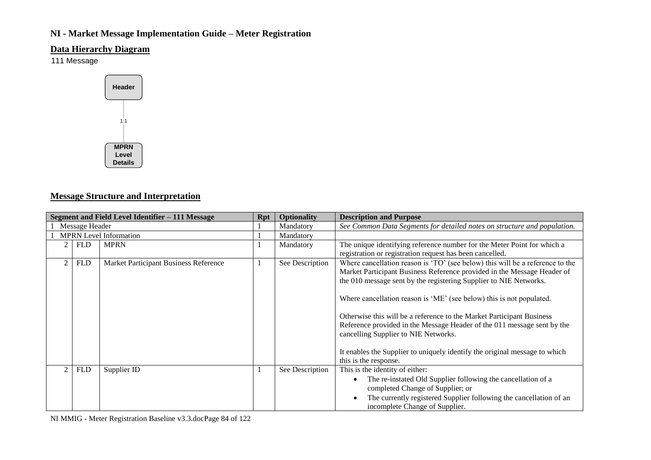## **Data Hierarchy Diagram**

111 Message



## **Message Structure and Interpretation**

|                |            | Segment and Field Level Identifier - 111 Message | <b>Rpt</b> | <b>Optionality</b> | <b>Description and Purpose</b>                                                |
|----------------|------------|--------------------------------------------------|------------|--------------------|-------------------------------------------------------------------------------|
| Message Header |            |                                                  |            | Mandatory          | See Common Data Segments for detailed notes on structure and population.      |
|                |            | <b>MPRN</b> Level Information                    |            | Mandatory          |                                                                               |
|                | <b>FLD</b> | <b>MPRN</b>                                      |            | Mandatory          | The unique identifying reference number for the Meter Point for which a       |
|                |            |                                                  |            |                    | registration or registration request has been cancelled.                      |
|                | <b>FLD</b> | Market Participant Business Reference            |            | See Description    | Where cancellation reason is 'TO' (see below) this will be a reference to the |
|                |            |                                                  |            |                    | Market Participant Business Reference provided in the Message Header of       |
|                |            |                                                  |            |                    | the 010 message sent by the registering Supplier to NIE Networks.             |
|                |            |                                                  |            |                    | Where cancellation reason is 'ME' (see below) this is not populated.          |
|                |            |                                                  |            |                    | Otherwise this will be a reference to the Market Participant Business         |
|                |            |                                                  |            |                    | Reference provided in the Message Header of the 011 message sent by the       |
|                |            |                                                  |            |                    | cancelling Supplier to NIE Networks.                                          |
|                |            |                                                  |            |                    | It enables the Supplier to uniquely identify the original message to which    |
|                |            |                                                  |            |                    | this is the response.                                                         |
|                | <b>FLD</b> | Supplier ID                                      |            | See Description    | This is the identity of either:                                               |
|                |            |                                                  |            |                    | The re-instated Old Supplier following the cancellation of a                  |
|                |            |                                                  |            |                    | completed Change of Supplier; or                                              |
|                |            |                                                  |            |                    | The currently registered Supplier following the cancellation of an            |
|                |            |                                                  |            |                    | incomplete Change of Supplier.                                                |

NI MMIG - Meter Registration Baseline v3.3.docPage 84 of 122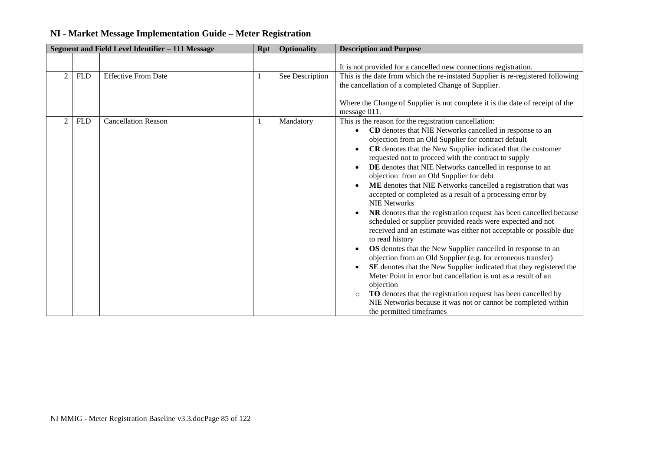| Segment and Field Level Identifier - 111 Message |            |                            | <b>Rpt</b> | <b>Optionality</b> | <b>Description and Purpose</b>                                                                                                                                                                                             |
|--------------------------------------------------|------------|----------------------------|------------|--------------------|----------------------------------------------------------------------------------------------------------------------------------------------------------------------------------------------------------------------------|
|                                                  |            |                            |            |                    | It is not provided for a cancelled new connections registration.                                                                                                                                                           |
| 2                                                | <b>FLD</b> | <b>Effective From Date</b> | 1          | See Description    | This is the date from which the re-instated Supplier is re-registered following                                                                                                                                            |
|                                                  |            |                            |            |                    | the cancellation of a completed Change of Supplier.                                                                                                                                                                        |
|                                                  |            |                            |            |                    | Where the Change of Supplier is not complete it is the date of receipt of the<br>message 011.                                                                                                                              |
| $\overline{c}$                                   | <b>FLD</b> | <b>Cancellation Reason</b> |            | Mandatory          | This is the reason for the registration cancellation:                                                                                                                                                                      |
|                                                  |            |                            |            |                    | CD denotes that NIE Networks cancelled in response to an<br>$\bullet$<br>objection from an Old Supplier for contract default<br>CR denotes that the New Supplier indicated that the customer                               |
|                                                  |            |                            |            |                    | requested not to proceed with the contract to supply                                                                                                                                                                       |
|                                                  |            |                            |            |                    | DE denotes that NIE Networks cancelled in response to an                                                                                                                                                                   |
|                                                  |            |                            |            |                    | objection from an Old Supplier for debt                                                                                                                                                                                    |
|                                                  |            |                            |            |                    | ME denotes that NIE Networks cancelled a registration that was<br>accepted or completed as a result of a processing error by<br><b>NIE Networks</b>                                                                        |
|                                                  |            |                            |            |                    | NR denotes that the registration request has been cancelled because<br>scheduled or supplier provided reads were expected and not<br>received and an estimate was either not acceptable or possible due<br>to read history |
|                                                  |            |                            |            |                    | OS denotes that the New Supplier cancelled in response to an<br>objection from an Old Supplier (e.g. for erroneous transfer)                                                                                               |
|                                                  |            |                            |            |                    | SE denotes that the New Supplier indicated that they registered the<br>Meter Point in error but cancellation is not as a result of an                                                                                      |
|                                                  |            |                            |            |                    | objection                                                                                                                                                                                                                  |
|                                                  |            |                            |            |                    | TO denotes that the registration request has been cancelled by<br>$\circ$                                                                                                                                                  |
|                                                  |            |                            |            |                    | NIE Networks because it was not or cannot be completed within                                                                                                                                                              |
|                                                  |            |                            |            |                    | the permitted timeframes                                                                                                                                                                                                   |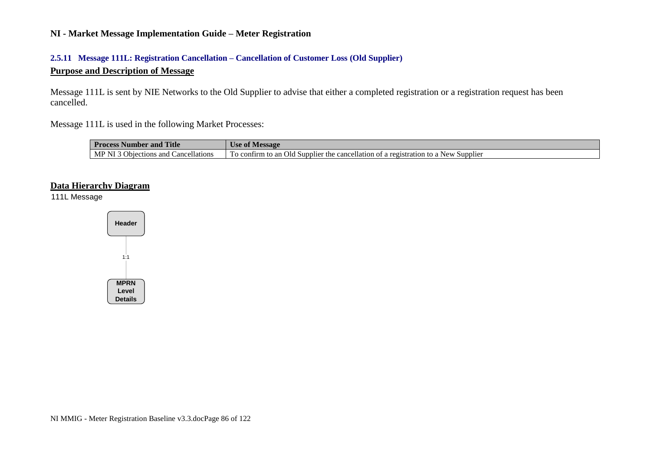# **2.5.11 Message 111L: Registration Cancellation – Cancellation of Customer Loss (Old Supplier)**

## **Purpose and Description of Message**

Message 111L is sent by NIE Networks to the Old Supplier to advise that either a completed registration or a registration request has been cancelled.

Message 111L is used in the following Market Processes:

| <b>Title</b><br>Process <sub>1</sub><br>and<br>Number | Jse of<br>Message<br>-vi                                                                                                   |  |  |  |  |
|-------------------------------------------------------|----------------------------------------------------------------------------------------------------------------------------|--|--|--|--|
| MP<br>Cancellations<br>ections:<br>and<br>N<br>Jbie⁄  | cancellation<br>Old<br>Supplier<br>an<br>New<br>-cont11<br>Supplier<br>the<br>rm to<br>registration.<br>` to a<br>$\Omega$ |  |  |  |  |

## **Data Hierarchy Diagram**

111L Message

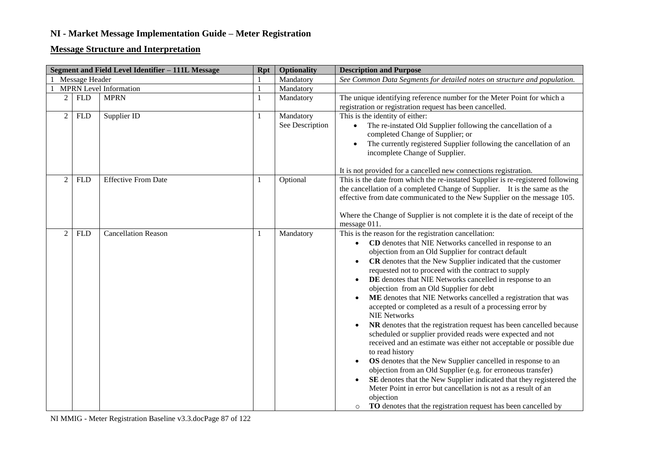## **Message Structure and Interpretation**

| Segment and Field Level Identifier - 111L Message |                    |                            | <b>Rpt</b> | <b>Optionality</b>           | <b>Description and Purpose</b>                                                                                                                                                                                                                                                                                                                                                                                                                                                                                                                                                                                                                                                                                                                                                                                                                                                                                                                                                                                                                                                                                                                                               |
|---------------------------------------------------|--------------------|----------------------------|------------|------------------------------|------------------------------------------------------------------------------------------------------------------------------------------------------------------------------------------------------------------------------------------------------------------------------------------------------------------------------------------------------------------------------------------------------------------------------------------------------------------------------------------------------------------------------------------------------------------------------------------------------------------------------------------------------------------------------------------------------------------------------------------------------------------------------------------------------------------------------------------------------------------------------------------------------------------------------------------------------------------------------------------------------------------------------------------------------------------------------------------------------------------------------------------------------------------------------|
|                                                   | Message Header     |                            |            | Mandatory                    | See Common Data Segments for detailed notes on structure and population.                                                                                                                                                                                                                                                                                                                                                                                                                                                                                                                                                                                                                                                                                                                                                                                                                                                                                                                                                                                                                                                                                                     |
| <b>MPRN</b> Level Information                     |                    |                            | Mandatory  |                              |                                                                                                                                                                                                                                                                                                                                                                                                                                                                                                                                                                                                                                                                                                                                                                                                                                                                                                                                                                                                                                                                                                                                                                              |
| $\overline{2}$                                    | <b>FLD</b>         | <b>MPRN</b>                | 1          | Mandatory                    | The unique identifying reference number for the Meter Point for which a<br>registration or registration request has been cancelled.                                                                                                                                                                                                                                                                                                                                                                                                                                                                                                                                                                                                                                                                                                                                                                                                                                                                                                                                                                                                                                          |
| $\overline{2}$                                    | ${\hbox{\rm FLD}}$ | Supplier ID                | 1          | Mandatory<br>See Description | This is the identity of either:<br>The re-instated Old Supplier following the cancellation of a<br>completed Change of Supplier; or<br>The currently registered Supplier following the cancellation of an<br>incomplete Change of Supplier.<br>It is not provided for a cancelled new connections registration.                                                                                                                                                                                                                                                                                                                                                                                                                                                                                                                                                                                                                                                                                                                                                                                                                                                              |
| $\overline{2}$                                    | <b>FLD</b>         | <b>Effective From Date</b> | 1          | Optional                     | This is the date from which the re-instated Supplier is re-registered following<br>the cancellation of a completed Change of Supplier. It is the same as the<br>effective from date communicated to the New Supplier on the message 105.<br>Where the Change of Supplier is not complete it is the date of receipt of the<br>message 011.                                                                                                                                                                                                                                                                                                                                                                                                                                                                                                                                                                                                                                                                                                                                                                                                                                    |
| $\overline{2}$                                    | <b>FLD</b>         | <b>Cancellation Reason</b> | 1          | Mandatory                    | This is the reason for the registration cancellation:<br>CD denotes that NIE Networks cancelled in response to an<br>$\bullet$<br>objection from an Old Supplier for contract default<br>CR denotes that the New Supplier indicated that the customer<br>requested not to proceed with the contract to supply<br>DE denotes that NIE Networks cancelled in response to an<br>objection from an Old Supplier for debt<br>ME denotes that NIE Networks cancelled a registration that was<br>accepted or completed as a result of a processing error by<br><b>NIE Networks</b><br>NR denotes that the registration request has been cancelled because<br>scheduled or supplier provided reads were expected and not<br>received and an estimate was either not acceptable or possible due<br>to read history<br>OS denotes that the New Supplier cancelled in response to an<br>objection from an Old Supplier (e.g. for erroneous transfer)<br>SE denotes that the New Supplier indicated that they registered the<br>Meter Point in error but cancellation is not as a result of an<br>objection<br>TO denotes that the registration request has been cancelled by<br>$\circ$ |

NI MMIG - Meter Registration Baseline v3.3.docPage 87 of 122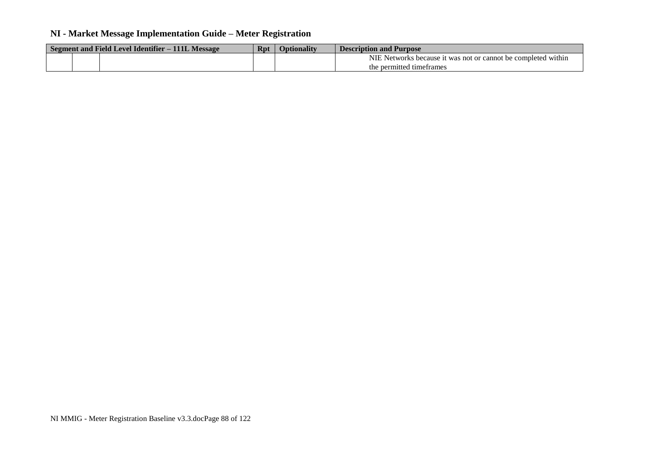| Segment and Field Level Identifier – 111L Message |  |  |  | Optionalitv | <b>Description and Purpose</b>                                |
|---------------------------------------------------|--|--|--|-------------|---------------------------------------------------------------|
|                                                   |  |  |  |             | NIE Networks because it was not or cannot be completed within |
|                                                   |  |  |  |             | the permitted timetrames                                      |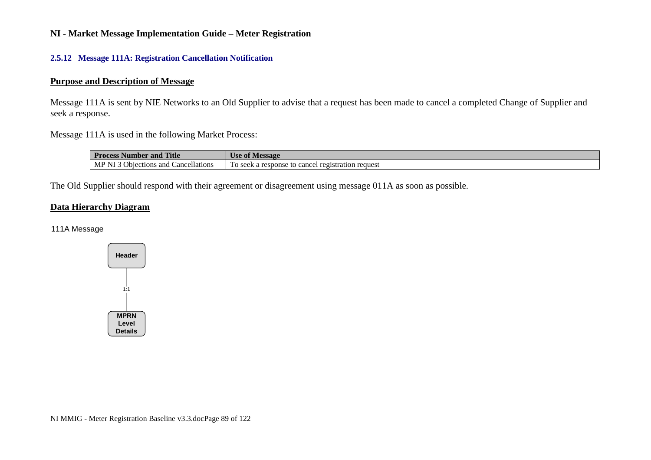#### **2.5.12 Message 111A: Registration Cancellation Notification**

#### **Purpose and Description of Message**

Message 111A is sent by NIE Networks to an Old Supplier to advise that a request has been made to cancel a completed Change of Supplier and seek a response.

Message 111A is used in the following Market Process:

| $T^*$                                                                       | $-$                                                                    |  |  |  |  |
|-----------------------------------------------------------------------------|------------------------------------------------------------------------|--|--|--|--|
| <b>Process</b>                                                              | <b>Se of</b>                                                           |  |  |  |  |
| rocess Number                                                               | vlessage                                                               |  |  |  |  |
| and                                                                         | wst                                                                    |  |  |  |  |
| <b>A</b> Itle                                                               | <b>IVIC.</b>                                                           |  |  |  |  |
| $-77$<br>MP<br>ancellations_<br>Objections<br>and<br>1 V 1<br>$\sim$ $\sim$ | request<br>registration<br>To seek a response to<br>concol<br>, cancel |  |  |  |  |

The Old Supplier should respond with their agreement or disagreement using message 011A as soon as possible.

## **Data Hierarchy Diagram**

111A Message

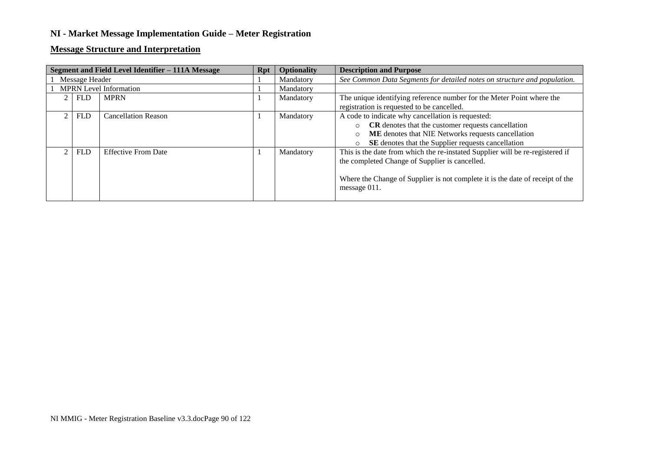## **Message Structure and Interpretation**

| Segment and Field Level Identifier - 111A Message |            |                               | <b>Rpt</b> | <b>Optionality</b> | <b>Description and Purpose</b>                                                |
|---------------------------------------------------|------------|-------------------------------|------------|--------------------|-------------------------------------------------------------------------------|
| Message Header                                    |            |                               |            | Mandatory          | See Common Data Segments for detailed notes on structure and population.      |
|                                                   |            | <b>MPRN</b> Level Information |            | Mandatory          |                                                                               |
|                                                   | <b>FLD</b> | <b>MPRN</b>                   |            | Mandatory          | The unique identifying reference number for the Meter Point where the         |
|                                                   |            |                               |            |                    | registration is requested to be cancelled.                                    |
|                                                   | <b>FLD</b> | <b>Cancellation Reason</b>    |            | Mandatory          | A code to indicate why cancellation is requested:                             |
|                                                   |            |                               |            |                    | <b>CR</b> denotes that the customer requests cancellation<br>$\circ$          |
|                                                   |            |                               |            |                    | ME denotes that NIE Networks requests cancellation<br>$\circ$                 |
|                                                   |            |                               |            |                    | SE denotes that the Supplier requests cancellation<br>$\circ$                 |
|                                                   | <b>FLD</b> | <b>Effective From Date</b>    |            | Mandatory          | This is the date from which the re-instated Supplier will be re-registered if |
|                                                   |            |                               |            |                    | the completed Change of Supplier is cancelled.                                |
|                                                   |            |                               |            |                    |                                                                               |
|                                                   |            |                               |            |                    | Where the Change of Supplier is not complete it is the date of receipt of the |
|                                                   |            |                               |            |                    | message 011.                                                                  |
|                                                   |            |                               |            |                    |                                                                               |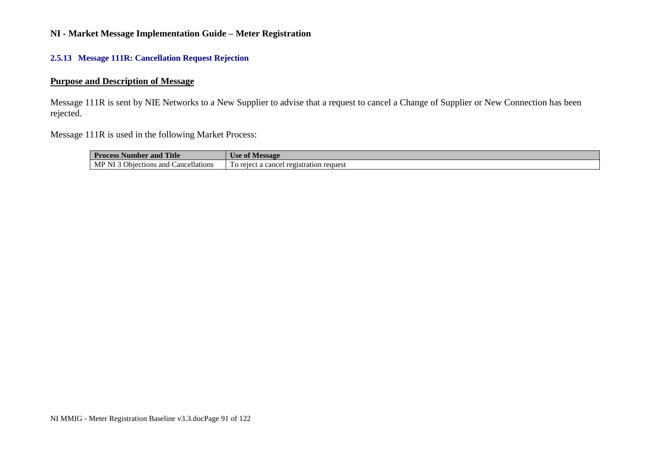## **2.5.13 Message 111R: Cancellation Request Rejection**

## **Purpose and Description of Message**

Message 111R is sent by NIE Networks to a New Supplier to advise that a request to cancel a Change of Supplier or New Connection has been rejected.

## Message 111R is used in the following Market Process:

| <b>Process Number</b> | 0ľ                     |  |  |  |  |
|-----------------------|------------------------|--|--|--|--|
| <b>Title</b>          | <b>Message</b>         |  |  |  |  |
| ' and                 | USC                    |  |  |  |  |
| 11                    | œ                      |  |  |  |  |
| MP NI                 | ' registration request |  |  |  |  |
| Obie                  | o reject               |  |  |  |  |
| Cancellations         | cancel                 |  |  |  |  |
| ctions and            | - 61                   |  |  |  |  |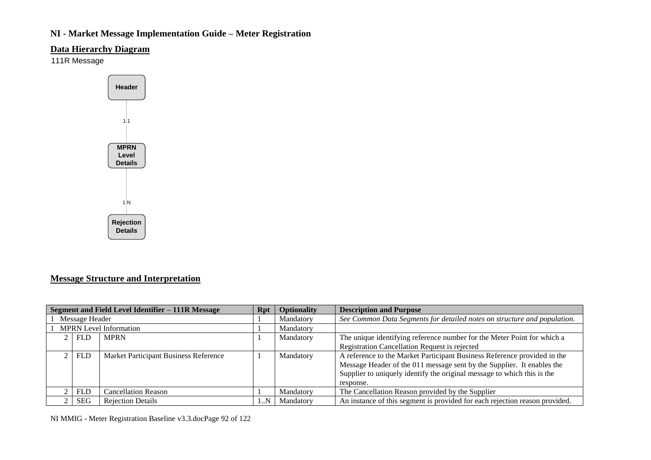## **Data Hierarchy Diagram**

111R Message



## **Message Structure and Interpretation**

| Segment and Field Level Identifier - 111R Message |            |                                       | <b>Rpt</b> | <b>Optionality</b> | <b>Description and Purpose</b>                                              |
|---------------------------------------------------|------------|---------------------------------------|------------|--------------------|-----------------------------------------------------------------------------|
| Message Header                                    |            |                                       |            | Mandatory          | See Common Data Segments for detailed notes on structure and population.    |
|                                                   |            | <b>MPRN</b> Level Information         |            | Mandatory          |                                                                             |
|                                                   | <b>FLD</b> | <b>MPRN</b>                           |            | Mandatory          | The unique identifying reference number for the Meter Point for which a     |
|                                                   |            |                                       |            |                    | Registration Cancellation Request is rejected                               |
|                                                   | <b>FLD</b> | Market Participant Business Reference |            | Mandatory          | A reference to the Market Participant Business Reference provided in the    |
|                                                   |            |                                       |            |                    | Message Header of the 011 message sent by the Supplier. It enables the      |
|                                                   |            |                                       |            |                    | Supplier to uniquely identify the original message to which this is the     |
|                                                   |            |                                       |            |                    | response.                                                                   |
|                                                   | <b>FLD</b> | Cancellation Reason                   |            | Mandatory          | The Cancellation Reason provided by the Supplier                            |
|                                                   | SEG        | <b>Rejection Details</b>              | $\ldots$ N | Mandatory          | An instance of this segment is provided for each rejection reason provided. |

NI MMIG - Meter Registration Baseline v3.3.docPage 92 of 122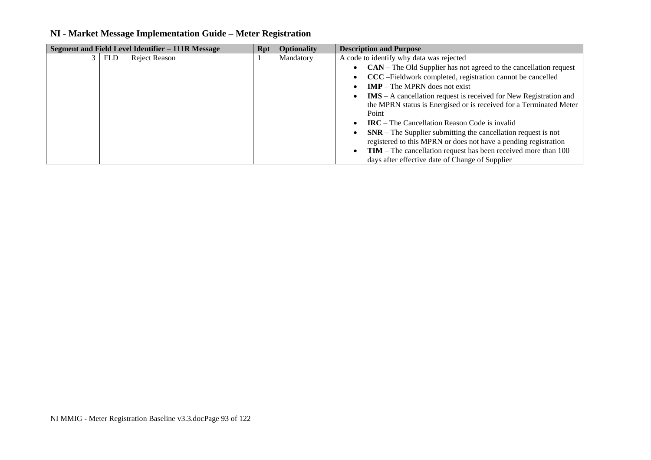|            | Segment and Field Level Identifier - 111R Message | Rpt | <b>Optionality</b> | <b>Description and Purpose</b>                                                        |
|------------|---------------------------------------------------|-----|--------------------|---------------------------------------------------------------------------------------|
| <b>FLD</b> | Reject Reason                                     |     | Mandatory          | A code to identify why data was rejected                                              |
|            |                                                   |     |                    | $CAN$ – The Old Supplier has not agreed to the cancellation request                   |
|            |                                                   |     |                    | CCC - Fieldwork completed, registration cannot be cancelled                           |
|            |                                                   |     |                    | $IMP$ – The MPRN does not exist                                                       |
|            |                                                   |     |                    | $\textbf{IMS} - \textbf{A}$ cancellation request is received for New Registration and |
|            |                                                   |     |                    | the MPRN status is Energised or is received for a Terminated Meter                    |
|            |                                                   |     |                    | Point                                                                                 |
|            |                                                   |     |                    | $\text{IRC}$ – The Cancellation Reason Code is invalid                                |
|            |                                                   |     |                    | $SNR$ – The Supplier submitting the cancellation request is not                       |
|            |                                                   |     |                    | registered to this MPRN or does not have a pending registration                       |
|            |                                                   |     |                    | $\text{TIM}$ – The cancellation request has been received more than 100               |
|            |                                                   |     |                    | days after effective date of Change of Supplier                                       |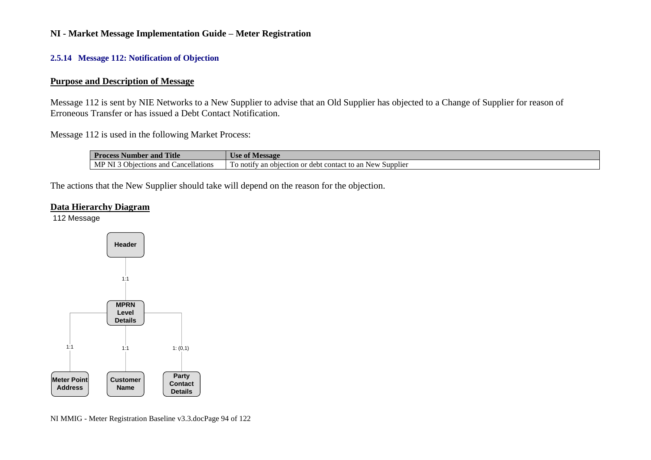## **2.5.14 Message 112: Notification of Objection**

## **Purpose and Description of Message**

Message 112 is sent by NIE Networks to a New Supplier to advise that an Old Supplier has objected to a Change of Supplier for reason of Erroneous Transfer or has issued a Debt Contact Notification.

Message 112 is used in the following Market Process:

| <b>Title</b>              | $-$             |  |  |  |  |  |
|---------------------------|-----------------|--|--|--|--|--|
| <b>Process Number and</b> | Use of Message  |  |  |  |  |  |
| $\sim$ 1                  | contact to      |  |  |  |  |  |
| $MP^*$                    | an              |  |  |  |  |  |
| Objections                | New.            |  |  |  |  |  |
| Cancellations             | notif           |  |  |  |  |  |
| and                       | ' Supplier      |  |  |  |  |  |
| <b>TATT</b>               | debt            |  |  |  |  |  |
| 11.J                      | an objection or |  |  |  |  |  |

The actions that the New Supplier should take will depend on the reason for the objection.

#### **Data Hierarchy Diagram**

112 Message



NI MMIG - Meter Registration Baseline v3.3.docPage 94 of 122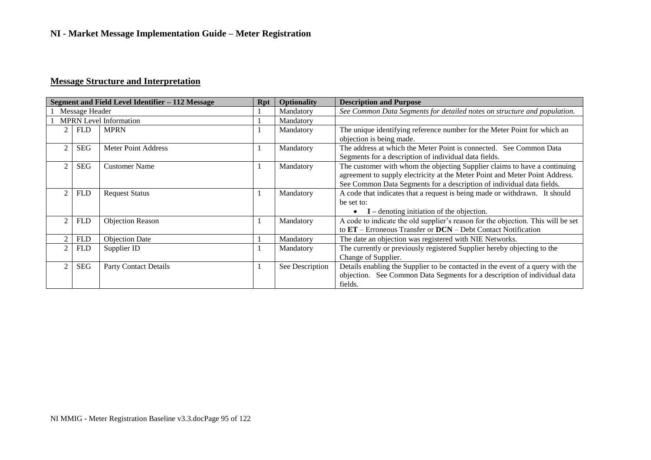## **Message Structure and Interpretation**

|                |            | Segment and Field Level Identifier - 112 Message | Rpt | <b>Optionality</b> | <b>Description and Purpose</b>                                                   |
|----------------|------------|--------------------------------------------------|-----|--------------------|----------------------------------------------------------------------------------|
| Message Header |            |                                                  |     | Mandatory          | See Common Data Segments for detailed notes on structure and population.         |
|                |            | <b>MPRN</b> Level Information                    |     | Mandatory          |                                                                                  |
|                | <b>FLD</b> | <b>MPRN</b>                                      |     | Mandatory          | The unique identifying reference number for the Meter Point for which an         |
|                |            |                                                  |     |                    | objection is being made.                                                         |
|                | <b>SEG</b> | Meter Point Address                              |     | Mandatory          | The address at which the Meter Point is connected. See Common Data               |
|                |            |                                                  |     |                    | Segments for a description of individual data fields.                            |
|                | <b>SEG</b> | <b>Customer Name</b>                             |     | Mandatory          | The customer with whom the objecting Supplier claims to have a continuing        |
|                |            |                                                  |     |                    | agreement to supply electricity at the Meter Point and Meter Point Address.      |
|                |            |                                                  |     |                    | See Common Data Segments for a description of individual data fields.            |
|                | <b>FLD</b> | <b>Request Status</b>                            |     | Mandatory          | A code that indicates that a request is being made or withdrawn. It should       |
|                |            |                                                  |     |                    | be set to:                                                                       |
|                |            |                                                  |     |                    | $I$ – denoting initiation of the objection.                                      |
|                | <b>FLD</b> | <b>Objection Reason</b>                          |     | Mandatory          | A code to indicate the old supplier's reason for the objection. This will be set |
|                |            |                                                  |     |                    | to ET – Erroneous Transfer or DCN – Debt Contact Notification                    |
|                | <b>FLD</b> | <b>Objection Date</b>                            |     | Mandatory          | The date an objection was registered with NIE Networks.                          |
|                | <b>FLD</b> | Supplier ID                                      |     | Mandatory          | The currently or previously registered Supplier hereby objecting to the          |
|                |            |                                                  |     |                    | Change of Supplier.                                                              |
|                | <b>SEG</b> | <b>Party Contact Details</b>                     |     | See Description    | Details enabling the Supplier to be contacted in the event of a query with the   |
|                |            |                                                  |     |                    | objection. See Common Data Segments for a description of individual data         |
|                |            |                                                  |     |                    | fields.                                                                          |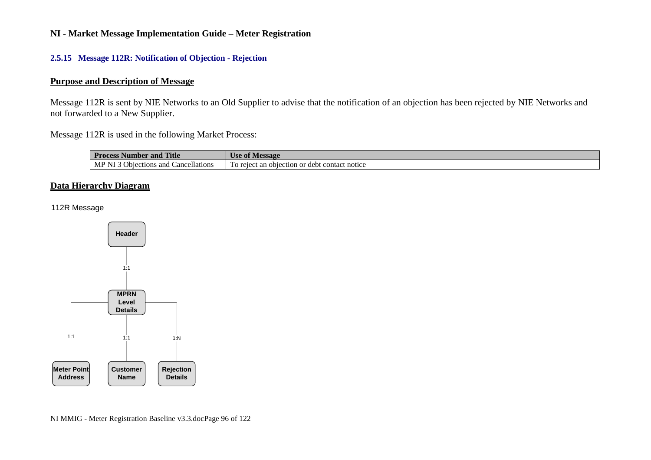### **2.5.15 Message 112R: Notification of Objection - Rejection**

## **Purpose and Description of Message**

Message 112R is sent by NIE Networks to an Old Supplier to advise that the notification of an objection has been rejected by NIE Networks and not forwarded to a New Supplier.

Message 112R is used in the following Market Process:

| Title                                                | $\mathbf{r}$                                                    |  |  |  |  |
|------------------------------------------------------|-----------------------------------------------------------------|--|--|--|--|
| <b>Process</b>                                       | ` 01                                                            |  |  |  |  |
| and                                                  | .Jse                                                            |  |  |  |  |
| rocess Number                                        | <b>Message</b>                                                  |  |  |  |  |
| MP<br>Cancellations<br>$O$ biections<br>and<br>' 1 L | -<br>contact notice<br>rejec<br>objection<br>an<br>debt<br>. or |  |  |  |  |

### **Data Hierarchy Diagram**

#### 112R Message

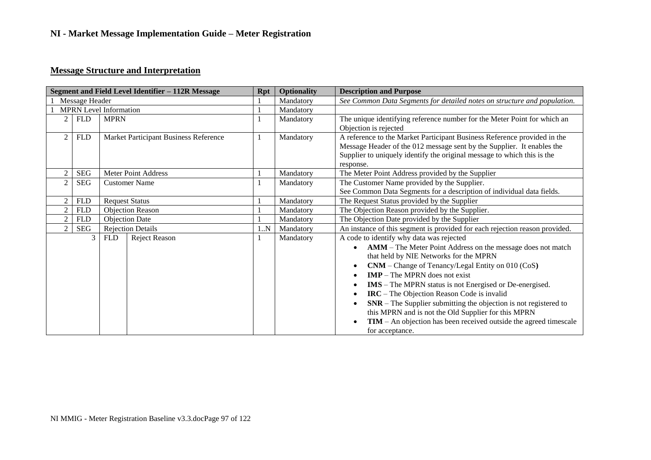## **Message Structure and Interpretation**

| Segment and Field Level Identifier - 112R Message |             |                             |                                       |           | <b>Optionality</b>                                                       | <b>Description and Purpose</b>                                              |
|---------------------------------------------------|-------------|-----------------------------|---------------------------------------|-----------|--------------------------------------------------------------------------|-----------------------------------------------------------------------------|
| Message Header                                    |             |                             |                                       | Mandatory | See Common Data Segments for detailed notes on structure and population. |                                                                             |
| <b>MPRN</b> Level Information                     |             |                             |                                       | Mandatory |                                                                          |                                                                             |
| $\overline{2}$                                    | ${\sf FLD}$ | <b>MPRN</b>                 |                                       |           | Mandatory                                                                | The unique identifying reference number for the Meter Point for which an    |
|                                                   |             |                             |                                       |           |                                                                          | Objection is rejected                                                       |
| $\overline{2}$                                    | <b>FLD</b>  |                             | Market Participant Business Reference |           | Mandatory                                                                | A reference to the Market Participant Business Reference provided in the    |
|                                                   |             |                             |                                       |           |                                                                          | Message Header of the 012 message sent by the Supplier. It enables the      |
|                                                   |             |                             |                                       |           |                                                                          | Supplier to uniquely identify the original message to which this is the     |
|                                                   |             |                             |                                       |           |                                                                          | response.                                                                   |
| $\overline{2}$                                    | <b>SEG</b>  |                             | <b>Meter Point Address</b>            |           | Mandatory                                                                | The Meter Point Address provided by the Supplier                            |
| $\overline{c}$                                    | <b>SEG</b>  |                             | <b>Customer Name</b>                  |           | Mandatory                                                                | The Customer Name provided by the Supplier.                                 |
|                                                   |             |                             |                                       |           |                                                                          | See Common Data Segments for a description of individual data fields.       |
| $\overline{c}$                                    | <b>FLD</b>  | <b>Request Status</b>       |                                       |           | Mandatory                                                                | The Request Status provided by the Supplier                                 |
| $\overline{2}$                                    | <b>FLD</b>  |                             | <b>Objection Reason</b>               |           | Mandatory                                                                | The Objection Reason provided by the Supplier.                              |
| $\overline{2}$                                    | <b>FLD</b>  | <b>Objection Date</b>       |                                       |           | Mandatory                                                                | The Objection Date provided by the Supplier                                 |
| $\overline{2}$                                    | <b>SEG</b>  | <b>Rejection Details</b>    |                                       | 1N        | Mandatory                                                                | An instance of this segment is provided for each rejection reason provided. |
|                                                   | 3           | <b>FLD</b><br>Reject Reason |                                       |           | Mandatory                                                                | A code to identify why data was rejected                                    |
|                                                   |             |                             |                                       |           |                                                                          | AMM - The Meter Point Address on the message does not match                 |
|                                                   |             |                             |                                       |           |                                                                          | that held by NIE Networks for the MPRN                                      |
|                                                   |             |                             |                                       |           |                                                                          | CNM - Change of Tenancy/Legal Entity on 010 (CoS)                           |
|                                                   |             |                             |                                       |           |                                                                          | $IMP$ – The MPRN does not exist                                             |
|                                                   |             |                             |                                       |           |                                                                          | <b>IMS</b> – The MPRN status is not Energised or De-energised.              |
|                                                   |             |                             |                                       |           |                                                                          | <b>IRC</b> – The Objection Reason Code is invalid                           |
|                                                   |             |                             |                                       |           |                                                                          | $SNR$ – The Supplier submitting the objection is not registered to          |
|                                                   |             |                             |                                       |           |                                                                          | this MPRN and is not the Old Supplier for this MPRN                         |
|                                                   |             |                             |                                       |           |                                                                          | $TIM - An$ objection has been received outside the agreed timescale         |
|                                                   |             |                             |                                       |           |                                                                          | for acceptance.                                                             |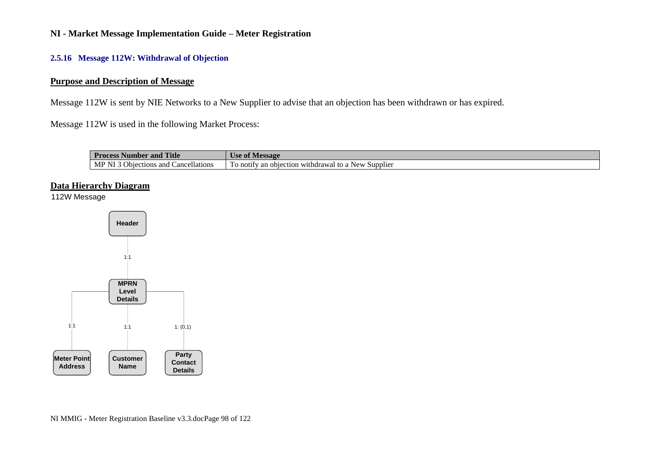#### **2.5.16 Message 112W: Withdrawal of Objection**

## **Purpose and Description of Message**

Message 112W is sent by NIE Networks to a New Supplier to advise that an objection has been withdrawn or has expired.

Message 112W is used in the following Market Process:

| 'Title<br>D.<br>and<br>.00000<br>Number<br><b>500</b> | essa 20                                                                                 |
|-------------------------------------------------------|-----------------------------------------------------------------------------------------|
| Objections.<br>N<br>MP<br>- -<br>Cancellations<br>and | Supplier<br>` withdrawa.<br>rv an<br>ct10n<br>obie<br>notii<br>$\sim$ to a<br>New.<br>. |

### **Data Hierarchy Diagram**

112W Message

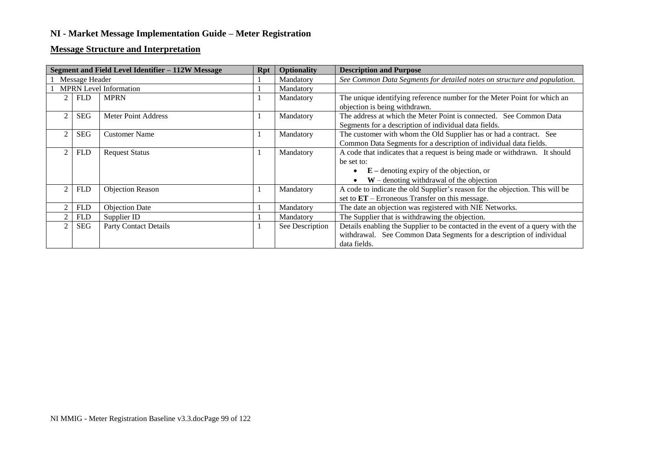## **Message Structure and Interpretation**

| Segment and Field Level Identifier - 112W Message |            |                               | <b>Rpt</b> | <b>Optionality</b> | <b>Description and Purpose</b>                                                                                                                                                       |
|---------------------------------------------------|------------|-------------------------------|------------|--------------------|--------------------------------------------------------------------------------------------------------------------------------------------------------------------------------------|
| Message Header                                    |            |                               |            | Mandatory          | See Common Data Segments for detailed notes on structure and population.                                                                                                             |
|                                                   |            | <b>MPRN</b> Level Information |            | Mandatory          |                                                                                                                                                                                      |
|                                                   | <b>FLD</b> | <b>MPRN</b>                   |            | Mandatory          | The unique identifying reference number for the Meter Point for which an<br>objection is being withdrawn.                                                                            |
|                                                   | SEG        | Meter Point Address           |            | Mandatory          | The address at which the Meter Point is connected. See Common Data<br>Segments for a description of individual data fields.                                                          |
|                                                   | <b>SEG</b> | <b>Customer Name</b>          |            | Mandatory          | The customer with whom the Old Supplier has or had a contract. See<br>Common Data Segments for a description of individual data fields.                                              |
|                                                   | <b>FLD</b> | <b>Request Status</b>         |            | Mandatory          | A code that indicates that a request is being made or withdrawn. It should<br>be set to:<br>$E$ – denoting expiry of the objection, or<br>$W$ – denoting withdrawal of the objection |
|                                                   | <b>FLD</b> | Objection Reason              |            | Mandatory          | A code to indicate the old Supplier's reason for the objection. This will be<br>set to $ET$ – Erroneous Transfer on this message.                                                    |
|                                                   | <b>FLD</b> | <b>Objection Date</b>         |            | Mandatory          | The date an objection was registered with NIE Networks.                                                                                                                              |
|                                                   | <b>FLD</b> | Supplier ID                   |            | Mandatory          | The Supplier that is withdrawing the objection.                                                                                                                                      |
|                                                   | SEG        | <b>Party Contact Details</b>  |            | See Description    | Details enabling the Supplier to be contacted in the event of a query with the<br>withdrawal. See Common Data Segments for a description of individual<br>data fields.               |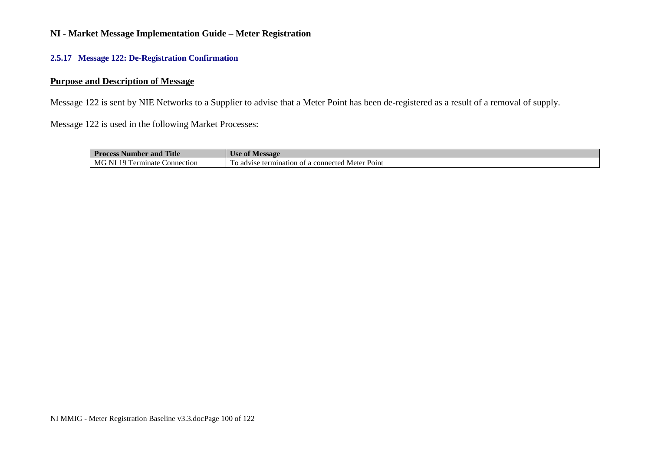## **2.5.17 Message 122: De-Registration Confirmation**

## **Purpose and Description of Message**

Message 122 is sent by NIE Networks to a Supplier to advise that a Meter Point has been de-registered as a result of a removal of supply.

Message 122 is used in the following Market Processes:

| <b>Process Number</b><br><b>Title</b><br>and | Use of Message                                                                  |  |  |  |  |
|----------------------------------------------|---------------------------------------------------------------------------------|--|--|--|--|
| i NI<br>MG<br>Connection<br>Terminate        | $\mathbf{r}$<br>etermination<br>Point<br>a connected Meter .<br>To advise<br>ОT |  |  |  |  |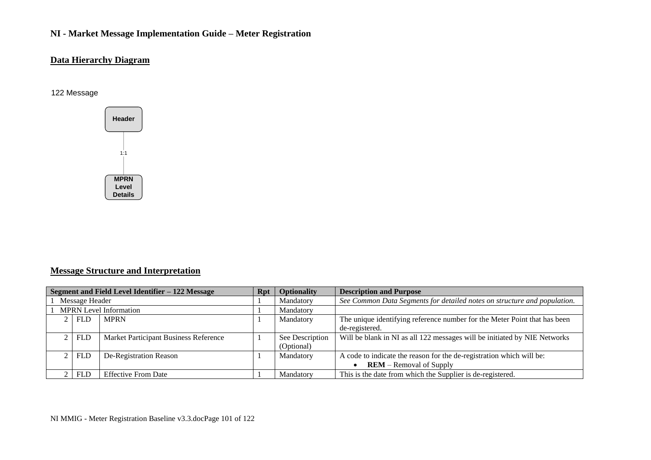## **Data Hierarchy Diagram**

#### 122 Message



## **Message Structure and Interpretation**

| Segment and Field Level Identifier - 122 Message |            |                                       | Rpt | <b>Optionality</b> | <b>Description and Purpose</b>                                            |
|--------------------------------------------------|------------|---------------------------------------|-----|--------------------|---------------------------------------------------------------------------|
| Message Header                                   |            |                                       |     | Mandatory          | See Common Data Segments for detailed notes on structure and population.  |
|                                                  |            | <b>MPRN</b> Level Information         |     | Mandatory          |                                                                           |
|                                                  | <b>FLD</b> | <b>MPRN</b>                           |     | Mandatory          | The unique identifying reference number for the Meter Point that has been |
|                                                  |            |                                       |     |                    | de-registered.                                                            |
|                                                  | <b>FLD</b> | Market Participant Business Reference |     | See Description    | Will be blank in NI as all 122 messages will be initiated by NIE Networks |
|                                                  |            |                                       |     | (Optional)         |                                                                           |
|                                                  | <b>FLD</b> | De-Registration Reason                |     | Mandatory          | A code to indicate the reason for the de-registration which will be:      |
|                                                  |            |                                       |     |                    | $REM$ – Removal of Supply                                                 |
|                                                  | <b>FLD</b> | <b>Effective From Date</b>            |     | Mandatory          | This is the date from which the Supplier is de-registered.                |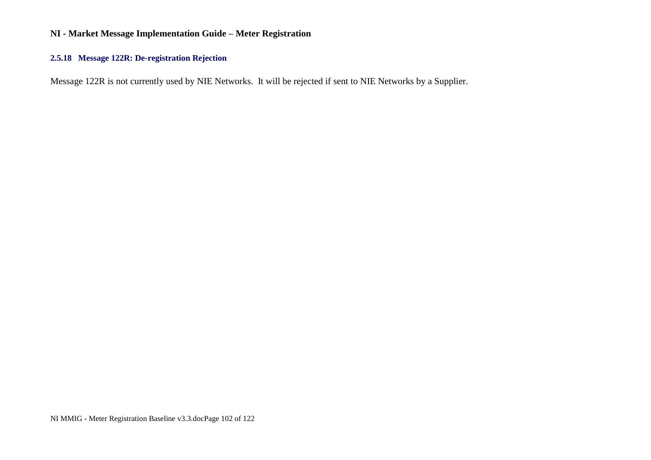## **2.5.18 Message 122R: De-registration Rejection**

Message 122R is not currently used by NIE Networks. It will be rejected if sent to NIE Networks by a Supplier.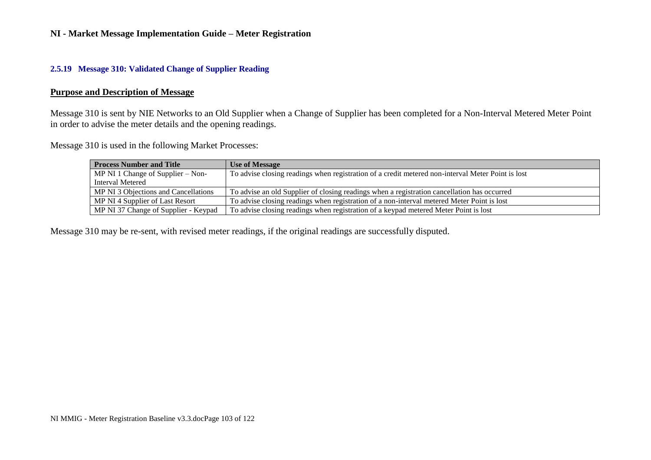### **2.5.19 Message 310: Validated Change of Supplier Reading**

#### **Purpose and Description of Message**

Message 310 is sent by NIE Networks to an Old Supplier when a Change of Supplier has been completed for a Non-Interval Metered Meter Point in order to advise the meter details and the opening readings.

Message 310 is used in the following Market Processes:

| <b>Process Number and Title</b>      | <b>Use of Message</b>                                                                             |
|--------------------------------------|---------------------------------------------------------------------------------------------------|
| MP NI 1 Change of Supplier $-$ Non-  | To advise closing readings when registration of a credit metered non-interval Meter Point is lost |
| Interval Metered                     |                                                                                                   |
| MP NI 3 Objections and Cancellations | To advise an old Supplier of closing readings when a registration cancellation has occurred       |
| MP NI 4 Supplier of Last Resort      | To advise closing readings when registration of a non-interval metered Meter Point is lost        |
| MP NI 37 Change of Supplier - Keypad | To advise closing readings when registration of a keypad metered Meter Point is lost              |

Message 310 may be re-sent, with revised meter readings, if the original readings are successfully disputed.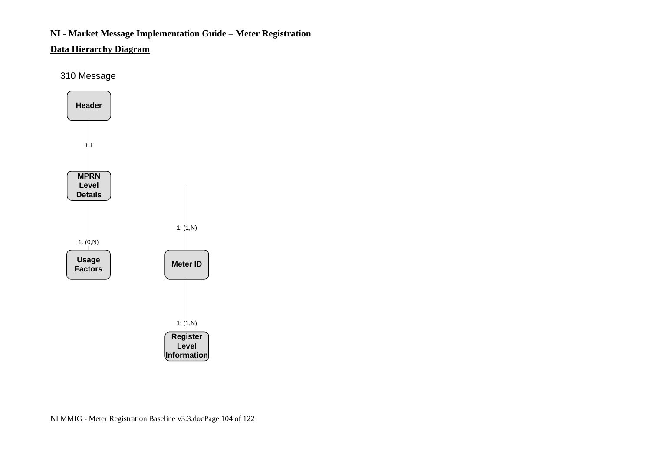## **Data Hierarchy Diagram**

310 Message

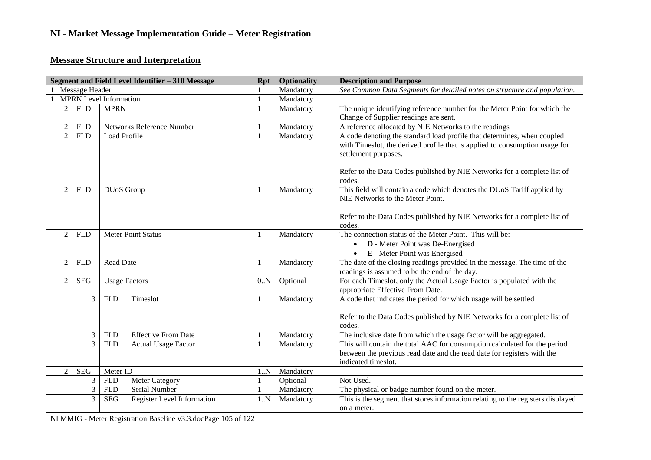## **Message Structure and Interpretation**

| Segment and Field Level Identifier - 310 Message |                 |                               |                            |              | <b>Optionality</b>                                                                 | <b>Description and Purpose</b>                                                                                                                                                 |
|--------------------------------------------------|-----------------|-------------------------------|----------------------------|--------------|------------------------------------------------------------------------------------|--------------------------------------------------------------------------------------------------------------------------------------------------------------------------------|
| Message Header                                   |                 |                               |                            |              | Mandatory                                                                          | See Common Data Segments for detailed notes on structure and population.                                                                                                       |
|                                                  |                 | <b>MPRN</b> Level Information |                            |              | Mandatory                                                                          |                                                                                                                                                                                |
| 2                                                | <b>FLD</b>      | <b>MPRN</b>                   |                            | -1           | Mandatory                                                                          | The unique identifying reference number for the Meter Point for which the                                                                                                      |
|                                                  |                 |                               |                            |              |                                                                                    | Change of Supplier readings are sent.                                                                                                                                          |
| $\overline{c}$                                   | <b>FLD</b>      |                               | Networks Reference Number  |              | Mandatory                                                                          | A reference allocated by NIE Networks to the readings                                                                                                                          |
| $\overline{2}$                                   | <b>FLD</b>      | Load Profile                  |                            |              | Mandatory                                                                          | A code denoting the standard load profile that determines, when coupled<br>with Timeslot, the derived profile that is applied to consumption usage for<br>settlement purposes. |
|                                                  |                 |                               |                            |              |                                                                                    | Refer to the Data Codes published by NIE Networks for a complete list of<br>codes.                                                                                             |
| $\overline{2}$                                   | <b>FLD</b>      | DUoS Group                    |                            | 1            | Mandatory                                                                          | This field will contain a code which denotes the DUoS Tariff applied by<br>NIE Networks to the Meter Point.                                                                    |
|                                                  |                 |                               |                            |              | Refer to the Data Codes published by NIE Networks for a complete list of<br>codes. |                                                                                                                                                                                |
| $\overline{2}$                                   | <b>FLD</b>      |                               | <b>Meter Point Status</b>  | 1            | Mandatory                                                                          | The connection status of the Meter Point. This will be:                                                                                                                        |
|                                                  |                 |                               |                            |              |                                                                                    | D - Meter Point was De-Energised                                                                                                                                               |
|                                                  |                 |                               |                            |              |                                                                                    | $\bullet$ <b>E</b> - Meter Point was Energised                                                                                                                                 |
| $\overline{2}$                                   | <b>FLD</b>      | <b>Read Date</b>              |                            | 1            | Mandatory                                                                          | The date of the closing readings provided in the message. The time of the<br>readings is assumed to be the end of the day.                                                     |
| $\overline{c}$                                   | <b>SEG</b>      | <b>Usage Factors</b>          |                            | 0.N          | Optional                                                                           | For each Timeslot, only the Actual Usage Factor is populated with the<br>appropriate Effective From Date.                                                                      |
|                                                  | 3               | <b>FLD</b>                    | Timeslot                   | 1            | Mandatory                                                                          | A code that indicates the period for which usage will be settled                                                                                                               |
|                                                  |                 |                               |                            |              |                                                                                    | Refer to the Data Codes published by NIE Networks for a complete list of<br>codes.                                                                                             |
|                                                  | 3               | <b>FLD</b>                    | <b>Effective From Date</b> |              | Mandatory                                                                          | The inclusive date from which the usage factor will be aggregated.                                                                                                             |
| 3                                                |                 | <b>FLD</b>                    | <b>Actual Usage Factor</b> | 1            | Mandatory                                                                          | This will contain the total AAC for consumption calculated for the period                                                                                                      |
|                                                  |                 |                               |                            |              |                                                                                    | between the previous read date and the read date for registers with the<br>indicated timeslot.                                                                                 |
| $\rm SEG$<br>$\overline{2}$                      |                 | Meter ID                      |                            | 1.N          | Mandatory                                                                          |                                                                                                                                                                                |
|                                                  | 3               | <b>FLD</b>                    | <b>Meter Category</b>      |              | Optional                                                                           | Not Used.                                                                                                                                                                      |
|                                                  | 3               | <b>FLD</b>                    | Serial Number              | $\mathbf{1}$ | Mandatory                                                                          | The physical or badge number found on the meter.                                                                                                                               |
|                                                  | 3<br><b>SEG</b> |                               | Register Level Information | 1N           | Mandatory                                                                          | This is the segment that stores information relating to the registers displayed<br>on a meter.                                                                                 |

NI MMIG - Meter Registration Baseline v3.3.docPage 105 of 122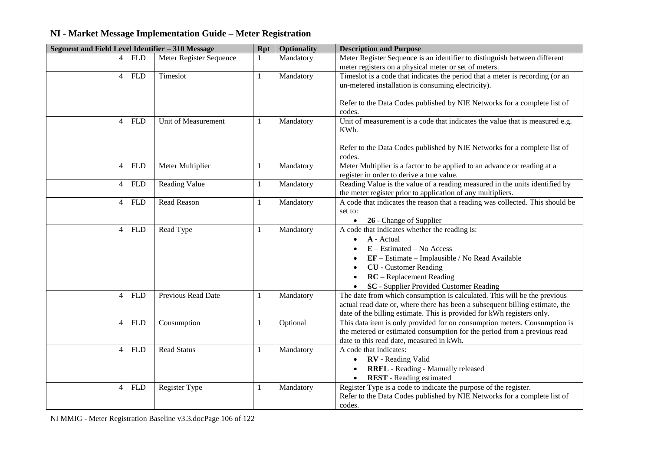| Segment and Field Level Identifier - 310 Message |            |                         |              | <b>Optionality</b><br><b>Rpt</b> | <b>Description and Purpose</b>                                                                                                                                                                                                                                    |
|--------------------------------------------------|------------|-------------------------|--------------|----------------------------------|-------------------------------------------------------------------------------------------------------------------------------------------------------------------------------------------------------------------------------------------------------------------|
|                                                  | <b>FLD</b> | Meter Register Sequence | 1            | Mandatory                        | Meter Register Sequence is an identifier to distinguish between different                                                                                                                                                                                         |
|                                                  |            |                         |              |                                  | meter registers on a physical meter or set of meters.                                                                                                                                                                                                             |
| $\overline{4}$                                   | <b>FLD</b> | Timeslot                | 1            | Mandatory                        | Timeslot is a code that indicates the period that a meter is recording (or an<br>un-metered installation is consuming electricity).                                                                                                                               |
|                                                  |            |                         |              |                                  | Refer to the Data Codes published by NIE Networks for a complete list of<br>codes.                                                                                                                                                                                |
| $\overline{4}$                                   | <b>FLD</b> | Unit of Measurement     | 1            | Mandatory                        | Unit of measurement is a code that indicates the value that is measured e.g.<br>KWh.                                                                                                                                                                              |
|                                                  |            |                         |              |                                  | Refer to the Data Codes published by NIE Networks for a complete list of<br>codes.                                                                                                                                                                                |
| $\overline{4}$                                   | <b>FLD</b> | Meter Multiplier        | 1            | Mandatory                        | Meter Multiplier is a factor to be applied to an advance or reading at a<br>register in order to derive a true value.                                                                                                                                             |
| $\overline{4}$                                   | <b>FLD</b> | Reading Value           | 1            | Mandatory                        | Reading Value is the value of a reading measured in the units identified by<br>the meter register prior to application of any multipliers.                                                                                                                        |
| 4                                                | <b>FLD</b> | Read Reason             |              | Mandatory                        | A code that indicates the reason that a reading was collected. This should be<br>set to:<br>26 - Change of Supplier                                                                                                                                               |
| $\overline{4}$                                   | <b>FLD</b> | Read Type               |              | Mandatory                        | A code that indicates whether the reading is:<br>A - Actual<br>$\bullet$<br>$E$ – Estimated – No Access<br>EF - Estimate - Implausible / No Read Available<br><b>CU</b> - Customer Reading<br>RC - Replacement Reading<br>SC - Supplier Provided Customer Reading |
| $\overline{4}$                                   | <b>FLD</b> | Previous Read Date      | $\mathbf{1}$ | Mandatory                        | The date from which consumption is calculated. This will be the previous<br>actual read date or, where there has been a subsequent billing estimate, the<br>date of the billing estimate. This is provided for kWh registers only.                                |
| $\overline{4}$                                   | <b>FLD</b> | Consumption             |              | Optional                         | This data item is only provided for on consumption meters. Consumption is<br>the metered or estimated consumption for the period from a previous read<br>date to this read date, measured in kWh.                                                                 |
| $\overline{4}$                                   | <b>FLD</b> | <b>Read Status</b>      | 1            | Mandatory                        | A code that indicates:<br><b>RV</b> - Reading Valid<br><b>RREL</b> - Reading - Manually released<br><b>REST</b> - Reading estimated                                                                                                                               |
| $\overline{4}$                                   | <b>FLD</b> | Register Type           | 1            | Mandatory                        | Register Type is a code to indicate the purpose of the register.<br>Refer to the Data Codes published by NIE Networks for a complete list of<br>codes.                                                                                                            |

NI MMIG - Meter Registration Baseline v3.3.docPage 106 of 122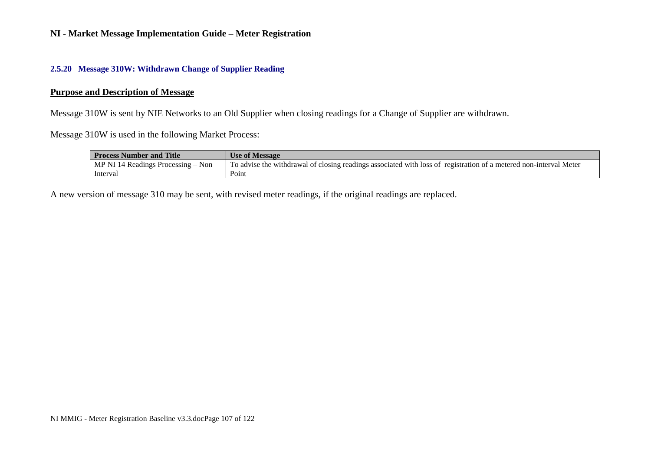#### **2.5.20 Message 310W: Withdrawn Change of Supplier Reading**

## **Purpose and Description of Message**

Message 310W is sent by NIE Networks to an Old Supplier when closing readings for a Change of Supplier are withdrawn.

Message 310W is used in the following Market Process:

| <b>Process Number and Title</b>    | <b>Use of Message</b>                                                                                             |
|------------------------------------|-------------------------------------------------------------------------------------------------------------------|
| MP NI 14 Readings Processing – Non | To advise the withdrawal of closing readings associated with loss of registration of a metered non-interval Meter |
| Interval                           | Point                                                                                                             |

A new version of message 310 may be sent, with revised meter readings, if the original readings are replaced.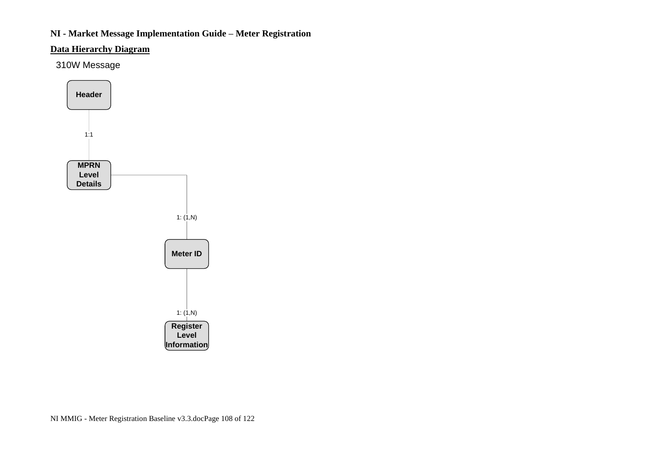## **Data Hierarchy Diagram**

310W Message

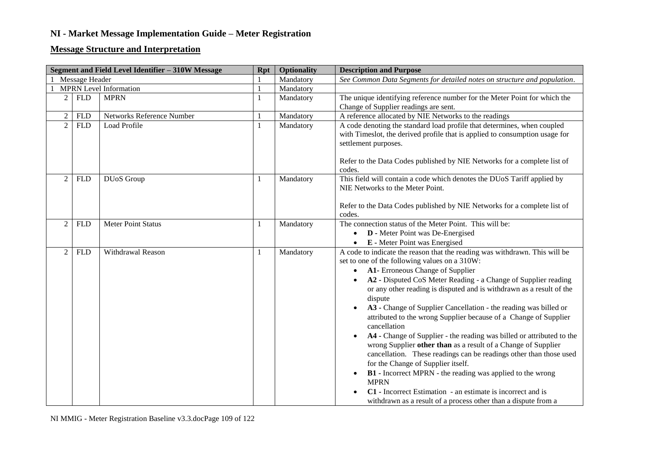## **Message Structure and Interpretation**

| Segment and Field Level Identifier - 310W Message |                |                               |   | <b>Optionality</b> | <b>Description and Purpose</b>                                              |
|---------------------------------------------------|----------------|-------------------------------|---|--------------------|-----------------------------------------------------------------------------|
|                                                   | Message Header |                               |   | Mandatory          | See Common Data Segments for detailed notes on structure and population.    |
|                                                   |                | <b>MPRN</b> Level Information |   | Mandatory          |                                                                             |
| 2                                                 | <b>FLD</b>     | <b>MPRN</b>                   |   | Mandatory          | The unique identifying reference number for the Meter Point for which the   |
|                                                   |                |                               |   |                    | Change of Supplier readings are sent.                                       |
| $\overline{2}$                                    | <b>FLD</b>     | Networks Reference Number     |   | Mandatory          | A reference allocated by NIE Networks to the readings                       |
| $\overline{2}$                                    | <b>FLD</b>     | Load Profile                  | 1 | Mandatory          | A code denoting the standard load profile that determines, when coupled     |
|                                                   |                |                               |   |                    | with Timeslot, the derived profile that is applied to consumption usage for |
|                                                   |                |                               |   |                    | settlement purposes.                                                        |
|                                                   |                |                               |   |                    |                                                                             |
|                                                   |                |                               |   |                    | Refer to the Data Codes published by NIE Networks for a complete list of    |
|                                                   |                |                               |   |                    | codes.                                                                      |
| $\overline{2}$                                    | <b>FLD</b>     | DUoS Group                    |   | Mandatory          | This field will contain a code which denotes the DUoS Tariff applied by     |
|                                                   |                |                               |   |                    | NIE Networks to the Meter Point.                                            |
|                                                   |                |                               |   |                    | Refer to the Data Codes published by NIE Networks for a complete list of    |
|                                                   |                |                               |   |                    | codes.                                                                      |
| $\overline{2}$                                    | <b>FLD</b>     | <b>Meter Point Status</b>     | 1 | Mandatory          | The connection status of the Meter Point. This will be:                     |
|                                                   |                |                               |   |                    | • <b>D</b> - Meter Point was De-Energised                                   |
|                                                   |                |                               |   |                    | $\bullet$ <b>E</b> - Meter Point was Energised                              |
| $\mathcal{D}$                                     | <b>FLD</b>     | Withdrawal Reason             | 1 | Mandatory          | A code to indicate the reason that the reading was withdrawn. This will be  |
|                                                   |                |                               |   |                    | set to one of the following values on a 310W:                               |
|                                                   |                |                               |   |                    | A1- Erroneous Change of Supplier                                            |
|                                                   |                |                               |   |                    | A2 - Disputed CoS Meter Reading - a Change of Supplier reading              |
|                                                   |                |                               |   |                    | or any other reading is disputed and is withdrawn as a result of the        |
|                                                   |                |                               |   |                    | dispute                                                                     |
|                                                   |                |                               |   |                    | A3 - Change of Supplier Cancellation - the reading was billed or            |
|                                                   |                |                               |   |                    | attributed to the wrong Supplier because of a Change of Supplier            |
|                                                   |                |                               |   |                    | cancellation                                                                |
|                                                   |                |                               |   |                    | A4 - Change of Supplier - the reading was billed or attributed to the       |
|                                                   |                |                               |   |                    | wrong Supplier other than as a result of a Change of Supplier               |
|                                                   |                |                               |   |                    | cancellation. These readings can be readings other than those used          |
|                                                   |                |                               |   |                    | for the Change of Supplier itself.                                          |
|                                                   |                |                               |   |                    | <b>B1</b> - Incorrect MPRN - the reading was applied to the wrong<br>٠      |
|                                                   |                |                               |   |                    | <b>MPRN</b>                                                                 |
|                                                   |                |                               |   |                    | C1 - Incorrect Estimation - an estimate is incorrect and is                 |
|                                                   |                |                               |   |                    | withdrawn as a result of a process other than a dispute from a              |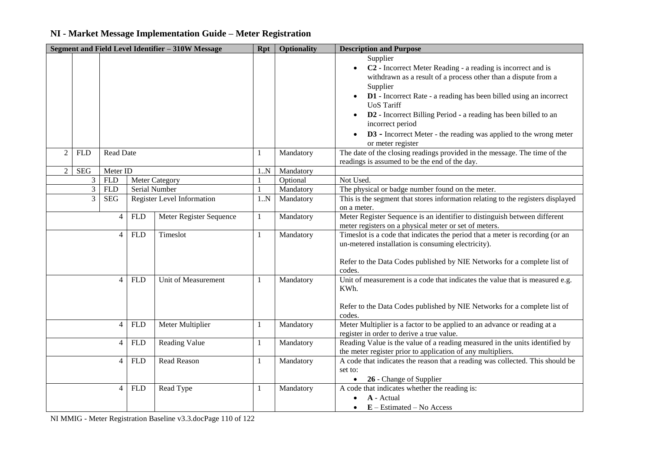| Segment and Field Level Identifier - 310W Message |                |                |            |                            | <b>Rpt</b>   | <b>Optionality</b> | <b>Description and Purpose</b>                                                                                                                                                                                                                                                                                                                                                                                                                 |
|---------------------------------------------------|----------------|----------------|------------|----------------------------|--------------|--------------------|------------------------------------------------------------------------------------------------------------------------------------------------------------------------------------------------------------------------------------------------------------------------------------------------------------------------------------------------------------------------------------------------------------------------------------------------|
|                                                   |                |                |            |                            |              |                    | Supplier<br>C <sub>2</sub> - Incorrect Meter Reading - a reading is incorrect and is<br>withdrawn as a result of a process other than a dispute from a<br>Supplier<br>D1 - Incorrect Rate - a reading has been billed using an incorrect<br><b>UoS</b> Tariff<br>D2 - Incorrect Billing Period - a reading has been billed to an<br>incorrect period<br>D3 - Incorrect Meter - the reading was applied to the wrong meter<br>or meter register |
| 2                                                 | <b>FLD</b>     | Read Date      |            |                            | 1            | Mandatory          | The date of the closing readings provided in the message. The time of the<br>readings is assumed to be the end of the day.                                                                                                                                                                                                                                                                                                                     |
| 2                                                 | <b>SEG</b>     | Meter ID       |            |                            | 1N           | Mandatory          |                                                                                                                                                                                                                                                                                                                                                                                                                                                |
|                                                   | $\mathfrak{Z}$ | <b>FLD</b>     |            | <b>Meter Category</b>      |              | Optional           | Not Used.                                                                                                                                                                                                                                                                                                                                                                                                                                      |
|                                                   | $\mathfrak{Z}$ | <b>FLD</b>     |            | Serial Number              |              | Mandatory          | The physical or badge number found on the meter.                                                                                                                                                                                                                                                                                                                                                                                               |
|                                                   | 3              | <b>SEG</b>     |            | Register Level Information | 1.N          | Mandatory          | This is the segment that stores information relating to the registers displayed<br>on a meter.                                                                                                                                                                                                                                                                                                                                                 |
|                                                   |                | $\overline{4}$ | <b>FLD</b> | Meter Register Sequence    | 1            | Mandatory          | Meter Register Sequence is an identifier to distinguish between different<br>meter registers on a physical meter or set of meters.                                                                                                                                                                                                                                                                                                             |
|                                                   |                | $\overline{4}$ | <b>FLD</b> | Timeslot                   | $\mathbf{1}$ | Mandatory          | Timeslot is a code that indicates the period that a meter is recording (or an<br>un-metered installation is consuming electricity).<br>Refer to the Data Codes published by NIE Networks for a complete list of<br>codes.                                                                                                                                                                                                                      |
|                                                   | $\overline{4}$ |                | <b>FLD</b> | Unit of Measurement        |              | Mandatory          | Unit of measurement is a code that indicates the value that is measured e.g.<br>KWh.<br>Refer to the Data Codes published by NIE Networks for a complete list of<br>codes.                                                                                                                                                                                                                                                                     |
|                                                   |                | $\overline{4}$ | <b>FLD</b> | Meter Multiplier           | 1            | Mandatory          | Meter Multiplier is a factor to be applied to an advance or reading at a<br>register in order to derive a true value.                                                                                                                                                                                                                                                                                                                          |
|                                                   |                | $\overline{4}$ | <b>FLD</b> | Reading Value              | 1            | Mandatory          | Reading Value is the value of a reading measured in the units identified by<br>the meter register prior to application of any multipliers.                                                                                                                                                                                                                                                                                                     |
|                                                   | $\overline{4}$ |                | <b>FLD</b> | Read Reason                | $\mathbf{1}$ | Mandatory          | A code that indicates the reason that a reading was collected. This should be<br>set to:<br>26 - Change of Supplier                                                                                                                                                                                                                                                                                                                            |
|                                                   |                | $\overline{4}$ | <b>FLD</b> | Read Type                  | 1            | Mandatory          | A code that indicates whether the reading is:<br>A - Actual<br>$E - Estimated - No Access$                                                                                                                                                                                                                                                                                                                                                     |

NI MMIG - Meter Registration Baseline v3.3.docPage 110 of 122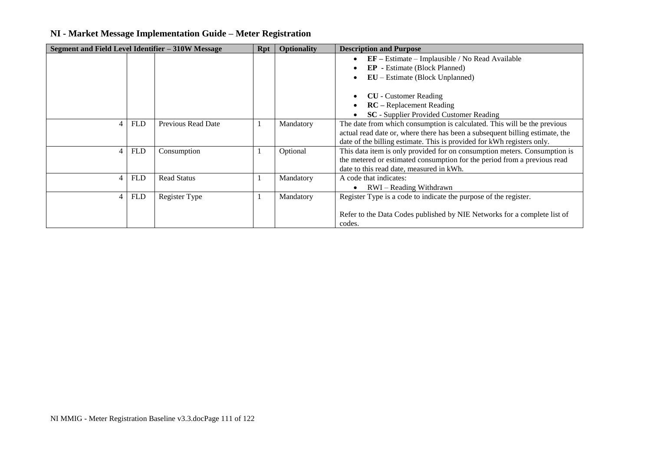|  | NI - Market Message Implementation Guide - Meter Registration |  |
|--|---------------------------------------------------------------|--|
|  |                                                               |  |

| Segment and Field Level Identifier - 310W Message |            |                    | <b>Rpt</b> | <b>Optionality</b> | <b>Description and Purpose</b>                                                                                                                           |
|---------------------------------------------------|------------|--------------------|------------|--------------------|----------------------------------------------------------------------------------------------------------------------------------------------------------|
|                                                   |            |                    |            |                    | EF - Estimate - Implausible / No Read Available                                                                                                          |
|                                                   |            |                    |            |                    | <b>EP</b> - Estimate (Block Planned)                                                                                                                     |
|                                                   |            |                    |            |                    | $EU$ – Estimate (Block Unplanned)                                                                                                                        |
|                                                   |            |                    |            |                    | <b>CU</b> - Customer Reading<br>$RC - Replacement Reading$                                                                                               |
|                                                   |            |                    |            |                    | <b>SC</b> - Supplier Provided Customer Reading                                                                                                           |
| 4                                                 | <b>FLD</b> | Previous Read Date |            | Mandatory          | The date from which consumption is calculated. This will be the previous<br>actual read date or, where there has been a subsequent billing estimate, the |
|                                                   |            |                    |            |                    | date of the billing estimate. This is provided for kWh registers only.                                                                                   |
| $\overline{4}$                                    | <b>FLD</b> | Consumption        |            | Optional           | This data item is only provided for on consumption meters. Consumption is                                                                                |
|                                                   |            |                    |            |                    | the metered or estimated consumption for the period from a previous read                                                                                 |
|                                                   |            |                    |            |                    | date to this read date, measured in kWh.                                                                                                                 |
| 4                                                 | <b>FLD</b> | <b>Read Status</b> |            | Mandatory          | A code that indicates:                                                                                                                                   |
|                                                   |            |                    |            |                    | RWI – Reading Withdrawn                                                                                                                                  |
| $\overline{4}$                                    | <b>FLD</b> | Register Type      |            | Mandatory          | Register Type is a code to indicate the purpose of the register.                                                                                         |
|                                                   |            |                    |            |                    | Refer to the Data Codes published by NIE Networks for a complete list of<br>codes.                                                                       |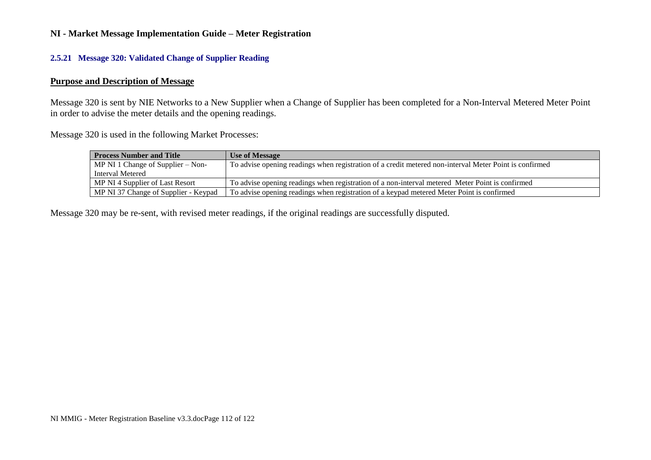#### **2.5.21 Message 320: Validated Change of Supplier Reading**

### **Purpose and Description of Message**

Message 320 is sent by NIE Networks to a New Supplier when a Change of Supplier has been completed for a Non-Interval Metered Meter Point in order to advise the meter details and the opening readings.

Message 320 is used in the following Market Processes:

| <b>Process Number and Title</b>      | <b>Use of Message</b>                                                                                  |
|--------------------------------------|--------------------------------------------------------------------------------------------------------|
| MP NI 1 Change of Supplier $-$ Non-  | To advise opening readings when registration of a credit metered non-interval Meter Point is confirmed |
| Interval Metered                     |                                                                                                        |
| MP NI 4 Supplier of Last Resort      | To advise opening readings when registration of a non-interval metered Meter Point is confirmed        |
| MP NI 37 Change of Supplier - Keypad | To advise opening readings when registration of a keypad metered Meter Point is confirmed              |

Message 320 may be re-sent, with revised meter readings, if the original readings are successfully disputed.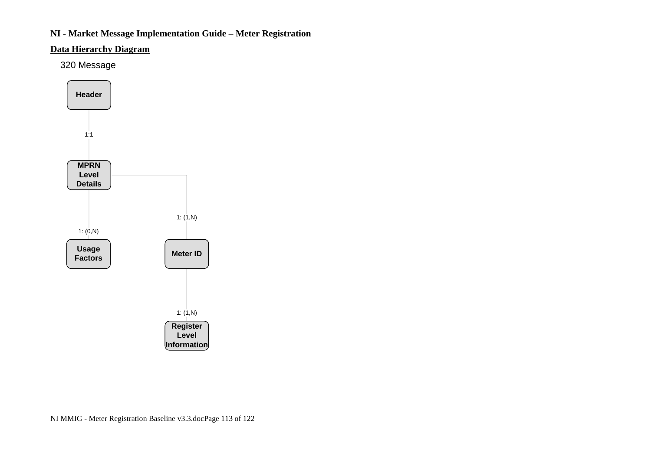### **Data Hierarchy Diagram**

320 Message

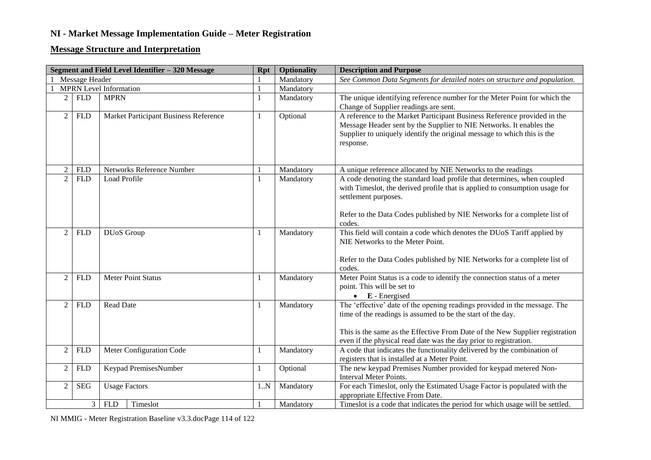## **Message Structure and Interpretation**

|                |                    | Segment and Field Level Identifier - 320 Message | <b>Rpt</b>   | <b>Optionality</b> | <b>Description and Purpose</b>                                                                                                                                                                                                                                                                |
|----------------|--------------------|--------------------------------------------------|--------------|--------------------|-----------------------------------------------------------------------------------------------------------------------------------------------------------------------------------------------------------------------------------------------------------------------------------------------|
|                | Message Header     |                                                  |              | Mandatory          | See Common Data Segments for detailed notes on structure and population.                                                                                                                                                                                                                      |
|                |                    | <b>MPRN</b> Level Information                    | $\mathbf{1}$ | Mandatory          |                                                                                                                                                                                                                                                                                               |
| $\overline{2}$ | <b>FLD</b>         | <b>MPRN</b>                                      | 1            | Mandatory          | The unique identifying reference number for the Meter Point for which the<br>Change of Supplier readings are sent.                                                                                                                                                                            |
| $\overline{c}$ | ${\hbox{\rm FLD}}$ | Market Participant Business Reference            | 1            | Optional           | A reference to the Market Participant Business Reference provided in the<br>Message Header sent by the Supplier to NIE Networks. It enables the<br>Supplier to uniquely identify the original message to which this is the<br>response.                                                       |
| $\overline{2}$ | <b>FLD</b>         | Networks Reference Number                        |              | Mandatory          | A unique reference allocated by NIE Networks to the readings                                                                                                                                                                                                                                  |
| $\overline{2}$ | <b>FLD</b>         | <b>Load Profile</b>                              | $\mathbf{1}$ | Mandatory          | A code denoting the standard load profile that determines, when coupled<br>with Timeslot, the derived profile that is applied to consumption usage for<br>settlement purposes.<br>Refer to the Data Codes published by NIE Networks for a complete list of<br>codes.                          |
| $\overline{2}$ | <b>FLD</b>         | DUoS Group                                       | 1            | Mandatory          | This field will contain a code which denotes the DUoS Tariff applied by<br>NIE Networks to the Meter Point.<br>Refer to the Data Codes published by NIE Networks for a complete list of<br>codes.                                                                                             |
| $\overline{2}$ | <b>FLD</b>         | <b>Meter Point Status</b>                        | 1            | Mandatory          | Meter Point Status is a code to identify the connection status of a meter<br>point. This will be set to<br>$\bullet$ <b>E</b> - Energised                                                                                                                                                     |
| $\overline{2}$ | <b>FLD</b>         | Read Date                                        | 1            | Mandatory          | The 'effective' date of the opening readings provided in the message. The<br>time of the readings is assumed to be the start of the day.<br>This is the same as the Effective From Date of the New Supplier registration<br>even if the physical read date was the day prior to registration. |
| $\mathfrak{2}$ | <b>FLD</b>         | Meter Configuration Code                         | 1            | Mandatory          | A code that indicates the functionality delivered by the combination of<br>registers that is installed at a Meter Point.                                                                                                                                                                      |
| $\overline{2}$ | <b>FLD</b>         | Keypad PremisesNumber                            | $\mathbf{1}$ | Optional           | The new keypad Premises Number provided for keypad metered Non-<br><b>Interval Meter Points.</b>                                                                                                                                                                                              |
| 2              | <b>SEG</b>         | <b>Usage Factors</b>                             | 1.N          | Mandatory          | For each Timeslot, only the Estimated Usage Factor is populated with the<br>appropriate Effective From Date.                                                                                                                                                                                  |
|                | $\mathfrak{Z}$     | <b>FLD</b><br>Timeslot                           |              | Mandatory          | Timeslot is a code that indicates the period for which usage will be settled.                                                                                                                                                                                                                 |

NI MMIG - Meter Registration Baseline v3.3.docPage 114 of 122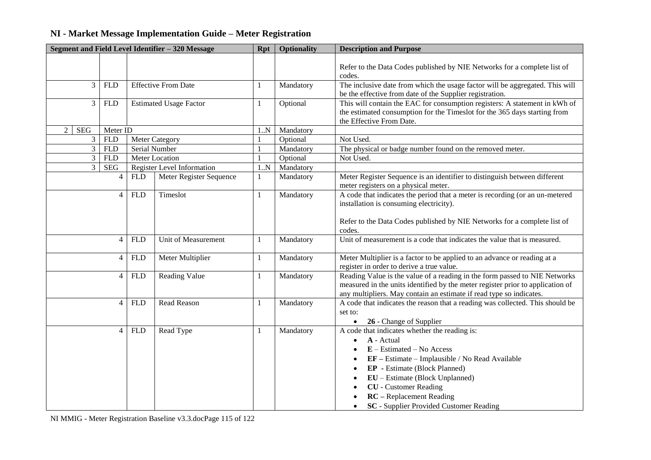| Segment and Field Level Identifier - 320 Message |                |            |                                   |              | <b>Optionality</b> | <b>Description and Purpose</b>                                                                                                                                                                                                                                                                                                                             |
|--------------------------------------------------|----------------|------------|-----------------------------------|--------------|--------------------|------------------------------------------------------------------------------------------------------------------------------------------------------------------------------------------------------------------------------------------------------------------------------------------------------------------------------------------------------------|
|                                                  |                |            |                                   |              |                    | Refer to the Data Codes published by NIE Networks for a complete list of<br>codes.                                                                                                                                                                                                                                                                         |
| 3                                                | <b>FLD</b>     |            | <b>Effective From Date</b>        | 1            | Mandatory          | The inclusive date from which the usage factor will be aggregated. This will<br>be the effective from date of the Supplier registration.                                                                                                                                                                                                                   |
| 3                                                | <b>FLD</b>     |            | <b>Estimated Usage Factor</b>     | 1            | Optional           | This will contain the EAC for consumption registers: A statement in kWh of<br>the estimated consumption for the Timeslot for the 365 days starting from<br>the Effective From Date.                                                                                                                                                                        |
| <b>SEG</b><br>2                                  | Meter ID       |            |                                   | 1N           | Mandatory          |                                                                                                                                                                                                                                                                                                                                                            |
| $\mathfrak{Z}$                                   | <b>FLD</b>     |            | <b>Meter Category</b>             |              | Optional           | Not Used.                                                                                                                                                                                                                                                                                                                                                  |
| $\overline{3}$                                   | <b>FLD</b>     |            | Serial Number                     |              | Mandatory          | The physical or badge number found on the removed meter.                                                                                                                                                                                                                                                                                                   |
| 3                                                | <b>FLD</b>     |            | Meter Location                    |              | Optional           | Not Used.                                                                                                                                                                                                                                                                                                                                                  |
| $\mathfrak{Z}$                                   | <b>SEG</b>     |            | <b>Register Level Information</b> | 1N           | Mandatory          |                                                                                                                                                                                                                                                                                                                                                            |
|                                                  | $\overline{4}$ | <b>FLD</b> | Meter Register Sequence           | 1            | Mandatory          | Meter Register Sequence is an identifier to distinguish between different<br>meter registers on a physical meter.                                                                                                                                                                                                                                          |
|                                                  | $\overline{4}$ | <b>FLD</b> | Timeslot                          | 1            | Mandatory          | A code that indicates the period that a meter is recording (or an un-metered<br>installation is consuming electricity).                                                                                                                                                                                                                                    |
|                                                  |                |            |                                   |              |                    | Refer to the Data Codes published by NIE Networks for a complete list of<br>codes.                                                                                                                                                                                                                                                                         |
|                                                  | $\overline{4}$ | <b>FLD</b> | Unit of Measurement               | 1            | Mandatory          | Unit of measurement is a code that indicates the value that is measured.                                                                                                                                                                                                                                                                                   |
|                                                  | $\overline{4}$ | <b>FLD</b> | Meter Multiplier                  | $\mathbf{1}$ | Mandatory          | Meter Multiplier is a factor to be applied to an advance or reading at a<br>register in order to derive a true value.                                                                                                                                                                                                                                      |
|                                                  | $\overline{4}$ | <b>FLD</b> | Reading Value                     | 1            | Mandatory          | Reading Value is the value of a reading in the form passed to NIE Networks<br>measured in the units identified by the meter register prior to application of<br>any multipliers. May contain an estimate if read type so indicates.                                                                                                                        |
|                                                  | $\overline{4}$ | <b>FLD</b> | Read Reason                       | 1            | Mandatory          | A code that indicates the reason that a reading was collected. This should be<br>set to:<br>26 - Change of Supplier<br>$\bullet$                                                                                                                                                                                                                           |
| $\overline{4}$                                   |                | <b>FLD</b> | Read Type                         | 1            | Mandatory          | A code that indicates whether the reading is:<br>A - Actual<br>$\bullet$<br>$E$ – Estimated – No Access<br>EF - Estimate - Implausible / No Read Available<br><b>EP</b> - Estimate (Block Planned)<br>EU - Estimate (Block Unplanned)<br><b>CU</b> - Customer Reading<br><b>RC</b> – Replacement Reading<br><b>SC</b> - Supplier Provided Customer Reading |

NI MMIG - Meter Registration Baseline v3.3.docPage 115 of 122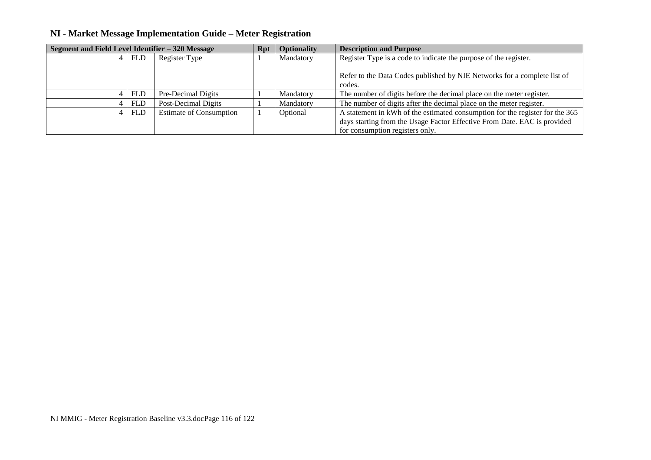| NI - Market Message Implementation Guide - Meter Registration |  |
|---------------------------------------------------------------|--|
|---------------------------------------------------------------|--|

| Segment and Field Level Identifier – 320 Message |            |                                |  | <b>Optionality</b> | <b>Description and Purpose</b>                                               |
|--------------------------------------------------|------------|--------------------------------|--|--------------------|------------------------------------------------------------------------------|
|                                                  | <b>FLD</b> | Register Type                  |  | Mandatory          | Register Type is a code to indicate the purpose of the register.             |
|                                                  |            |                                |  |                    |                                                                              |
|                                                  |            |                                |  |                    | Refer to the Data Codes published by NIE Networks for a complete list of     |
|                                                  |            |                                |  |                    | codes.                                                                       |
|                                                  | <b>FLD</b> | Pre-Decimal Digits             |  | Mandatory          | The number of digits before the decimal place on the meter register.         |
|                                                  | <b>FLD</b> | Post-Decimal Digits            |  | Mandatory          | The number of digits after the decimal place on the meter register.          |
|                                                  | FLD        | <b>Estimate of Consumption</b> |  | Optional           | A statement in kWh of the estimated consumption for the register for the 365 |
|                                                  |            |                                |  |                    | days starting from the Usage Factor Effective From Date. EAC is provided     |
|                                                  |            |                                |  |                    | for consumption registers only.                                              |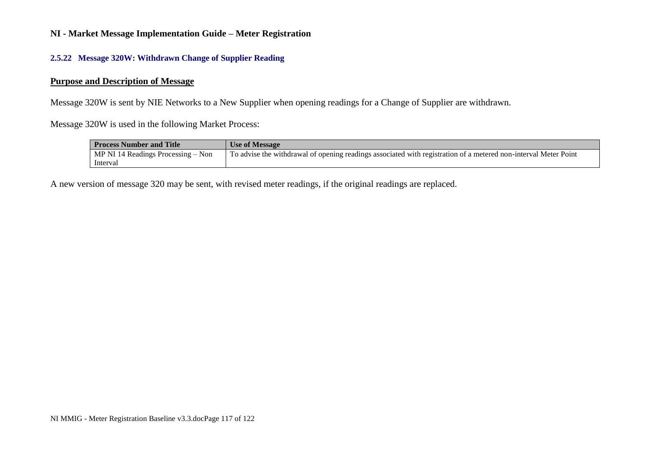### **2.5.22 Message 320W: Withdrawn Change of Supplier Reading**

### **Purpose and Description of Message**

Message 320W is sent by NIE Networks to a New Supplier when opening readings for a Change of Supplier are withdrawn.

Message 320W is used in the following Market Process:

| <b>Process Number and Title</b>      | <b>Use of Message</b>                                                                                           |
|--------------------------------------|-----------------------------------------------------------------------------------------------------------------|
| MP NI 14 Readings Processing $-$ Non | To advise the withdrawal of opening readings associated with registration of a metered non-interval Meter Point |
| Interval                             |                                                                                                                 |

A new version of message 320 may be sent, with revised meter readings, if the original readings are replaced.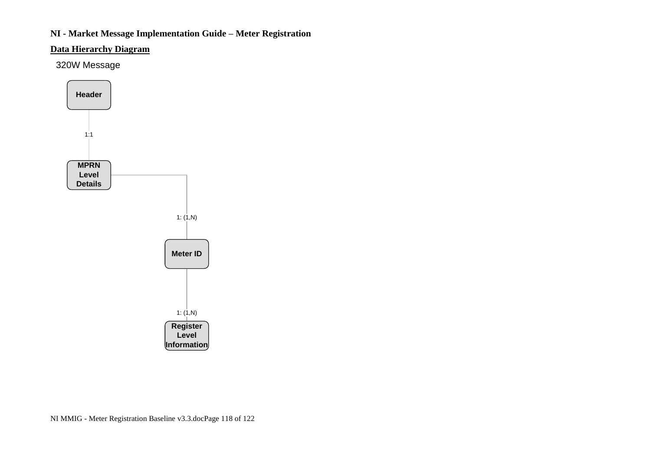### **Data Hierarchy Diagram**

320W Message

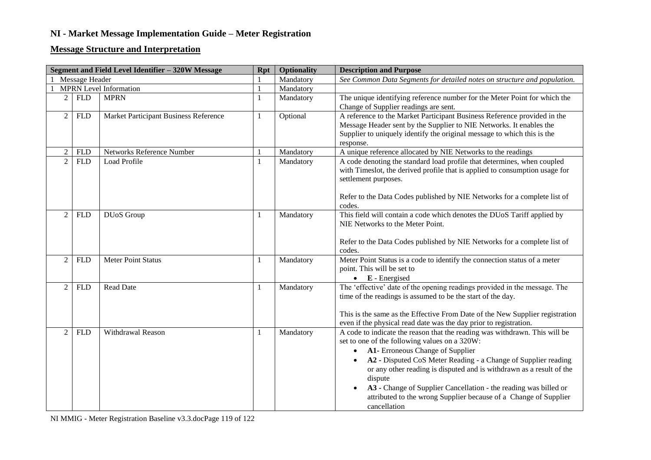## **Message Structure and Interpretation**

|                |                    | Segment and Field Level Identifier - 320W Message | <b>Rpt</b>   | <b>Optionality</b> | <b>Description and Purpose</b>                                                                                                                                                                                                                                                                                                                                                                                                                                                            |
|----------------|--------------------|---------------------------------------------------|--------------|--------------------|-------------------------------------------------------------------------------------------------------------------------------------------------------------------------------------------------------------------------------------------------------------------------------------------------------------------------------------------------------------------------------------------------------------------------------------------------------------------------------------------|
|                | Message Header     |                                                   |              | Mandatory          | See Common Data Segments for detailed notes on structure and population.                                                                                                                                                                                                                                                                                                                                                                                                                  |
|                |                    | <b>MPRN</b> Level Information                     | $\mathbf{1}$ | Mandatory          |                                                                                                                                                                                                                                                                                                                                                                                                                                                                                           |
| $\overline{2}$ | ${\hbox{\rm FLD}}$ | <b>MPRN</b>                                       | 1            | Mandatory          | The unique identifying reference number for the Meter Point for which the<br>Change of Supplier readings are sent.                                                                                                                                                                                                                                                                                                                                                                        |
| $\overline{2}$ | <b>FLD</b>         | Market Participant Business Reference             | 1            | Optional           | A reference to the Market Participant Business Reference provided in the<br>Message Header sent by the Supplier to NIE Networks. It enables the<br>Supplier to uniquely identify the original message to which this is the<br>response.                                                                                                                                                                                                                                                   |
| $\overline{2}$ | <b>FLD</b>         | Networks Reference Number                         |              | Mandatory          | A unique reference allocated by NIE Networks to the readings                                                                                                                                                                                                                                                                                                                                                                                                                              |
| $\overline{2}$ | <b>FLD</b>         | Load Profile                                      | $\mathbf{1}$ | Mandatory          | A code denoting the standard load profile that determines, when coupled<br>with Timeslot, the derived profile that is applied to consumption usage for<br>settlement purposes.<br>Refer to the Data Codes published by NIE Networks for a complete list of<br>codes.                                                                                                                                                                                                                      |
| 2              | <b>FLD</b>         | <b>DUoS</b> Group                                 | 1            | Mandatory          | This field will contain a code which denotes the DUoS Tariff applied by<br>NIE Networks to the Meter Point.<br>Refer to the Data Codes published by NIE Networks for a complete list of<br>codes.                                                                                                                                                                                                                                                                                         |
| 2              | <b>FLD</b>         | <b>Meter Point Status</b>                         | 1            | Mandatory          | Meter Point Status is a code to identify the connection status of a meter<br>point. This will be set to<br>$\bullet$ <b>E</b> - Energised                                                                                                                                                                                                                                                                                                                                                 |
| 2              | <b>FLD</b>         | <b>Read Date</b>                                  | 1            | Mandatory          | The 'effective' date of the opening readings provided in the message. The<br>time of the readings is assumed to be the start of the day.<br>This is the same as the Effective From Date of the New Supplier registration<br>even if the physical read date was the day prior to registration.                                                                                                                                                                                             |
| 2              | <b>FLD</b>         | Withdrawal Reason                                 | 1            | Mandatory          | A code to indicate the reason that the reading was withdrawn. This will be<br>set to one of the following values on a 320W:<br>A1- Erroneous Change of Supplier<br>$\bullet$<br>A2 - Disputed CoS Meter Reading - a Change of Supplier reading<br>or any other reading is disputed and is withdrawn as a result of the<br>dispute<br>A3 - Change of Supplier Cancellation - the reading was billed or<br>attributed to the wrong Supplier because of a Change of Supplier<br>cancellation |

NI MMIG - Meter Registration Baseline v3.3.docPage 119 of 122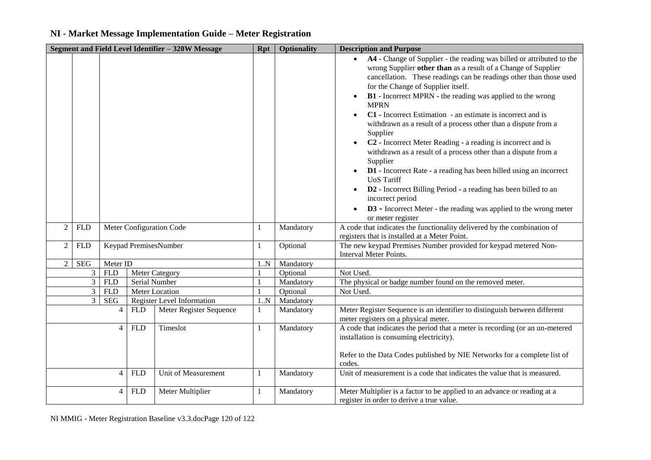| Segment and Field Level Identifier - 320W Message |                |                |               |                            | <b>Rpt</b> | <b>Optionality</b> | <b>Description and Purpose</b>                                                                                                                                                                                                                                                                                                                                                                                                                                                                                                                                                                                                                                                                                                                                                                                                                                                                                                   |
|---------------------------------------------------|----------------|----------------|---------------|----------------------------|------------|--------------------|----------------------------------------------------------------------------------------------------------------------------------------------------------------------------------------------------------------------------------------------------------------------------------------------------------------------------------------------------------------------------------------------------------------------------------------------------------------------------------------------------------------------------------------------------------------------------------------------------------------------------------------------------------------------------------------------------------------------------------------------------------------------------------------------------------------------------------------------------------------------------------------------------------------------------------|
|                                                   |                |                |               |                            |            |                    | A4 - Change of Supplier - the reading was billed or attributed to the<br>wrong Supplier other than as a result of a Change of Supplier<br>cancellation. These readings can be readings other than those used<br>for the Change of Supplier itself.<br><b>B1</b> - Incorrect MPRN - the reading was applied to the wrong<br><b>MPRN</b><br>C1 - Incorrect Estimation - an estimate is incorrect and is<br>withdrawn as a result of a process other than a dispute from a<br>Supplier<br>C <sub>2</sub> - Incorrect Meter Reading - a reading is incorrect and is<br>withdrawn as a result of a process other than a dispute from a<br>Supplier<br><b>D1</b> - Incorrect Rate - a reading has been billed using an incorrect<br><b>UoS</b> Tariff<br>D2 - Incorrect Billing Period - a reading has been billed to an<br>incorrect period<br>D3 - Incorrect Meter - the reading was applied to the wrong meter<br>or meter register |
| 2                                                 | <b>FLD</b>     |                |               | Meter Configuration Code   | 1          | Mandatory          | A code that indicates the functionality delivered by the combination of<br>registers that is installed at a Meter Point.                                                                                                                                                                                                                                                                                                                                                                                                                                                                                                                                                                                                                                                                                                                                                                                                         |
| $\overline{c}$                                    | <b>FLD</b>     |                |               | Keypad PremisesNumber      | 1          | Optional           | The new keypad Premises Number provided for keypad metered Non-<br><b>Interval Meter Points.</b>                                                                                                                                                                                                                                                                                                                                                                                                                                                                                                                                                                                                                                                                                                                                                                                                                                 |
| $\overline{2}$                                    | <b>SEG</b>     | Meter ID       |               |                            | 1.N        | Mandatory          |                                                                                                                                                                                                                                                                                                                                                                                                                                                                                                                                                                                                                                                                                                                                                                                                                                                                                                                                  |
|                                                   | 3              | <b>FLD</b>     |               | Meter Category             |            | Optional           | Not Used.                                                                                                                                                                                                                                                                                                                                                                                                                                                                                                                                                                                                                                                                                                                                                                                                                                                                                                                        |
|                                                   | $\mathfrak{Z}$ | <b>FLD</b>     | Serial Number |                            |            | Mandatory          | The physical or badge number found on the removed meter.                                                                                                                                                                                                                                                                                                                                                                                                                                                                                                                                                                                                                                                                                                                                                                                                                                                                         |
|                                                   | $\mathfrak{Z}$ | <b>FLD</b>     |               | Meter Location             |            | Optional           | Not Used.                                                                                                                                                                                                                                                                                                                                                                                                                                                                                                                                                                                                                                                                                                                                                                                                                                                                                                                        |
|                                                   | $\mathfrak{Z}$ | <b>SEG</b>     |               | Register Level Information | 1N         | Mandatory          |                                                                                                                                                                                                                                                                                                                                                                                                                                                                                                                                                                                                                                                                                                                                                                                                                                                                                                                                  |
|                                                   |                | 4              | <b>FLD</b>    | Meter Register Sequence    | 1          | Mandatory          | Meter Register Sequence is an identifier to distinguish between different<br>meter registers on a physical meter.                                                                                                                                                                                                                                                                                                                                                                                                                                                                                                                                                                                                                                                                                                                                                                                                                |
|                                                   |                | $\overline{4}$ | <b>FLD</b>    | Timeslot                   | 1          | Mandatory          | A code that indicates the period that a meter is recording (or an un-metered<br>installation is consuming electricity).<br>Refer to the Data Codes published by NIE Networks for a complete list of<br>codes.                                                                                                                                                                                                                                                                                                                                                                                                                                                                                                                                                                                                                                                                                                                    |
|                                                   |                | $\overline{4}$ | <b>FLD</b>    | Unit of Measurement        | 1          | Mandatory          | Unit of measurement is a code that indicates the value that is measured.                                                                                                                                                                                                                                                                                                                                                                                                                                                                                                                                                                                                                                                                                                                                                                                                                                                         |
|                                                   |                | $\overline{4}$ | <b>FLD</b>    | Meter Multiplier           | 1          | Mandatory          | Meter Multiplier is a factor to be applied to an advance or reading at a<br>register in order to derive a true value.                                                                                                                                                                                                                                                                                                                                                                                                                                                                                                                                                                                                                                                                                                                                                                                                            |

NI MMIG - Meter Registration Baseline v3.3.docPage 120 of 122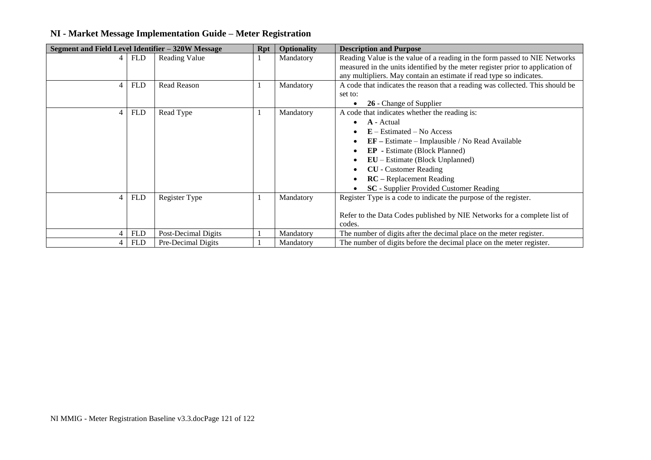| Segment and Field Level Identifier – 320W Message |            |                     | <b>Rpt</b> | <b>Optionality</b> | <b>Description and Purpose</b>                                                                                                                                                                                                                                                                                                                    |  |
|---------------------------------------------------|------------|---------------------|------------|--------------------|---------------------------------------------------------------------------------------------------------------------------------------------------------------------------------------------------------------------------------------------------------------------------------------------------------------------------------------------------|--|
| 4                                                 | <b>FLD</b> | Reading Value       |            | Mandatory          | Reading Value is the value of a reading in the form passed to NIE Networks<br>measured in the units identified by the meter register prior to application of<br>any multipliers. May contain an estimate if read type so indicates.                                                                                                               |  |
| $\overline{4}$                                    | <b>FLD</b> | <b>Read Reason</b>  |            | Mandatory          | A code that indicates the reason that a reading was collected. This should be<br>set to:<br>26 - Change of Supplier                                                                                                                                                                                                                               |  |
| $\overline{4}$                                    | <b>FLD</b> | Read Type           |            | Mandatory          | A code that indicates whether the reading is:<br>A - Actual<br>$E - Estimated - No Access$<br>$EF - Estimate - Implausible / No Read Available$<br><b>EP</b> - Estimate (Block Planned)<br><b>EU</b> – Estimate (Block Unplanned)<br><b>CU</b> - Customer Reading<br>$RC - Replacement Reading$<br><b>SC</b> - Supplier Provided Customer Reading |  |
| $\overline{4}$                                    | <b>FLD</b> | Register Type       |            | Mandatory          | Register Type is a code to indicate the purpose of the register.<br>Refer to the Data Codes published by NIE Networks for a complete list of<br>codes.                                                                                                                                                                                            |  |
| 4                                                 | <b>FLD</b> | Post-Decimal Digits |            | Mandatory          | The number of digits after the decimal place on the meter register.                                                                                                                                                                                                                                                                               |  |
| 4                                                 | <b>FLD</b> | Pre-Decimal Digits  |            | Mandatory          | The number of digits before the decimal place on the meter register.                                                                                                                                                                                                                                                                              |  |